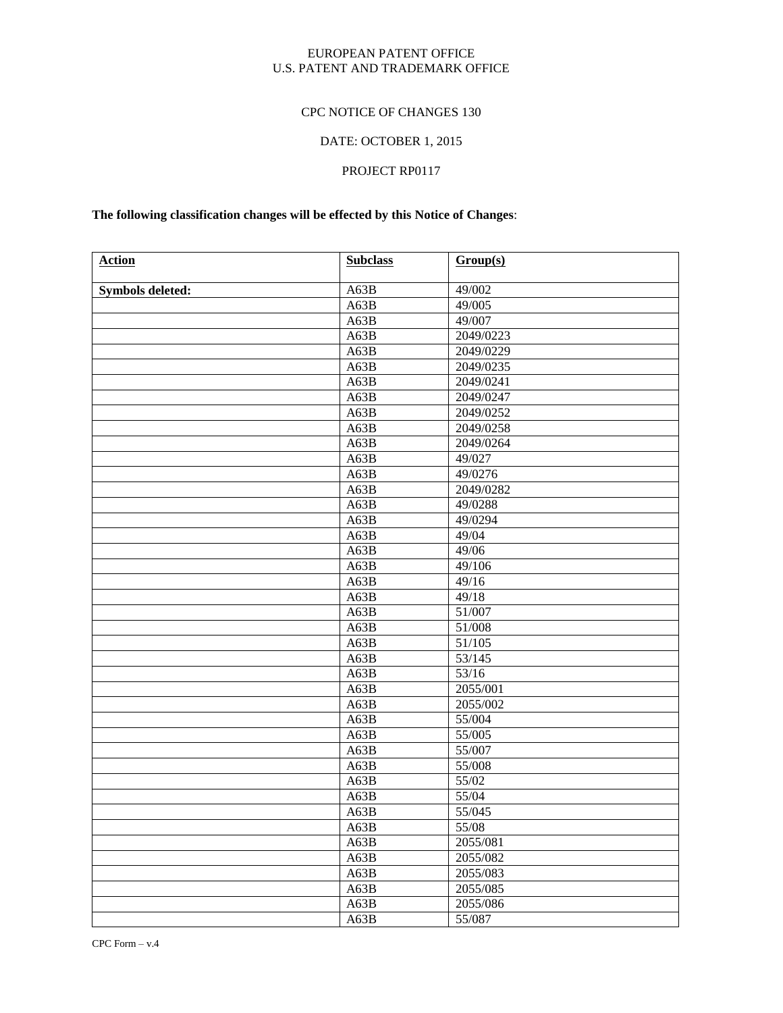#### EUROPEAN PATENT OFFICE U.S. PATENT AND TRADEMARK OFFICE

## CPC NOTICE OF CHANGES 130

# DATE: OCTOBER 1, 2015

# PROJECT RP0117

# **The following classification changes will be effected by this Notice of Changes**:

| <b>Action</b>           | <b>Subclass</b> | Group(s)  |
|-------------------------|-----------------|-----------|
| <b>Symbols deleted:</b> | A63B            | 49/002    |
|                         | A63B            | 49/005    |
|                         | A63B            | 49/007    |
|                         | A63B            | 2049/0223 |
|                         | A63B            | 2049/0229 |
|                         | A63B            | 2049/0235 |
|                         | A63B            | 2049/0241 |
|                         | A63B            | 2049/0247 |
|                         | A63B            | 2049/0252 |
|                         | A63B            | 2049/0258 |
|                         | A63B            | 2049/0264 |
|                         | A63B            | 49/027    |
|                         | A63B            | 49/0276   |
|                         | A63B            | 2049/0282 |
|                         | A63B            | 49/0288   |
|                         | A63B            | 49/0294   |
|                         | A63B            | 49/04     |
|                         | A63B            | 49/06     |
|                         | A63B            | 49/106    |
|                         | A63B            | 49/16     |
|                         | A63B            | 49/18     |
|                         | A63B            | 51/007    |
|                         | A63B            | 51/008    |
|                         | A63B            | 51/105    |
|                         | A63B            | 53/145    |
|                         | A63B            | 53/16     |
|                         | A63B            | 2055/001  |
|                         | A63B            | 2055/002  |
|                         | A63B            | 55/004    |
|                         | A63B            | 55/005    |
|                         | A63B            | 55/007    |
|                         | A63B            | 55/008    |
|                         | A63B            | 55/02     |
|                         | A63B            | 55/04     |
|                         | A63B            | 55/045    |
|                         | A63B            | 55/08     |
|                         | A63B            | 2055/081  |
|                         | A63B            | 2055/082  |
|                         | A63B            | 2055/083  |
|                         | A63B            | 2055/085  |
|                         | A63B            | 2055/086  |
|                         | A63B            | 55/087    |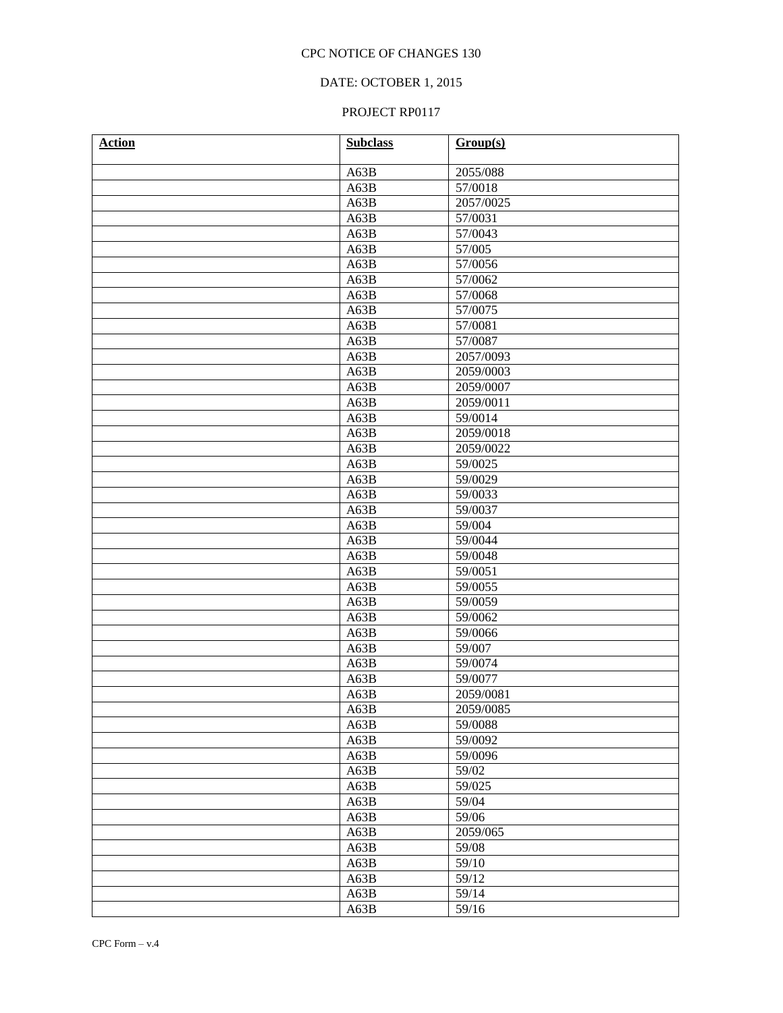## DATE: OCTOBER 1, 2015

| <b>Action</b> | <b>Subclass</b> | Group(s)  |
|---------------|-----------------|-----------|
|               | A63B            | 2055/088  |
|               | A63B            | 57/0018   |
|               | A63B            | 2057/0025 |
|               | A63B            | 57/0031   |
|               | A63B            | 57/0043   |
|               | A63B            | 57/005    |
|               | A63B            | 57/0056   |
|               | A63B            | 57/0062   |
|               | A63B            | 57/0068   |
|               | A63B            | 57/0075   |
|               | A63B            | 57/0081   |
|               | A63B            | 57/0087   |
|               | A63B            | 2057/0093 |
|               | A63B            | 2059/0003 |
|               | A63B            | 2059/0007 |
|               | A63B            | 2059/0011 |
|               | A63B            | 59/0014   |
|               | A63B            | 2059/0018 |
|               | A63B            | 2059/0022 |
|               | A63B            | 59/0025   |
|               | A63B            | 59/0029   |
|               | A63B            | 59/0033   |
|               | A63B            | 59/0037   |
|               | A63B            | 59/004    |
|               | A63B            | 59/0044   |
|               | A63B            | 59/0048   |
|               | A63B            | 59/0051   |
|               | A63B            | 59/0055   |
|               | A63B            | 59/0059   |
|               | A63B            | 59/0062   |
|               | A63B            | 59/0066   |
|               | A63B            | 59/007    |
|               | A63B            | 59/0074   |
|               | A63B            | 59/0077   |
|               | A63B            | 2059/0081 |
|               | A63B            | 2059/0085 |
|               | A63B            | 59/0088   |
|               | A63B            | 59/0092   |
|               | A63B            | 59/0096   |
|               | A63B            | 59/02     |
|               | A63B            | 59/025    |
|               | A63B            | 59/04     |
|               | A63B            | 59/06     |
|               | A63B            | 2059/065  |
|               | A63B            | 59/08     |
|               | A63B            | 59/10     |
|               | A63B            | 59/12     |
|               | A63B            | 59/14     |
|               | A63B            | 59/16     |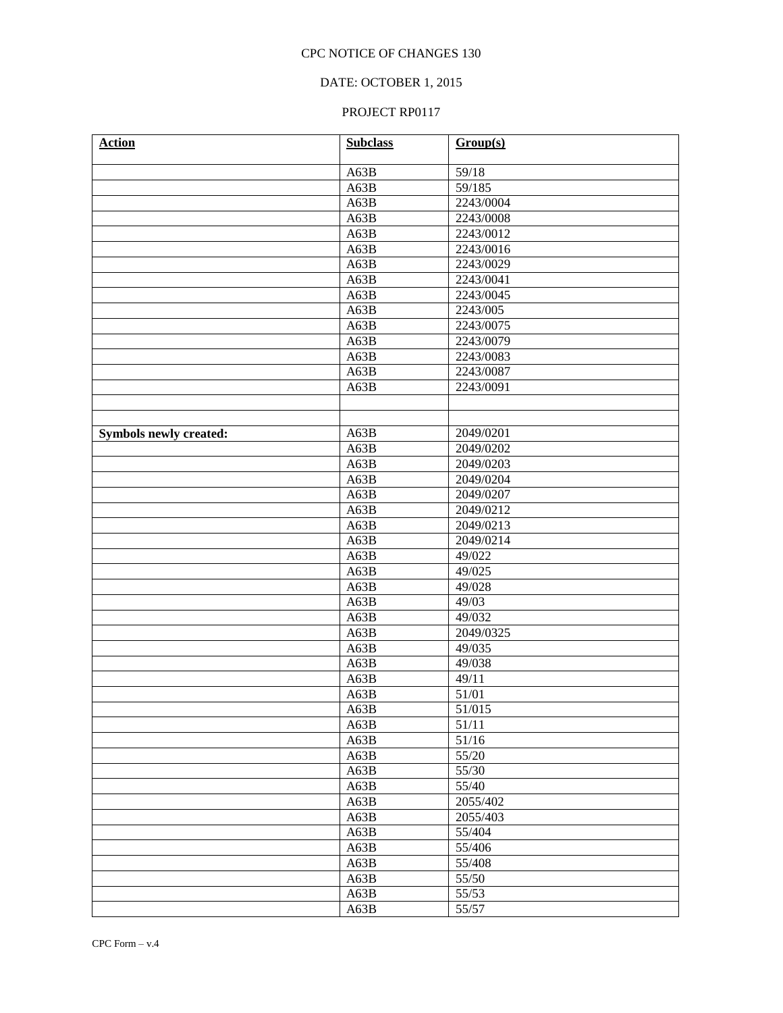## DATE: OCTOBER 1, 2015

| <b>Action</b>                 | <b>Subclass</b> | Group(s)  |
|-------------------------------|-----------------|-----------|
|                               | A63B            | 59/18     |
|                               |                 | 59/185    |
|                               | A63B            | 2243/0004 |
|                               | A63B            | 2243/0008 |
|                               | A63B            | 2243/0012 |
|                               | A63B            | 2243/0016 |
|                               | A63B            | 2243/0029 |
|                               | A63B            | 2243/0041 |
|                               | A63B            | 2243/0045 |
|                               | A63B            | 2243/005  |
|                               | A63B            | 2243/0075 |
|                               | A63B            | 2243/0079 |
|                               | A63B            |           |
|                               | A63B            | 2243/0083 |
|                               | A63B            | 2243/0087 |
|                               | A63B            | 2243/0091 |
|                               |                 |           |
|                               |                 |           |
| <b>Symbols newly created:</b> | A63B            | 2049/0201 |
|                               | A63B            | 2049/0202 |
|                               | A63B            | 2049/0203 |
|                               | A63B            | 2049/0204 |
|                               | A63B            | 2049/0207 |
|                               | A63B            | 2049/0212 |
|                               | A63B            | 2049/0213 |
|                               | A63B            | 2049/0214 |
|                               | A63B            | 49/022    |
|                               | A63B            | 49/025    |
|                               | A63B            | 49/028    |
|                               | A63B            | 49/03     |
|                               | A63B            | 49/032    |
|                               | A63B            | 2049/0325 |
|                               | A63B            | 49/035    |
|                               | A63B            | 49/038    |
|                               | A63B            | 49/11     |
|                               | A63B            | 51/01     |
|                               | A63B            | 51/015    |
|                               | A63B            | 51/11     |
|                               | A63B            | 51/16     |
|                               | A63B            | 55/20     |
|                               | A63B            | 55/30     |
|                               | A63B            | 55/40     |
|                               | A63B            | 2055/402  |
|                               | A63B            | 2055/403  |
|                               | A63B            | 55/404    |
|                               | A63B            | 55/406    |
|                               | A63B            | 55/408    |
|                               | A63B            | 55/50     |
|                               | A63B            | 55/53     |
|                               | A63B            | 55/57     |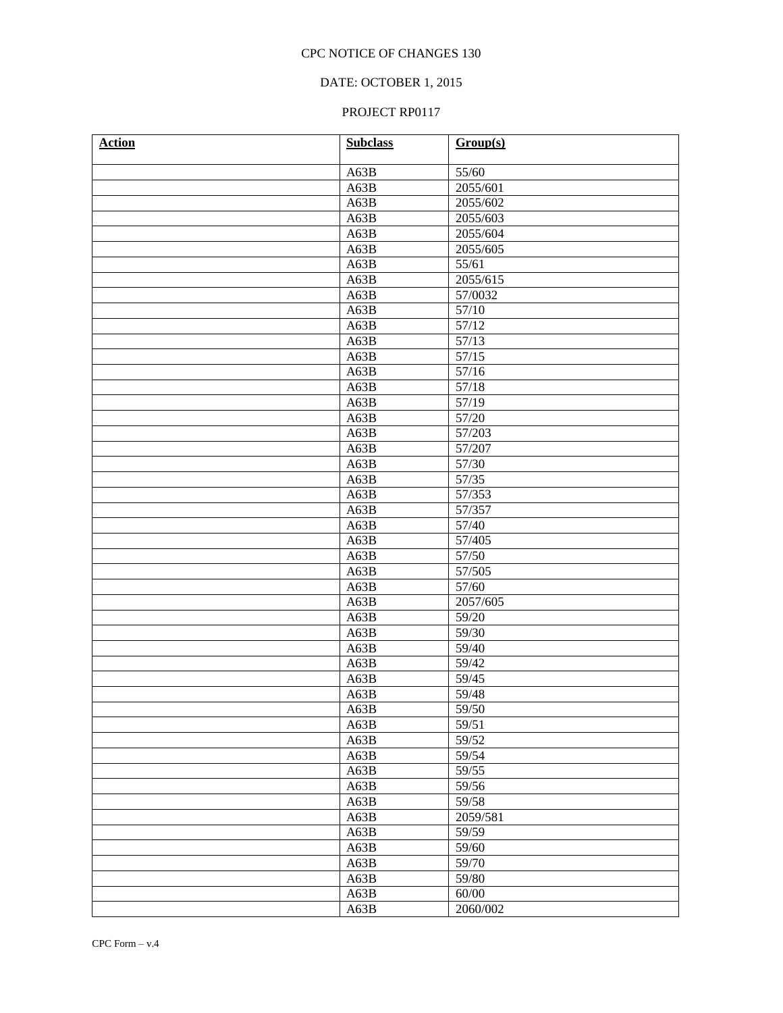## DATE: OCTOBER 1, 2015

| <b>Action</b> | <b>Subclass</b> | Group(s) |
|---------------|-----------------|----------|
|               | A63B            | 55/60    |
|               | A63B            | 2055/601 |
|               | A63B            | 2055/602 |
|               | A63B            | 2055/603 |
|               | A63B            | 2055/604 |
|               | A63B            | 2055/605 |
|               | A63B            | 55/61    |
|               | A63B            | 2055/615 |
|               | A63B            | 57/0032  |
|               | A63B            | 57/10    |
|               | A63B            | 57/12    |
|               | A63B            | 57/13    |
|               | A63B            | 57/15    |
|               | A63B            | 57/16    |
|               | A63B            | 57/18    |
|               | A63B            | 57/19    |
|               | A63B            | 57/20    |
|               | A63B            | 57/203   |
|               | A63B            | 57/207   |
|               | A63B            | 57/30    |
|               | A63B            | 57/35    |
|               | A63B            | 57/353   |
|               | A63B            | 57/357   |
|               | A63B            | 57/40    |
|               | A63B            | 57/405   |
|               | A63B            | 57/50    |
|               | A63B            | 57/505   |
|               | A63B            | 57/60    |
|               | A63B            | 2057/605 |
|               | A63B            | 59/20    |
|               | A63B            | 59/30    |
|               | A63B            | 59/40    |
|               | A63B            | 59/42    |
|               | A63B            | 59/45    |
|               | A63B            | 59/48    |
|               | A63B            | 59/50    |
|               | A63B            | 59/51    |
|               | A63B            | 59/52    |
|               | A63B            | 59/54    |
|               | A63B            | 59/55    |
|               | A63B            | 59/56    |
|               | A63B            | 59/58    |
|               | A63B            | 2059/581 |
|               | A63B            | 59/59    |
|               | A63B            | 59/60    |
|               | A63B            | 59/70    |
|               | A63B            | 59/80    |
|               | A63B            | 60/00    |
|               | A63B            | 2060/002 |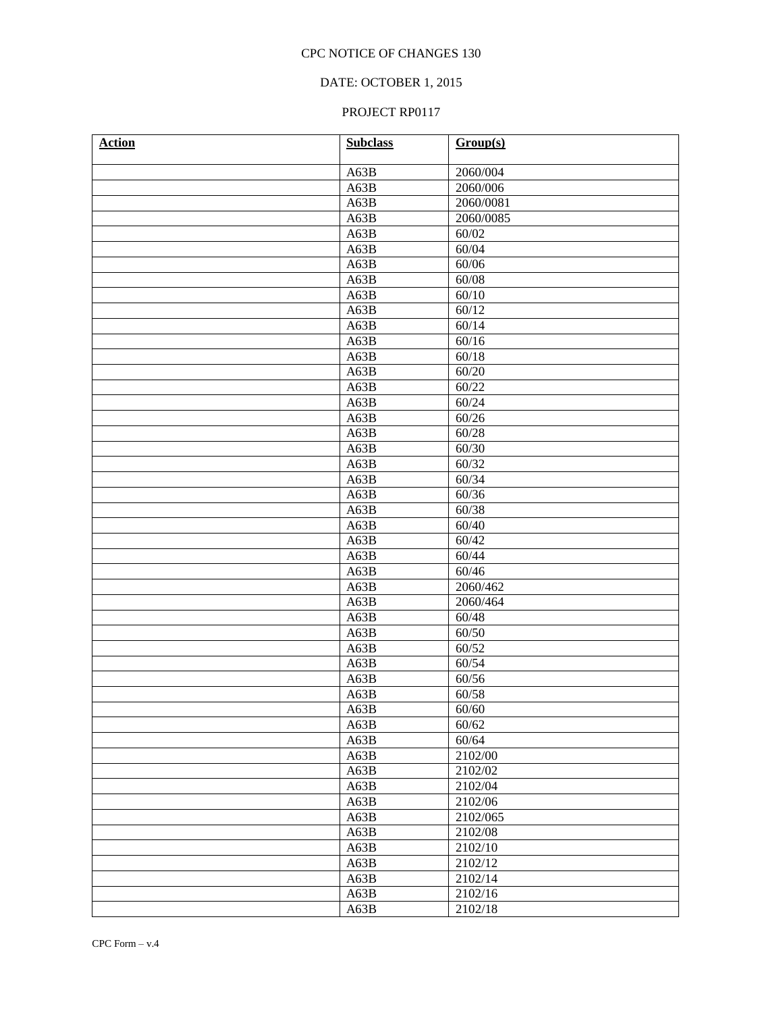## DATE: OCTOBER 1, 2015

| <b>Action</b> | <b>Subclass</b> | Group(s)  |
|---------------|-----------------|-----------|
|               | A63B            | 2060/004  |
|               | A63B            | 2060/006  |
|               | A63B            | 2060/0081 |
|               | A63B            | 2060/0085 |
|               | A63B            | 60/02     |
|               | A63B            | 60/04     |
|               | A63B            | 60/06     |
|               | A63B            | 60/08     |
|               | A63B            | 60/10     |
|               | A63B            | 60/12     |
|               | A63B            | 60/14     |
|               | A63B            | 60/16     |
|               | A63B            | 60/18     |
|               | A63B            | 60/20     |
|               | A63B            | 60/22     |
|               | A63B            | 60/24     |
|               | A63B            | 60/26     |
|               | A63B            | 60/28     |
|               | A63B            | 60/30     |
|               | A63B            | 60/32     |
|               | A63B            | 60/34     |
|               | A63B            | 60/36     |
|               | A63B            | 60/38     |
|               | A63B            | 60/40     |
|               | A63B            | 60/42     |
|               | A63B            | 60/44     |
|               | A63B            | 60/46     |
|               | A63B            | 2060/462  |
|               | A63B            | 2060/464  |
|               | A63B            | 60/48     |
|               | A63B            | 60/50     |
|               | A63B            | 60/52     |
|               | A63B            | 60/54     |
|               | A63B            | 60/56     |
|               | A63B            | 60/58     |
|               | A63B            | 60/60     |
|               | A63B            | 60/62     |
|               | A63B            | 60/64     |
|               | A63B            | 2102/00   |
|               | A63B            | 2102/02   |
|               | A63B            | 2102/04   |
|               | A63B            | 2102/06   |
|               | A63B            | 2102/065  |
|               | A63B            | 2102/08   |
|               | A63B            | 2102/10   |
|               | A63B            | 2102/12   |
|               | A63B            | 2102/14   |
|               | A63B            | 2102/16   |
|               | A63B            | 2102/18   |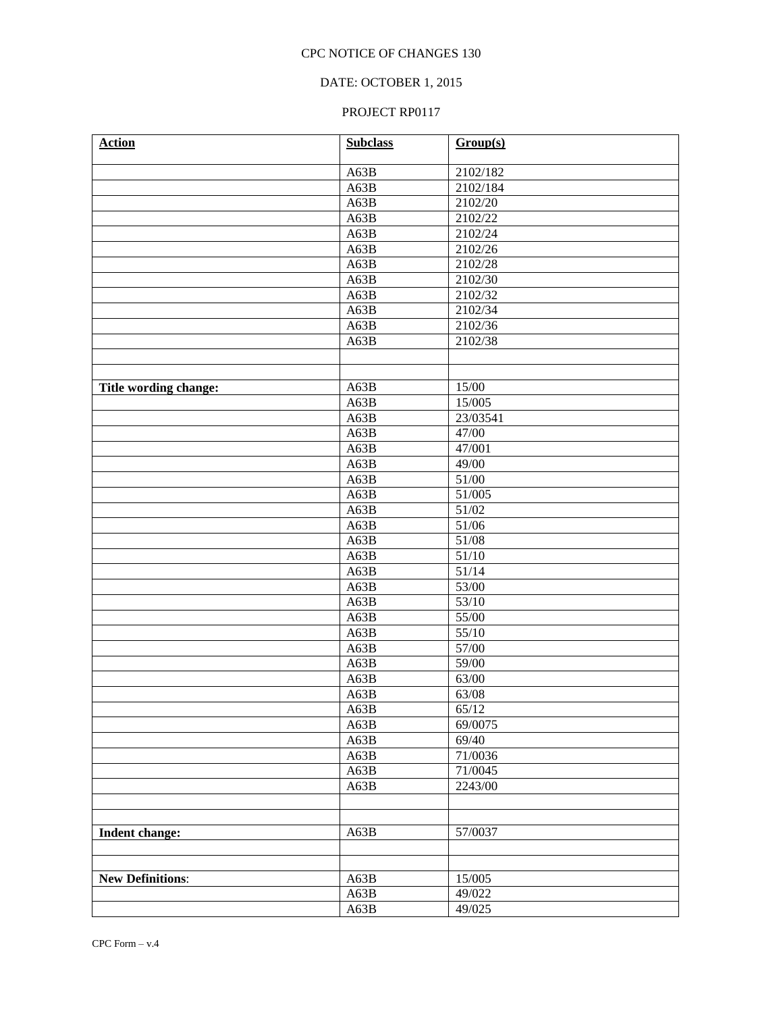## DATE: OCTOBER 1, 2015

| <b>Action</b>           | <b>Subclass</b> | Group(s)         |
|-------------------------|-----------------|------------------|
|                         |                 | 2102/182         |
|                         | A63B<br>A63B    | 2102/184         |
|                         | A63B            | 2102/20          |
|                         | A63B            | 2102/22          |
|                         | A63B            | 2102/24          |
|                         | A63B            | 2102/26          |
|                         | A63B            | 2102/28          |
|                         | A63B            | 2102/30          |
|                         | A63B            | 2102/32          |
|                         | A63B            | 2102/34          |
|                         | A63B            | 2102/36          |
|                         | A63B            | 2102/38          |
|                         |                 |                  |
|                         |                 |                  |
| Title wording change:   | A63B            | 15/00            |
|                         | A63B            | 15/005           |
|                         | A63B            | 23/03541         |
|                         | A63B            | 47/00            |
|                         | A63B            | 47/001           |
|                         | A63B            | 49/00            |
|                         | A63B            | 51/00            |
|                         | A63B            | 51/005           |
|                         | A63B            | 51/02            |
|                         | A63B            | 51/06            |
|                         | A63B            | 51/08            |
|                         | A63B            | 51/10            |
|                         | A63B            | 51/14            |
|                         | A63B            | 53/00            |
|                         | A63B            | 53/10            |
|                         | A63B            | 55/00            |
|                         | A63B            | 55/10            |
|                         | A63B            | 57/00            |
|                         | A63B            | 59/00            |
|                         | A63B            | 63/00            |
|                         | A63B            | 63/08            |
|                         | A63B            | 65/12            |
|                         | A63B            | 69/0075<br>69/40 |
|                         | A63B            | 71/0036          |
|                         | A63B<br>A63B    | 71/0045          |
|                         | A63B            | 2243/00          |
|                         |                 |                  |
|                         |                 |                  |
| <b>Indent change:</b>   | A63B            | 57/0037          |
|                         |                 |                  |
|                         |                 |                  |
| <b>New Definitions:</b> | A63B            | 15/005           |
|                         | A63B            | 49/022           |
|                         | A63B            | 49/025           |
|                         |                 |                  |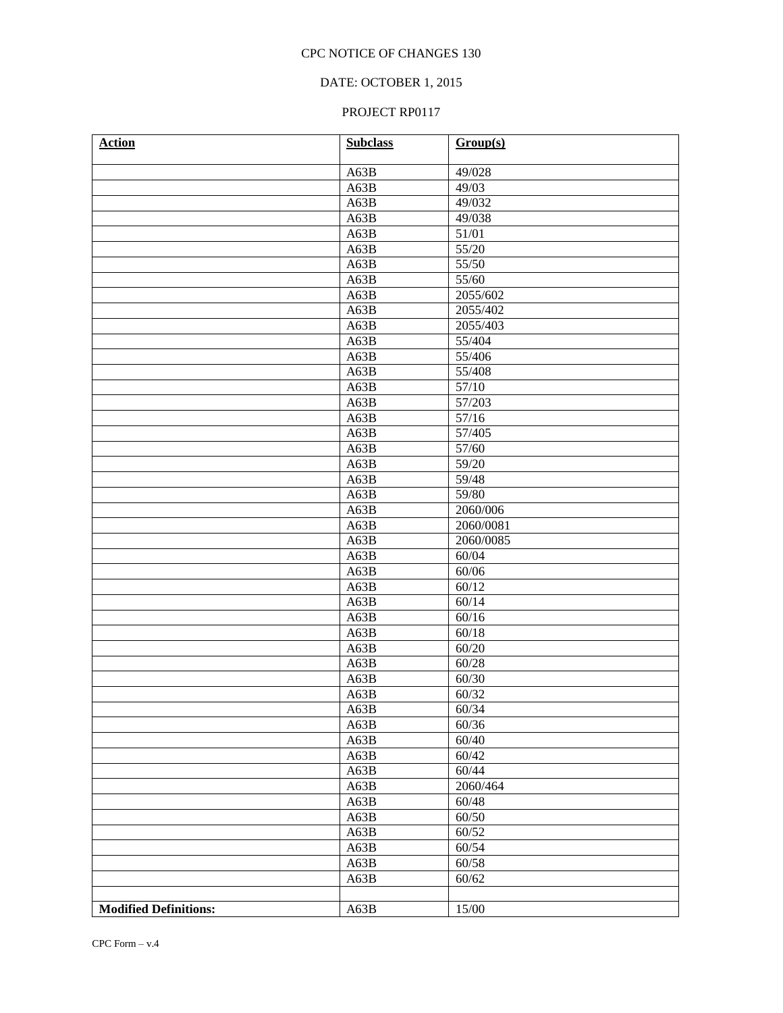## DATE: OCTOBER 1, 2015

| <b>Action</b>                | <b>Subclass</b> | Group(s)       |
|------------------------------|-----------------|----------------|
|                              | A63B            | 49/028         |
|                              | A63B            | 49/03          |
|                              | A63B            | 49/032         |
|                              | A63B            | 49/038         |
|                              | A63B            | 51/01          |
|                              | A63B            | 55/20          |
|                              | A63B            | 55/50          |
|                              | A63B            | 55/60          |
|                              | A63B            | 2055/602       |
|                              | A63B            | 2055/402       |
|                              | A63B            | 2055/403       |
|                              | A63B            | 55/404         |
|                              | A63B            | 55/406         |
|                              | A63B            | 55/408         |
|                              | A63B            | 57/10          |
|                              | A63B            | 57/203         |
|                              | A63B            | 57/16          |
|                              | A63B            | 57/405         |
|                              | A63B            | 57/60          |
|                              | A63B            | 59/20          |
|                              | A63B            | 59/48          |
|                              | A63B            | 59/80          |
|                              | A63B            | 2060/006       |
|                              | A63B            | 2060/0081      |
|                              | A63B            | 2060/0085      |
|                              | A63B            | 60/04          |
|                              | A63B            | 60/06          |
|                              | A63B            | 60/12          |
|                              | A63B            | 60/14          |
|                              | A63B            | 60/16          |
|                              | A63B            | 60/18          |
|                              | A63B            | 60/20          |
|                              | A63B            | 60/28          |
|                              | A63B            | 60/30          |
|                              | A63B            | 60/32          |
|                              | A63B            | 60/34          |
|                              | A63B            | 60/36          |
|                              | A63B            | 60/40          |
|                              | A63B<br>A63B    | 60/42<br>60/44 |
|                              |                 | 2060/464       |
|                              | A63B            |                |
|                              | A63B<br>A63B    | 60/48<br>60/50 |
|                              | A63B            | 60/52          |
|                              | A63B            | 60/54          |
|                              | A63B            | 60/58          |
|                              | A63B            | 60/62          |
|                              |                 |                |
| <b>Modified Definitions:</b> | A63B            | 15/00          |
|                              |                 |                |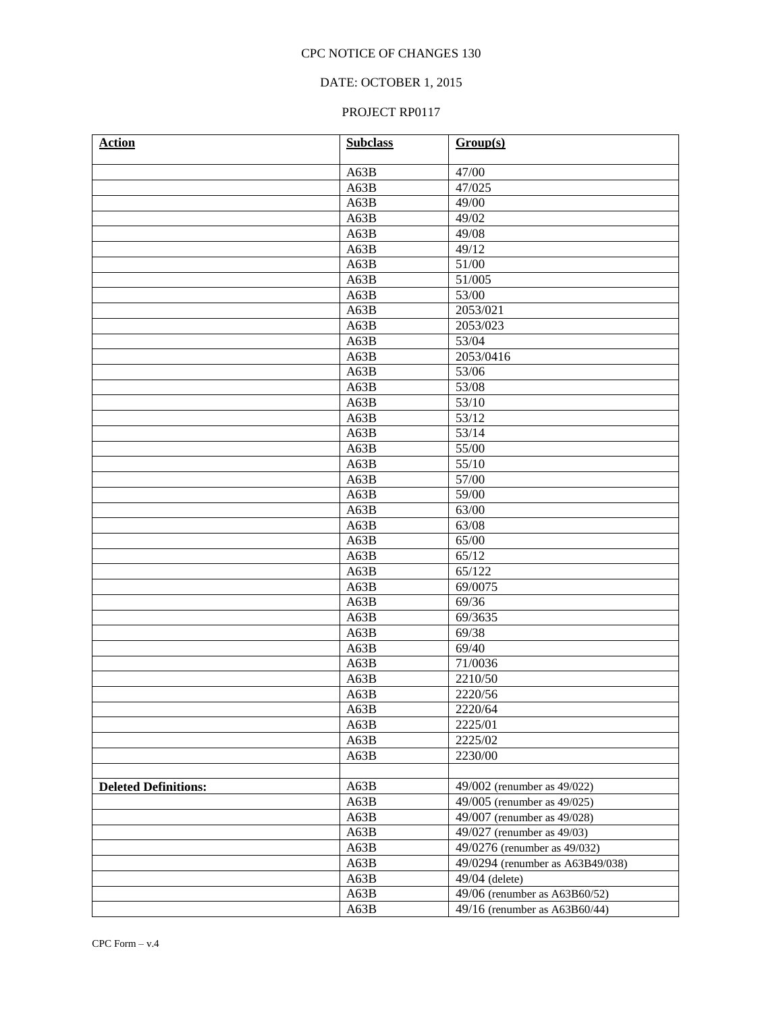## DATE: OCTOBER 1, 2015

| <b>Action</b>               | <b>Subclass</b> | Group(s)                         |  |
|-----------------------------|-----------------|----------------------------------|--|
|                             | A63B            | 47/00                            |  |
|                             | A63B            | 47/025                           |  |
|                             | A63B            | 49/00                            |  |
|                             | A63B            | 49/02                            |  |
|                             | A63B            | 49/08                            |  |
|                             | A63B            | 49/12                            |  |
|                             | A63B            | 51/00                            |  |
|                             | A63B            | 51/005                           |  |
|                             | A63B            | 53/00                            |  |
|                             | A63B            | 2053/021                         |  |
|                             | A63B            | 2053/023                         |  |
|                             | A63B            | 53/04                            |  |
|                             | A63B            | 2053/0416                        |  |
|                             | A63B            | 53/06                            |  |
|                             | A63B            | 53/08                            |  |
|                             | A63B            | 53/10                            |  |
|                             | A63B            | 53/12                            |  |
|                             | A63B            | 53/14                            |  |
|                             | A63B            | 55/00                            |  |
|                             | A63B            | 55/10                            |  |
|                             | A63B            | 57/00                            |  |
|                             | A63B            | 59/00                            |  |
|                             | A63B            | 63/00                            |  |
|                             | A63B            | 63/08                            |  |
|                             | A63B            | 65/00                            |  |
|                             | A63B            | 65/12                            |  |
|                             | A63B            | 65/122                           |  |
|                             | A63B            | $\frac{69}{0075}$                |  |
|                             | A63B            | 69/36                            |  |
|                             | A63B            | 69/3635                          |  |
|                             | A63B            | 69/38                            |  |
|                             | A63B            | 69/40                            |  |
|                             | A63B            | 71/0036                          |  |
|                             | A63B            | 2210/50                          |  |
|                             | A63B            | 2220/56                          |  |
|                             | A63B            | 2220/64                          |  |
|                             | A63B            | 2225/01                          |  |
|                             | A63B            | 2225/02                          |  |
|                             | A63B            | 2230/00                          |  |
|                             |                 |                                  |  |
| <b>Deleted Definitions:</b> | A63B            | 49/002 (renumber as 49/022)      |  |
|                             | A63B            | 49/005 (renumber as 49/025)      |  |
|                             | A63B            | 49/007 (renumber as 49/028)      |  |
|                             | A63B            | 49/027 (renumber as 49/03)       |  |
|                             | A63B            | 49/0276 (renumber as 49/032)     |  |
|                             | A63B            | 49/0294 (renumber as A63B49/038) |  |
|                             | A63B            | $49/04$ (delete)                 |  |
|                             | A63B            | $49/06$ (renumber as A63B60/52)  |  |
|                             | A63B            | $49/16$ (renumber as A63B60/44)  |  |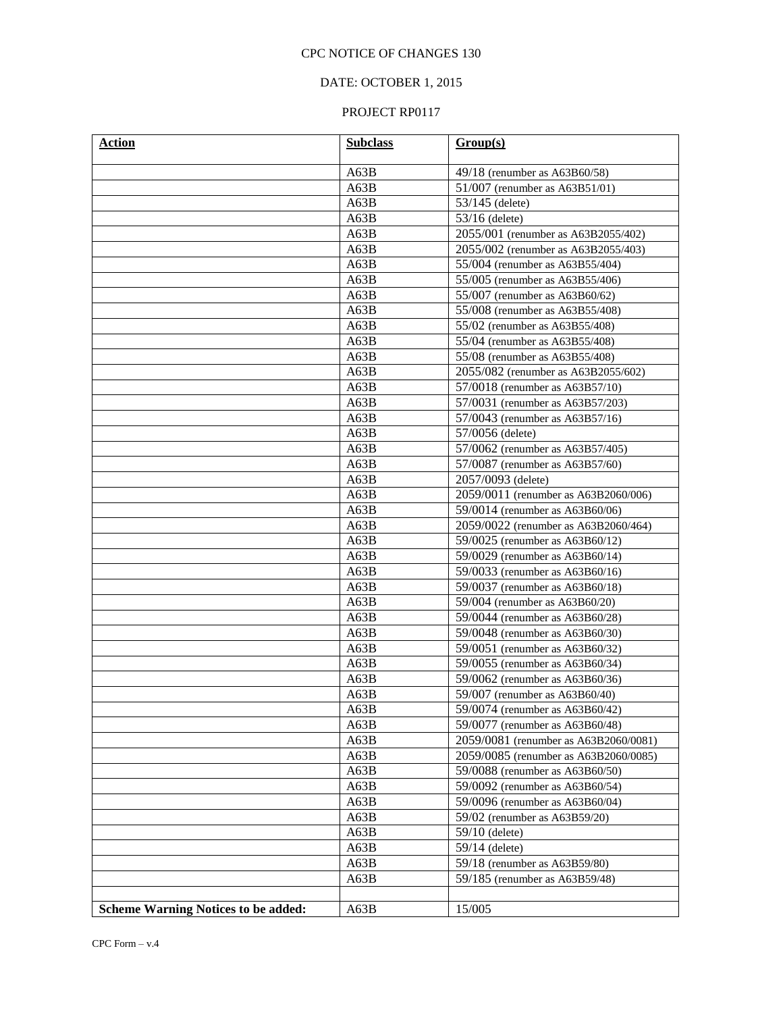## DATE: OCTOBER 1, 2015

| Action                                     | <b>Subclass</b>                         | Group(s)                                                                                                                         |  |
|--------------------------------------------|-----------------------------------------|----------------------------------------------------------------------------------------------------------------------------------|--|
|                                            | A63B                                    | 49/18 (renumber as A63B60/58)                                                                                                    |  |
|                                            | A63B                                    | 51/007 (renumber as A63B51/01)                                                                                                   |  |
|                                            | A63B                                    | $53/145$ (delete)                                                                                                                |  |
|                                            | A63B                                    | $53/16$ (delete)                                                                                                                 |  |
|                                            | A63B                                    | 2055/001 (renumber as A63B2055/402)                                                                                              |  |
|                                            | A63B                                    | 2055/002 (renumber as A63B2055/403)                                                                                              |  |
|                                            | A63B                                    | 55/004 (renumber as A63B55/404)                                                                                                  |  |
|                                            | A63B                                    | 55/005 (renumber as A63B55/406)                                                                                                  |  |
|                                            | A63B                                    | 55/007 (renumber as $A63B60/62$ )                                                                                                |  |
|                                            | A63B<br>55/008 (renumber as A63B55/408) |                                                                                                                                  |  |
|                                            | A63B                                    | 55/02 (renumber as A63B55/408)                                                                                                   |  |
|                                            | A63B                                    | 55/04 (renumber as A63B55/408)                                                                                                   |  |
|                                            | A63B                                    | 55/08 (renumber as A63B55/408)                                                                                                   |  |
|                                            | A63B                                    | 2055/082 (renumber as A63B2055/602)                                                                                              |  |
|                                            | A63B                                    | 57/0018 (renumber as A63B57/10)                                                                                                  |  |
|                                            | A63B                                    | 57/0031 (renumber as A63B57/203)                                                                                                 |  |
|                                            | A63B                                    | 57/0043 (renumber as A63B57/16)                                                                                                  |  |
|                                            | A63B                                    | 57/0056 (delete)                                                                                                                 |  |
|                                            | A63B                                    | 57/0062 (renumber as A63B57/405)                                                                                                 |  |
|                                            | A63B                                    | 57/0087 (renumber as A63B57/60)<br>2057/0093 (delete)<br>2059/0011 (renumber as A63B2060/006)<br>59/0014 (renumber as A63B60/06) |  |
|                                            | A63B                                    |                                                                                                                                  |  |
|                                            | A63B                                    |                                                                                                                                  |  |
|                                            | A63B                                    |                                                                                                                                  |  |
|                                            | A63B                                    | 2059/0022 (renumber as A63B2060/464)                                                                                             |  |
|                                            | A63B                                    | 59/0025 (renumber as A63B60/12)                                                                                                  |  |
|                                            | A63B                                    | 59/0029 (renumber as A63B60/14)                                                                                                  |  |
|                                            | A63B                                    | 59/0033 (renumber as A63B60/16)                                                                                                  |  |
|                                            | A63B                                    | 59/0037 (renumber as A63B60/18)                                                                                                  |  |
|                                            | A63B                                    | 59/004 (renumber as $A63B60/20$ )                                                                                                |  |
|                                            | A63B                                    | 59/0044 (renumber as A63B60/28)                                                                                                  |  |
|                                            | A63B                                    | 59/0048 (renumber as A63B60/30)                                                                                                  |  |
|                                            | A63B<br>59/0051 (renumber as A63B60/32) |                                                                                                                                  |  |
|                                            | A63B                                    | 59/0055 (renumber as A63B60/34)                                                                                                  |  |
|                                            | A63B                                    | 59/0062 (renumber as A63B60/36)                                                                                                  |  |
|                                            | A63B                                    | 59/007 (renumber as A63B60/40)                                                                                                   |  |
|                                            | A63B                                    | 59/0074 (renumber as A63B60/42)                                                                                                  |  |
|                                            | A63B                                    | 59/0077 (renumber as A63B60/48)                                                                                                  |  |
|                                            | A63B                                    | 2059/0081 (renumber as A63B2060/0081)                                                                                            |  |
|                                            | A63B                                    | 2059/0085 (renumber as A63B2060/0085)                                                                                            |  |
|                                            | A63B                                    | 59/0088 (renumber as A63B60/50)                                                                                                  |  |
|                                            | A63B                                    | 59/0092 (renumber as A63B60/54)                                                                                                  |  |
|                                            | A63B                                    | 59/0096 (renumber as A63B60/04)                                                                                                  |  |
|                                            | A63B                                    | $59/02$ (renumber as A63B59/20)                                                                                                  |  |
|                                            | A63B                                    | $59/10$ (delete)                                                                                                                 |  |
|                                            | A63B                                    | $59/14$ (delete)                                                                                                                 |  |
|                                            | A63B                                    | 59/18 (renumber as A63B59/80)                                                                                                    |  |
|                                            | A63B                                    | 59/185 (renumber as A63B59/48)                                                                                                   |  |
|                                            |                                         |                                                                                                                                  |  |
| <b>Scheme Warning Notices to be added:</b> | A63B                                    | 15/005                                                                                                                           |  |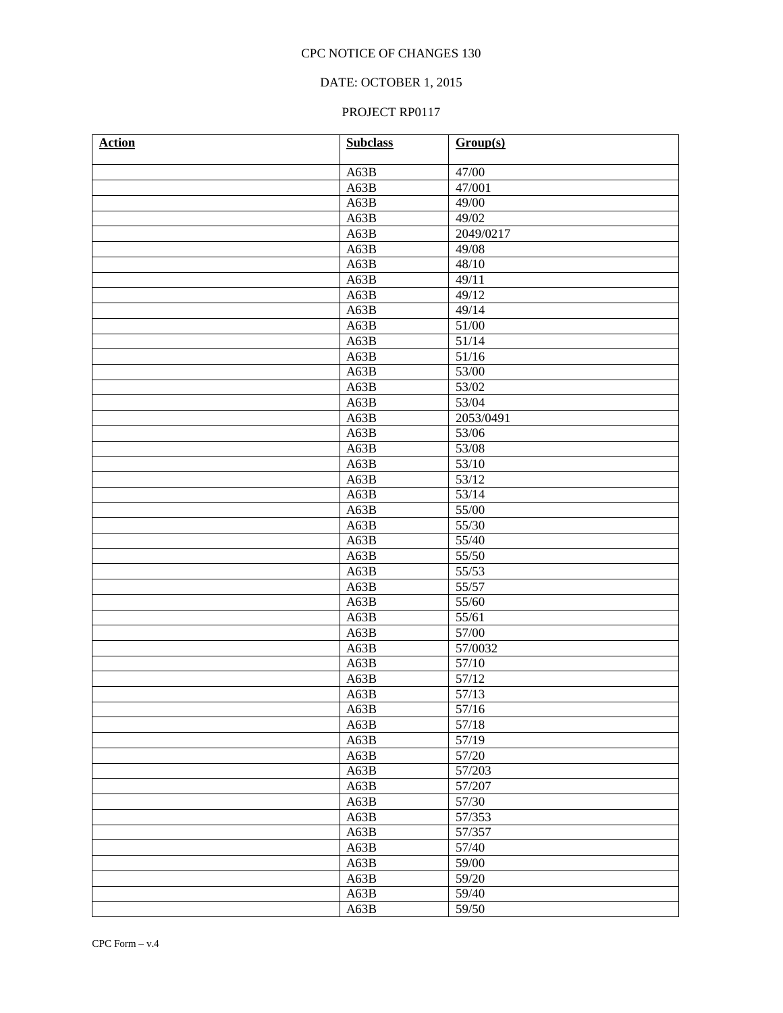## DATE: OCTOBER 1, 2015

| <b>Action</b> | <b>Subclass</b> | Group(s)        |
|---------------|-----------------|-----------------|
|               | A63B            | 47/00           |
|               | A63B            | 47/001          |
|               | A63B            | 49/00           |
|               | A63B            | 49/02           |
|               | A63B            | 2049/0217       |
|               | A63B            | 49/08           |
|               | A63B            | 48/10           |
|               | A63B            | 49/11           |
|               | A63B            | 49/12           |
|               | A63B            | 49/14           |
|               | A63B            | 51/00           |
|               | A63B            | 51/14           |
|               | A63B            | 51/16           |
|               | A63B            | 53/00           |
|               | A63B            | 53/02           |
|               | A63B            | 53/04           |
|               | A63B            | 2053/0491       |
|               | A63B            | 53/06           |
|               | A63B            | 53/08           |
|               | A63B            | 53/10           |
|               | A63B            | 53/12           |
|               | A63B            | 53/14           |
|               | A63B            | 55/00           |
|               | A63B            | 55/30           |
|               | A63B            | 55/40           |
|               | A63B            | 55/50           |
|               | A63B            | 55/53           |
|               | A63B            | 55/57           |
|               | A63B            | 55/60           |
|               | A63B            | 55/61           |
|               | A63B            | 57/00           |
|               | A63B            | 57/0032         |
|               | A63B            | 57/10           |
|               | A63B            | 57/12           |
|               | A63B            | 57/13           |
|               | A63B            | $\frac{57}{16}$ |
|               | A63B            | 57/18           |
|               | A63B            | 57/19           |
|               | A63B            | 57/20           |
|               | A63B            | 57/203          |
|               | A63B            | 57/207          |
|               | A63B            | 57/30           |
|               | A63B            | 57/353          |
|               | A63B            | 57/357          |
|               | A63B            | 57/40           |
|               | A63B            | 59/00           |
|               | A63B            | 59/20           |
|               | A63B            | 59/40           |
|               | A63B            | 59/50           |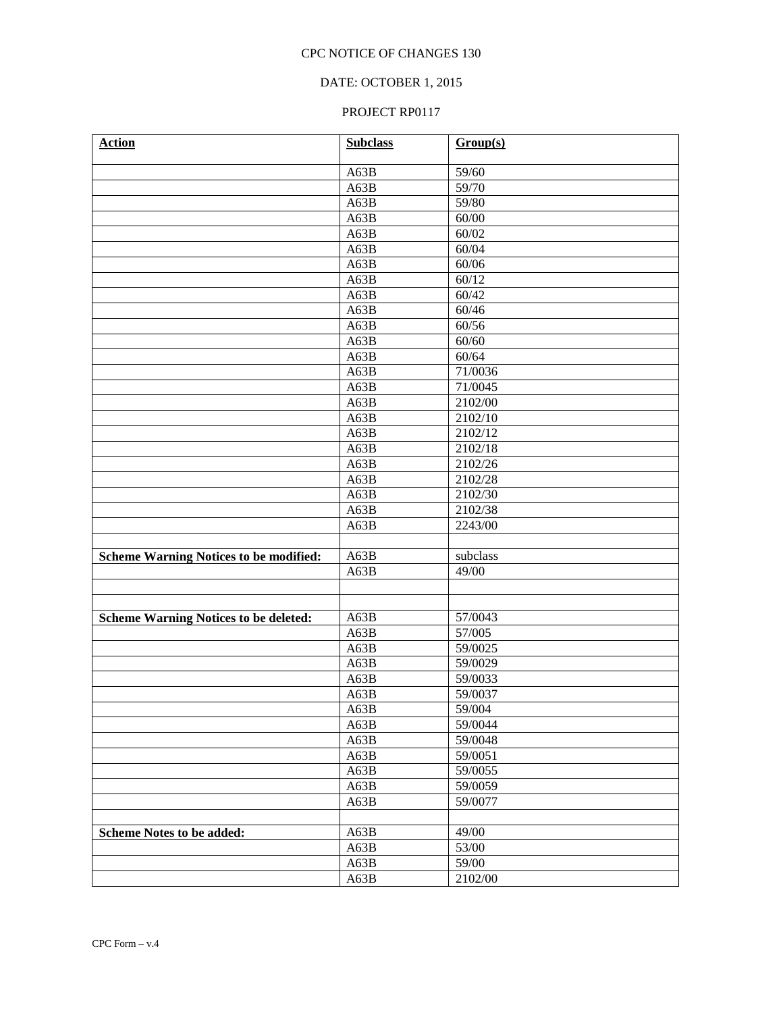# DATE: OCTOBER 1, 2015

| <b>Action</b>                                 | <b>Subclass</b> | Group(s)           |
|-----------------------------------------------|-----------------|--------------------|
|                                               | A63B            | 59/60              |
|                                               | A63B            | 59/70              |
|                                               | A63B            | 59/80              |
|                                               | A63B            | 60/00              |
|                                               | A63B            | 60/02              |
|                                               | A63B            | 60/04              |
|                                               | A63B            | 60/06              |
|                                               | A63B            | 60/12              |
|                                               | A63B            | 60/42              |
|                                               | A63B            | 60/46              |
|                                               | A63B            | 60/56              |
|                                               | A63B            | 60/60              |
|                                               | A63B            | 60/64              |
|                                               | A63B            | 71/0036            |
|                                               | A63B            | 71/0045            |
|                                               | A63B            | 2102/00            |
|                                               | A63B            | 2102/10            |
|                                               | A63B            | 2102/12            |
|                                               | A63B            | 2102/18            |
|                                               | A63B            | 2102/26            |
|                                               | A63B            | 2102/28            |
|                                               | A63B            | 2102/30            |
|                                               | A63B            | 2102/38            |
|                                               | A63B            | 2243/00            |
|                                               |                 |                    |
| <b>Scheme Warning Notices to be modified:</b> | A63B            | subclass           |
|                                               | A63B            | 49/00              |
|                                               |                 |                    |
|                                               |                 |                    |
| <b>Scheme Warning Notices to be deleted:</b>  | A63B            | 57/0043            |
|                                               | A63B            | 57/005             |
|                                               | A63B            | 59/0025            |
|                                               | A63B            | 59/0029            |
|                                               | A63B            | 59/0033            |
|                                               | A63B            | 59/0037            |
|                                               | A63B            | 59/004             |
|                                               | A63B            | 59/0044            |
|                                               | A63B            | 59/0048            |
|                                               | A63B            | 59/0051            |
|                                               | A63B            | 59/0055<br>59/0059 |
|                                               | A63B            | 59/0077            |
|                                               | A63B            |                    |
|                                               | A63B            | 49/00              |
| <b>Scheme Notes to be added:</b>              | A63B            | 53/00              |
|                                               | A63B            | 59/00              |
|                                               | A63B            | 2102/00            |
|                                               |                 |                    |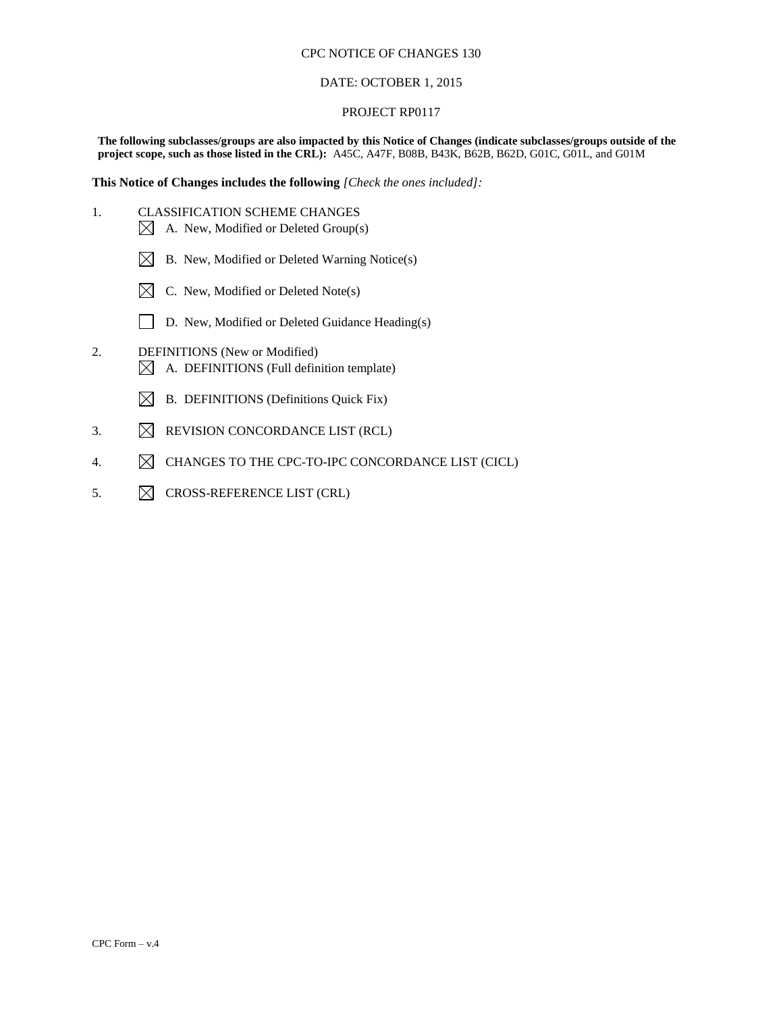#### DATE: OCTOBER 1, 2015

#### PROJECT RP0117

**The following subclasses/groups are also impacted by this Notice of Changes (indicate subclasses/groups outside of the project scope, such as those listed in the CRL):** A45C, A47F, B08B, B43K, B62B, B62D, G01C, G01L, and G01M

**This Notice of Changes includes the following** *[Check the ones included]:*

- 1. CLASSIFICATION SCHEME CHANGES  $\boxtimes$  A. New, Modified or Deleted Group(s)
	-
	- $\boxtimes$  B. New, Modified or Deleted Warning Notice(s)
	- $\boxtimes$  C. New, Modified or Deleted Note(s)
	- D. New, Modified or Deleted Guidance Heading(s)
- 2. DEFINITIONS (New or Modified)  $\boxtimes$  A. DEFINITIONS (Full definition template)
	- $\boxtimes$  B. DEFINITIONS (Definitions Quick Fix)
- 3.  $\boxtimes$  REVISION CONCORDANCE LIST (RCL)
- 4.  $\boxtimes$  CHANGES TO THE CPC-TO-IPC CONCORDANCE LIST (CICL)
- 5.  $\boxtimes$  CROSS-REFERENCE LIST (CRL)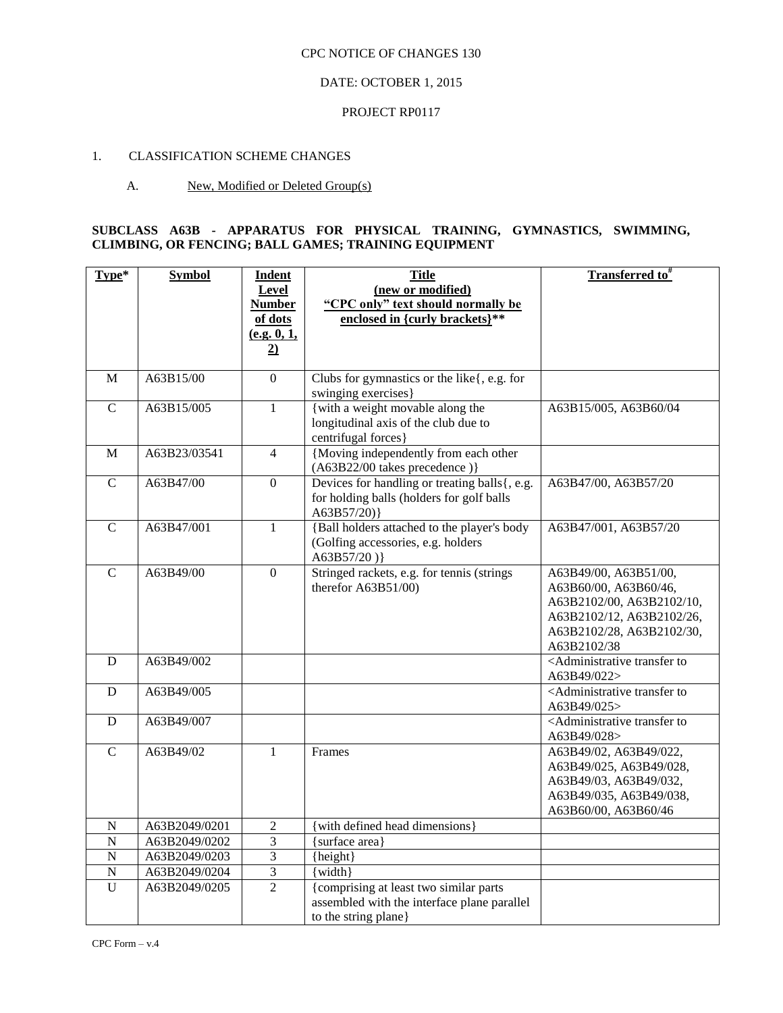## DATE: OCTOBER 1, 2015

#### PROJECT RP0117

#### 1. CLASSIFICATION SCHEME CHANGES

#### A. New, Modified or Deleted Group(s)

# **SUBCLASS A63B - APPARATUS FOR PHYSICAL TRAINING, GYMNASTICS, SWIMMING, CLIMBING, OR FENCING; BALL GAMES; TRAINING EQUIPMENT**

| Type*          | <b>Symbol</b> | <b>Indent</b><br><b>Level</b><br><b>Number</b><br>of dots<br>(e.g. 0, 1,<br>$\overline{2}$ | <b>Title</b><br>(new or modified)<br>"CPC only" text should normally be<br>enclosed in {curly brackets}**     | <b>Transferred to</b> #                                                                                                                              |
|----------------|---------------|--------------------------------------------------------------------------------------------|---------------------------------------------------------------------------------------------------------------|------------------------------------------------------------------------------------------------------------------------------------------------------|
| M              | A63B15/00     | $\overline{0}$                                                                             | Clubs for gymnastics or the like{, e.g. for<br>swinging exercises}                                            |                                                                                                                                                      |
| $\mathbf C$    | A63B15/005    | $\mathbf{1}$                                                                               | {with a weight movable along the<br>longitudinal axis of the club due to<br>centrifugal forces}               | A63B15/005, A63B60/04                                                                                                                                |
| M              | A63B23/03541  | $\overline{4}$                                                                             | {Moving independently from each other<br>(A63B22/00 takes precedence)}                                        |                                                                                                                                                      |
| $\mathsf{C}$   | A63B47/00     | $\boldsymbol{0}$                                                                           | Devices for handling or treating balls{, e.g.<br>for holding balls (holders for golf balls<br>A63B57/20)      | A63B47/00, A63B57/20                                                                                                                                 |
| $\overline{C}$ | A63B47/001    | $\mathbf{1}$                                                                               | {Ball holders attached to the player's body<br>(Golfing accessories, e.g. holders<br>A63B57/20)               | A63B47/001, A63B57/20                                                                                                                                |
| $\overline{C}$ | A63B49/00     | $\Omega$                                                                                   | Stringed rackets, e.g. for tennis (strings)<br>therefor A63B51/00)                                            | A63B49/00, A63B51/00,<br>A63B60/00, A63B60/46,<br>A63B2102/00, A63B2102/10,<br>A63B2102/12, A63B2102/26,<br>A63B2102/28, A63B2102/30,<br>A63B2102/38 |
| D              | A63B49/002    |                                                                                            |                                                                                                               | <administrative to<br="" transfer="">A63B49/022&gt;</administrative>                                                                                 |
| D              | A63B49/005    |                                                                                            |                                                                                                               | <administrative to<br="" transfer="">A63B49/025&gt;</administrative>                                                                                 |
| D              | A63B49/007    |                                                                                            |                                                                                                               | <administrative to<br="" transfer="">A63B49/028&gt;</administrative>                                                                                 |
| $\mathbf C$    | A63B49/02     | $\mathbf{1}$                                                                               | Frames                                                                                                        | A63B49/02, A63B49/022,<br>A63B49/025, A63B49/028,<br>A63B49/03, A63B49/032,<br>A63B49/035, A63B49/038,<br>A63B60/00, A63B60/46                       |
| N              | A63B2049/0201 | $\overline{2}$                                                                             | {with defined head dimensions}                                                                                |                                                                                                                                                      |
| ${\bf N}$      | A63B2049/0202 | $\overline{\mathbf{3}}$                                                                    | {surface area}                                                                                                |                                                                                                                                                      |
| N              | A63B2049/0203 | 3                                                                                          | {height}                                                                                                      |                                                                                                                                                      |
| $\mathbf N$    | A63B2049/0204 | 3                                                                                          | $\{width\}$                                                                                                   |                                                                                                                                                      |
| U              | A63B2049/0205 | $\overline{2}$                                                                             | {comprising at least two similar parts<br>assembled with the interface plane parallel<br>to the string plane} |                                                                                                                                                      |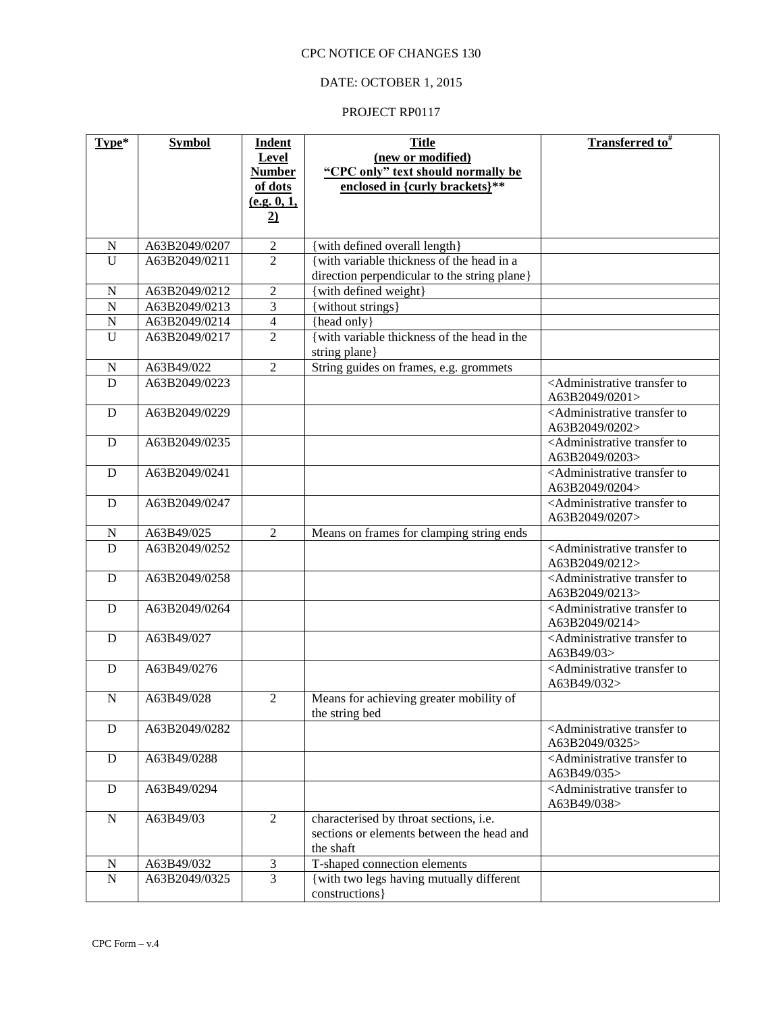# DATE: OCTOBER 1, 2015

| Type*          | <b>Symbol</b> | <b>Indent</b>       | <b>Title</b>                                                 | Transferred to <sup>#</sup>                                                  |
|----------------|---------------|---------------------|--------------------------------------------------------------|------------------------------------------------------------------------------|
|                |               | <b>Level</b>        | (new or modified)                                            |                                                                              |
|                |               | <b>Number</b>       | "CPC only" text should normally be                           |                                                                              |
|                |               | of dots             | enclosed in {curly brackets}**                               |                                                                              |
|                |               | (e.g. 0, 1,         |                                                              |                                                                              |
|                |               | $\overline{2}$      |                                                              |                                                                              |
| $\mathbf N$    | A63B2049/0207 | $\overline{2}$      | {with defined overall length}                                |                                                                              |
| U              | A63B2049/0211 | $\overline{2}$      | {with variable thickness of the head in a                    |                                                                              |
|                |               |                     | direction perpendicular to the string plane}                 |                                                                              |
| $\mathbf N$    | A63B2049/0212 | $\overline{2}$      | {with defined weight}                                        |                                                                              |
| $\overline{N}$ | A63B2049/0213 | $\overline{3}$      | {without strings}                                            |                                                                              |
| $\overline{N}$ | A63B2049/0214 | $\overline{4}$      | {head only}                                                  |                                                                              |
| $\overline{U}$ | A63B2049/0217 | $\overline{2}$      | {with variable thickness of the head in the<br>string plane} |                                                                              |
| $\mathbf N$    | A63B49/022    | 2                   | String guides on frames, e.g. grommets                       |                                                                              |
| D              | A63B2049/0223 |                     |                                                              | <administrative td="" to<="" transfer=""></administrative>                   |
|                |               |                     |                                                              | A63B2049/0201>                                                               |
| D              | A63B2049/0229 |                     |                                                              | <administrative td="" to<="" transfer=""></administrative>                   |
|                |               |                     |                                                              | A63B2049/0202>                                                               |
| D              | A63B2049/0235 |                     |                                                              | <administrative td="" to<="" transfer=""></administrative>                   |
|                |               |                     |                                                              | A63B2049/0203>                                                               |
| D              | A63B2049/0241 |                     |                                                              | <administrative to<br="" transfer="">A63B2049/0204&gt;</administrative>      |
| D              | A63B2049/0247 |                     |                                                              | <administrative to<br="" transfer="">A63B2049/0207&gt;</administrative>      |
| $\mathbf N$    | A63B49/025    | 2                   | Means on frames for clamping string ends                     |                                                                              |
| D              | A63B2049/0252 |                     |                                                              | <administrative td="" to<="" transfer=""></administrative>                   |
|                |               |                     |                                                              | A63B2049/0212>                                                               |
| D              | A63B2049/0258 |                     |                                                              | <administrative td="" to<="" transfer=""></administrative>                   |
|                | A63B2049/0264 |                     |                                                              | A63B2049/0213><br><administrative td="" to<="" transfer=""></administrative> |
| D              |               |                     |                                                              | A63B2049/0214>                                                               |
| D              | A63B49/027    |                     |                                                              | <administrative td="" to<="" transfer=""></administrative>                   |
|                |               |                     |                                                              | A63B49/03>                                                                   |
| D              | A63B49/0276   |                     |                                                              | <administrative to<br="" transfer="">A63B49/032&gt;</administrative>         |
| ${\bf N}$      | A63B49/028    | $\overline{2}$      | Means for achieving greater mobility of<br>the string bed    |                                                                              |
| D              | A63B2049/0282 |                     |                                                              | <administrative td="" to<="" transfer=""></administrative>                   |
|                |               |                     |                                                              | A63B2049/0325>                                                               |
| D              | A63B49/0288   |                     |                                                              | <administrative to<br="" transfer="">A63B49/035&gt;</administrative>         |
| $\mathbf D$    | A63B49/0294   |                     |                                                              | <administrative td="" to<="" transfer=""></administrative>                   |
|                |               |                     |                                                              | A63B49/038>                                                                  |
| ${\bf N}$      | A63B49/03     | 2                   | characterised by throat sections, i.e.                       |                                                                              |
|                |               |                     | sections or elements between the head and                    |                                                                              |
|                |               |                     | the shaft                                                    |                                                                              |
| ${\bf N}$      | A63B49/032    | $\mathfrak{Z}$<br>3 | T-shaped connection elements                                 |                                                                              |
| ${\bf N}$      | A63B2049/0325 |                     | {with two legs having mutually different<br>constructions }  |                                                                              |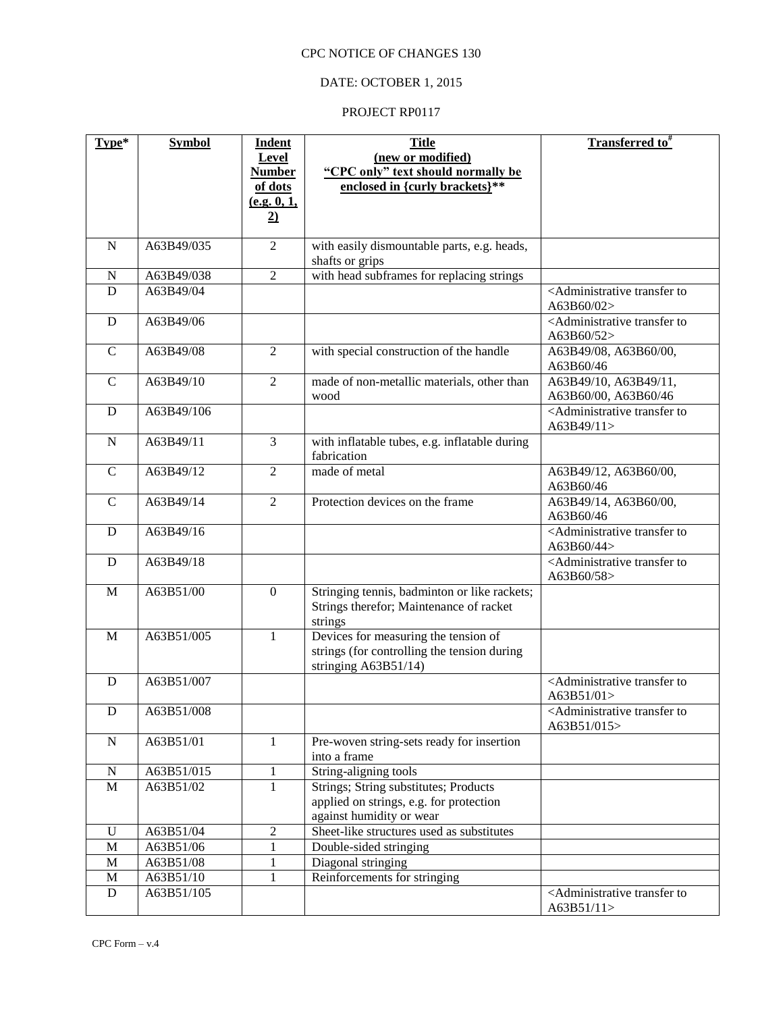# DATE: OCTOBER 1, 2015

| Type*        | <b>Symbol</b> | <b>Indent</b>  | <b>Title</b>                                  | Transferred to <sup>#</sup>                                         |
|--------------|---------------|----------------|-----------------------------------------------|---------------------------------------------------------------------|
|              |               | Level          | (new or modified)                             |                                                                     |
|              |               | <b>Number</b>  | "CPC only" text should normally be            |                                                                     |
|              |               | of dots        | enclosed in {curly brackets}**                |                                                                     |
|              |               | (e.g. 0, 1,    |                                               |                                                                     |
|              |               | $\overline{2}$ |                                               |                                                                     |
|              |               |                |                                               |                                                                     |
| $\mathbf N$  | A63B49/035    | $\overline{2}$ | with easily dismountable parts, e.g. heads,   |                                                                     |
|              |               |                | shafts or grips                               |                                                                     |
| $\mathbf N$  | A63B49/038    | $\overline{2}$ | with head subframes for replacing strings     |                                                                     |
| D            | A63B49/04     |                |                                               | <administrative td="" to<="" transfer=""></administrative>          |
|              |               |                |                                               | A63B60/02>                                                          |
| $\mathbf D$  | A63B49/06     |                |                                               | <administrative td="" to<="" transfer=""></administrative>          |
|              |               |                |                                               | A63B60/52>                                                          |
| $\mathbf C$  | A63B49/08     | $\overline{2}$ | with special construction of the handle       | A63B49/08, A63B60/00,                                               |
|              |               |                |                                               | A63B60/46                                                           |
| $\mathsf{C}$ | A63B49/10     | $\overline{2}$ | made of non-metallic materials, other than    | A63B49/10, A63B49/11,                                               |
|              |               |                | wood                                          | A63B60/00, A63B60/46                                                |
| D            | A63B49/106    |                |                                               | <administrative td="" to<="" transfer=""></administrative>          |
|              |               |                |                                               | A63B49/11>                                                          |
| $\mathbf N$  | A63B49/11     | 3              | with inflatable tubes, e.g. inflatable during |                                                                     |
|              |               |                | fabrication                                   |                                                                     |
| $\mathsf{C}$ | A63B49/12     | 2              | made of metal                                 | A63B49/12, A63B60/00,                                               |
|              |               |                |                                               | A63B60/46                                                           |
| $\mathsf{C}$ | A63B49/14     | $\overline{2}$ | Protection devices on the frame               | A63B49/14, A63B60/00,<br>A63B60/46                                  |
|              |               |                |                                               |                                                                     |
| D            | A63B49/16     |                |                                               | <administrative to<br="" transfer="">A63B60/44&gt;</administrative> |
| D            | A63B49/18     |                |                                               | <administrative td="" to<="" transfer=""></administrative>          |
|              |               |                |                                               | A63B60/58>                                                          |
| $\mathbf{M}$ | A63B51/00     | $\mathbf{0}$   | Stringing tennis, badminton or like rackets;  |                                                                     |
|              |               |                | Strings therefor; Maintenance of racket       |                                                                     |
|              |               |                | strings                                       |                                                                     |
| M            | A63B51/005    | $\mathbf{1}$   | Devices for measuring the tension of          |                                                                     |
|              |               |                | strings (for controlling the tension during   |                                                                     |
|              |               |                | stringing A63B51/14)                          |                                                                     |
| D            | A63B51/007    |                |                                               | <administrative td="" to<="" transfer=""></administrative>          |
|              |               |                |                                               | A63B51/01>                                                          |
| D            | A63B51/008    |                |                                               | <administrative td="" to<="" transfer=""></administrative>          |
|              |               |                |                                               | A63B51/015>                                                         |
| ${\bf N}$    | A63B51/01     | $\mathbf{1}$   | Pre-woven string-sets ready for insertion     |                                                                     |
|              |               |                | into a frame                                  |                                                                     |
| ${\bf N}$    | A63B51/015    | $\mathbf{1}$   | String-aligning tools                         |                                                                     |
| $\mathbf M$  | A63B51/02     | 1              | Strings; String substitutes; Products         |                                                                     |
|              |               |                | applied on strings, e.g. for protection       |                                                                     |
|              |               |                | against humidity or wear                      |                                                                     |
| $\mathbf U$  | A63B51/04     | $\sqrt{2}$     | Sheet-like structures used as substitutes     |                                                                     |
| $\mathbf M$  | A63B51/06     | 1              | Double-sided stringing                        |                                                                     |
| $\mathbf M$  | A63B51/08     | 1              | Diagonal stringing                            |                                                                     |
| $\mathbf M$  | A63B51/10     | $\mathbf{1}$   | Reinforcements for stringing                  |                                                                     |
| ${\bf D}$    | A63B51/105    |                |                                               | <administrative to<br="" transfer="">A63B51/11&gt;</administrative> |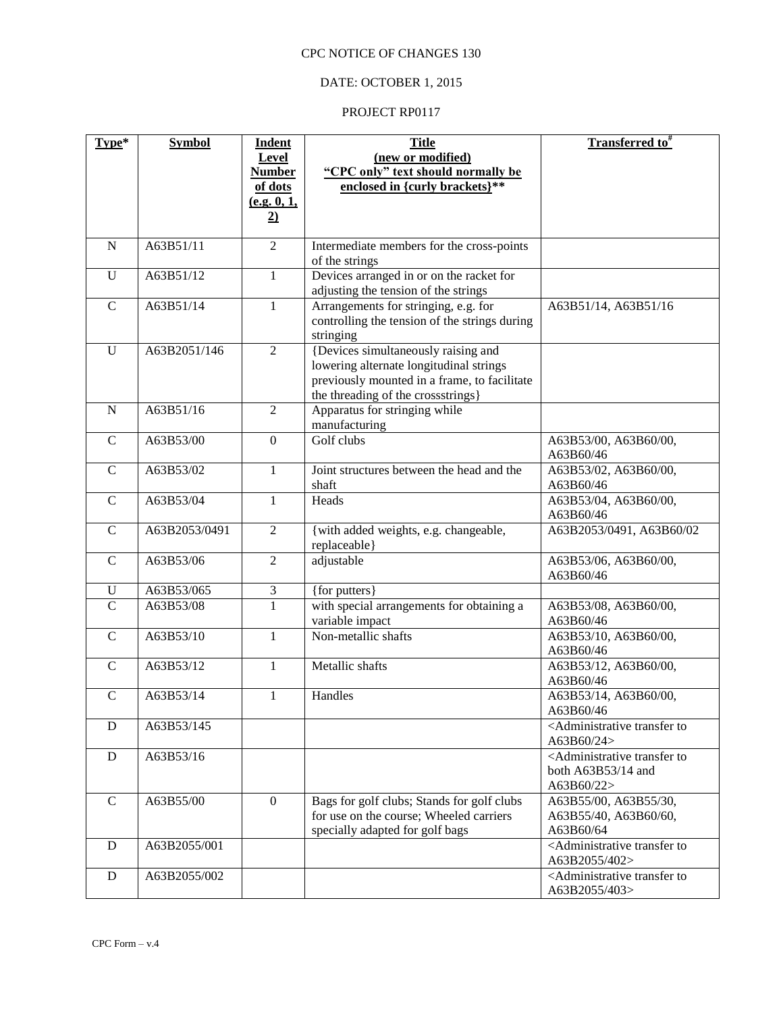# DATE: OCTOBER 1, 2015

| Type*          | $Symbo$       | <b>Indent</b>  | <b>Title</b>                                                                     | Transferred to <sup>#</sup>                                            |
|----------------|---------------|----------------|----------------------------------------------------------------------------------|------------------------------------------------------------------------|
|                |               | Level          | (new or modified)                                                                |                                                                        |
|                |               | <b>Number</b>  | "CPC only" text should normally be                                               |                                                                        |
|                |               | of dots        | enclosed in {curly brackets}**                                                   |                                                                        |
|                |               | (e.g. 0, 1,    |                                                                                  |                                                                        |
|                |               | $\overline{2}$ |                                                                                  |                                                                        |
| $\mathbf N$    | A63B51/11     | $\overline{2}$ | Intermediate members for the cross-points                                        |                                                                        |
|                |               |                | of the strings                                                                   |                                                                        |
| $\mathbf U$    | A63B51/12     | $\mathbf{1}$   | Devices arranged in or on the racket for<br>adjusting the tension of the strings |                                                                        |
| $\mathbf C$    | A63B51/14     | 1              | Arrangements for stringing, e.g. for                                             | A63B51/14, A63B51/16                                                   |
|                |               |                | controlling the tension of the strings during                                    |                                                                        |
|                |               |                | stringing                                                                        |                                                                        |
| $\mathbf U$    | A63B2051/146  | $\overline{2}$ | {Devices simultaneously raising and                                              |                                                                        |
|                |               |                | lowering alternate longitudinal strings                                          |                                                                        |
|                |               |                | previously mounted in a frame, to facilitate                                     |                                                                        |
|                |               |                | the threading of the crossstrings}                                               |                                                                        |
| $\mathbf N$    | A63B51/16     | $\overline{2}$ | Apparatus for stringing while                                                    |                                                                        |
|                |               |                | manufacturing                                                                    |                                                                        |
| $\mathsf{C}$   | A63B53/00     | $\mathbf{0}$   | Golf clubs                                                                       | A63B53/00, A63B60/00,                                                  |
|                |               |                |                                                                                  | A63B60/46                                                              |
| $\mathbf C$    | A63B53/02     | $\mathbf{1}$   | Joint structures between the head and the                                        | A63B53/02, A63B60/00,                                                  |
|                |               |                | shaft                                                                            | A63B60/46                                                              |
| $\mathcal{C}$  | A63B53/04     | $\mathbf{1}$   | Heads                                                                            | A63B53/04, A63B60/00,                                                  |
|                |               |                |                                                                                  | A63B60/46                                                              |
| $\mathsf{C}$   | A63B2053/0491 | $\overline{2}$ | {with added weights, e.g. changeable,<br>replaceable}                            | A63B2053/0491, A63B60/02                                               |
| $\mathbf C$    | A63B53/06     | $\overline{2}$ | adjustable                                                                       | A63B53/06, A63B60/00,                                                  |
|                |               |                |                                                                                  | A63B60/46                                                              |
| U              | A63B53/065    | 3              | {for putters}                                                                    |                                                                        |
| $\overline{C}$ | A63B53/08     | $\overline{1}$ | with special arrangements for obtaining a                                        | A63B53/08, A63B60/00,                                                  |
|                |               |                | variable impact                                                                  | A63B60/46                                                              |
| $\mathbf C$    | A63B53/10     | $\mathbf{1}$   | Non-metallic shafts                                                              | A63B53/10, A63B60/00,<br>A63B60/46                                     |
| $\mathbf C$    | A63B53/12     | $\mathbf{1}$   | Metallic shafts                                                                  | A63B53/12, A63B60/00,                                                  |
|                |               |                |                                                                                  | A63B60/46                                                              |
| $\mathbf C$    | A63B53/14     | $\mathbf{1}$   | Handles                                                                          | A63B53/14, A63B60/00,                                                  |
|                |               |                |                                                                                  | A63B60/46                                                              |
| D              | A63B53/145    |                |                                                                                  | <administrative td="" to<="" transfer=""></administrative>             |
|                |               |                |                                                                                  | A63B60/24>                                                             |
| D              | A63B53/16     |                |                                                                                  | <administrative td="" to<="" transfer=""></administrative>             |
|                |               |                |                                                                                  | both A63B53/14 and                                                     |
|                |               |                |                                                                                  | A63B60/22>                                                             |
| $\mathsf{C}$   | A63B55/00     | $\mathbf{0}$   | Bags for golf clubs; Stands for golf clubs                                       | A63B55/00, A63B55/30,                                                  |
|                |               |                | for use on the course; Wheeled carriers                                          | A63B55/40, A63B60/60,                                                  |
|                |               |                | specially adapted for golf bags                                                  | A63B60/64                                                              |
| D              | A63B2055/001  |                |                                                                                  | <administrative to<br="" transfer="">A63B2055/402&gt;</administrative> |
| D              | A63B2055/002  |                |                                                                                  | <administrative td="" to<="" transfer=""></administrative>             |
|                |               |                |                                                                                  | A63B2055/403>                                                          |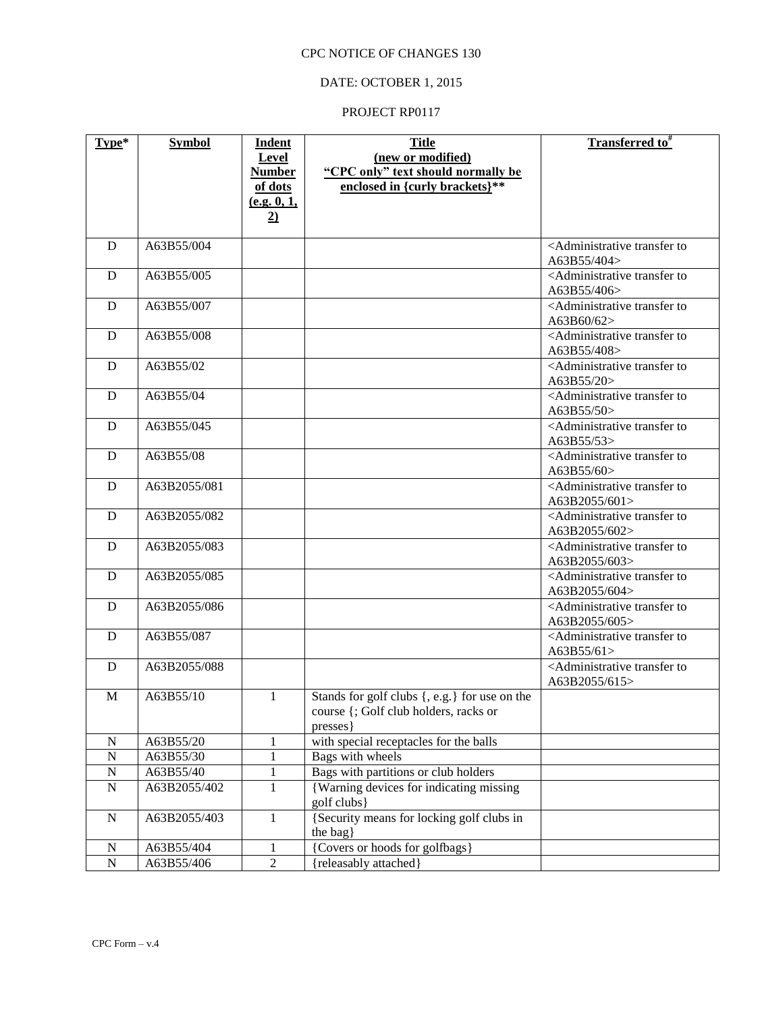# DATE: OCTOBER 1, 2015

| Type*       | <b>Symbol</b> | <b>Indent</b><br>Level   | <b>Title</b><br>(new or modified)                                    | Transferred to#                                                             |
|-------------|---------------|--------------------------|----------------------------------------------------------------------|-----------------------------------------------------------------------------|
|             |               | <b>Number</b><br>of dots | "CPC only" text should normally be<br>enclosed in {curly brackets}** |                                                                             |
|             |               | (e.g. 0, 1,              |                                                                      |                                                                             |
|             |               | $\overline{2}$           |                                                                      |                                                                             |
| D           | A63B55/004    |                          |                                                                      | <administrative td="" to<="" transfer=""></administrative>                  |
|             |               |                          |                                                                      | A63B55/404>                                                                 |
| D           | A63B55/005    |                          |                                                                      | <administrative td="" to<="" transfer=""></administrative>                  |
|             |               |                          |                                                                      | A63B55/406>                                                                 |
| D           | A63B55/007    |                          |                                                                      | <administrative td="" to<="" transfer=""></administrative>                  |
|             |               |                          |                                                                      | A63B60/62>                                                                  |
| D           | A63B55/008    |                          |                                                                      | <administrative to<br="" transfer="">A63B55/408&gt;</administrative>        |
| D           | A63B55/02     |                          |                                                                      | <administrative td="" to<="" transfer=""></administrative>                  |
|             |               |                          |                                                                      | A63B55/20>                                                                  |
| D           | A63B55/04     |                          |                                                                      | <administrative td="" to<="" transfer=""></administrative>                  |
|             |               |                          |                                                                      | A63B55/50>                                                                  |
| D           | A63B55/045    |                          |                                                                      | <administrative td="" to<="" transfer=""></administrative>                  |
| D           | A63B55/08     |                          |                                                                      | A63B55/53><br><administrative td="" to<="" transfer=""></administrative>    |
|             |               |                          |                                                                      | A63B55/60>                                                                  |
| D           | A63B2055/081  |                          |                                                                      | <administrative td="" to<="" transfer=""></administrative>                  |
|             |               |                          |                                                                      | A63B2055/601>                                                               |
| D           | A63B2055/082  |                          |                                                                      | <administrative td="" to<="" transfer=""></administrative>                  |
|             |               |                          |                                                                      | A63B2055/602>                                                               |
| D           | A63B2055/083  |                          |                                                                      | <administrative td="" to<="" transfer=""></administrative>                  |
| D           | A63B2055/085  |                          |                                                                      | A63B2055/603><br><administrative td="" to<="" transfer=""></administrative> |
|             |               |                          |                                                                      | A63B2055/604>                                                               |
| D           | A63B2055/086  |                          |                                                                      | <administrative td="" to<="" transfer=""></administrative>                  |
|             |               |                          |                                                                      | A63B2055/605>                                                               |
| D           | A63B55/087    |                          |                                                                      | <administrative td="" to<="" transfer=""></administrative>                  |
|             |               |                          |                                                                      | A63B55/61>                                                                  |
| D           | A63B2055/088  |                          |                                                                      | <administrative to<br="" transfer="">A63B2055/615&gt;</administrative>      |
| M           | A63B55/10     | $\mathbf{1}$             | Stands for golf clubs {, e.g.} for use on the                        |                                                                             |
|             |               |                          | course {; Golf club holders, racks or                                |                                                                             |
|             |               |                          | presses                                                              |                                                                             |
| ${\bf N}$   | A63B55/20     | $\mathbf{1}$             | with special receptacles for the balls                               |                                                                             |
| ${\bf N}$   | A63B55/30     | $\mathbf{1}$             | Bags with wheels                                                     |                                                                             |
| ${\bf N}$   | A63B55/40     | $\mathbf{1}$             | Bags with partitions or club holders                                 |                                                                             |
| ${\bf N}$   | A63B2055/402  | $\mathbf{1}$             | {Warning devices for indicating missing<br>golf clubs}               |                                                                             |
| $\mathbf N$ | A63B2055/403  | 1                        | {Security means for locking golf clubs in                            |                                                                             |
|             |               |                          | the bag}                                                             |                                                                             |
| N           | A63B55/404    | 1                        | {Covers or hoods for golfbags}                                       |                                                                             |
| ${\bf N}$   | A63B55/406    | $\overline{2}$           | {releasably attached}                                                |                                                                             |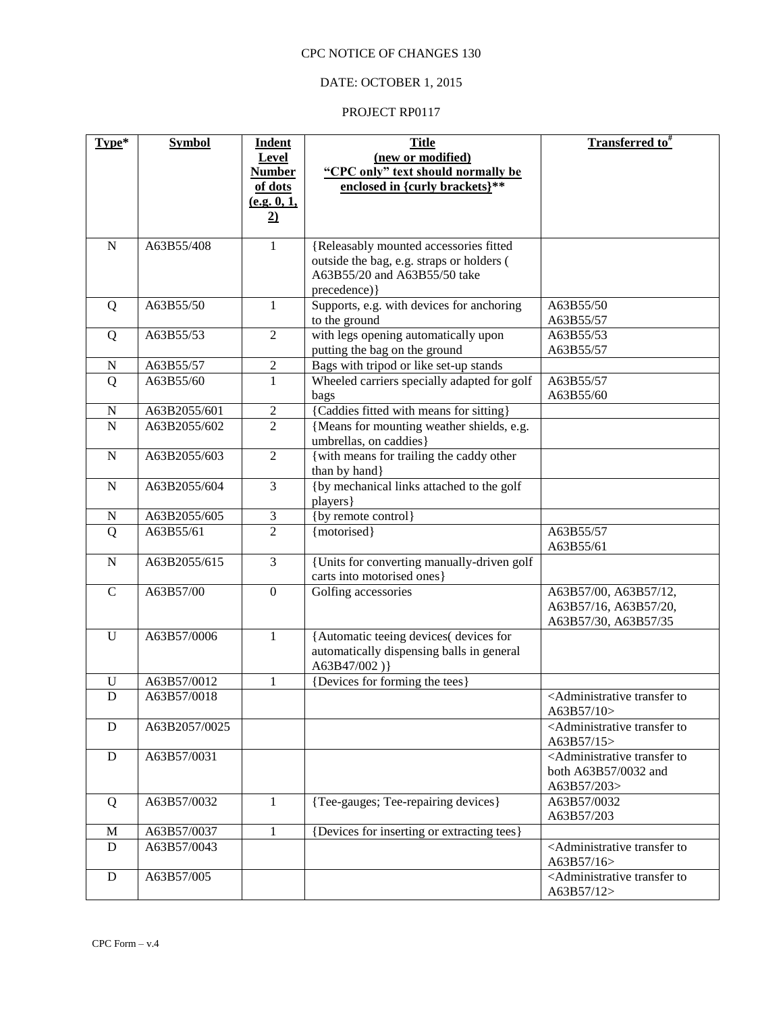# DATE: OCTOBER 1, 2015

| Type*            | <b>Symbol</b> | <b>Indent</b>                    | <b>Title</b>                                               | <b>Transferred to</b> <sup>#</sup>                                       |
|------------------|---------------|----------------------------------|------------------------------------------------------------|--------------------------------------------------------------------------|
|                  |               | <b>Level</b>                     | (new or modified)                                          |                                                                          |
|                  |               | <b>Number</b>                    | "CPC only" text should normally be                         |                                                                          |
|                  |               | of dots                          | enclosed in {curly brackets}**                             |                                                                          |
|                  |               | (e.g. 0, 1,                      |                                                            |                                                                          |
|                  |               | $\overline{2}$                   |                                                            |                                                                          |
| $\mathbf N$      | A63B55/408    | 1                                | {Releasably mounted accessories fitted                     |                                                                          |
|                  |               |                                  | outside the bag, e.g. straps or holders (                  |                                                                          |
|                  |               |                                  | A63B55/20 and A63B55/50 take                               |                                                                          |
|                  |               |                                  | precedence) }                                              |                                                                          |
| Q                | A63B55/50     | 1                                | Supports, e.g. with devices for anchoring<br>to the ground | A63B55/50<br>A63B55/57                                                   |
| Q                | A63B55/53     | $\overline{2}$                   | with legs opening automatically upon                       | A63B55/53                                                                |
|                  |               |                                  | putting the bag on the ground                              | A63B55/57                                                                |
| $\mathbf N$      | A63B55/57     | $\sqrt{2}$                       | Bags with tripod or like set-up stands                     |                                                                          |
| Q                | A63B55/60     | $\mathbf{1}$                     | Wheeled carriers specially adapted for golf                | A63B55/57                                                                |
|                  |               |                                  | bags                                                       | A63B55/60                                                                |
| $\mathbf N$      | A63B2055/601  | $\sqrt{2}$                       | {Caddies fitted with means for sitting}                    |                                                                          |
| $\mathbf N$      | A63B2055/602  | $\overline{2}$                   | {Means for mounting weather shields, e.g.                  |                                                                          |
|                  |               |                                  | umbrellas, on caddies}                                     |                                                                          |
| $\mathbf N$      | A63B2055/603  | $\overline{2}$                   | { with means for trailing the caddy other<br>than by hand} |                                                                          |
| N                | A63B2055/604  | $\mathfrak{Z}$                   | {by mechanical links attached to the golf                  |                                                                          |
|                  | A63B2055/605  |                                  | players }<br>{by remote control}                           |                                                                          |
| $\mathbf N$<br>Q | A63B55/61     | $\mathfrak{Z}$<br>$\overline{2}$ | {motorised}                                                | A63B55/57                                                                |
|                  |               |                                  |                                                            | A63B55/61                                                                |
| $\mathbf N$      | A63B2055/615  | $\mathfrak{Z}$                   | {Units for converting manually-driven golf                 |                                                                          |
|                  |               |                                  | carts into motorised ones}                                 |                                                                          |
| $\mathsf{C}$     | A63B57/00     | $\boldsymbol{0}$                 | Golfing accessories                                        | A63B57/00, A63B57/12,                                                    |
|                  |               |                                  |                                                            | A63B57/16, A63B57/20,                                                    |
|                  |               |                                  |                                                            | A63B57/30, A63B57/35                                                     |
| $\mathbf U$      | A63B57/0006   | 1                                | {Automatic teeing devices( devices for                     |                                                                          |
|                  |               |                                  | automatically dispensing balls in general<br>A63B47/002)}  |                                                                          |
| $\mathbf U$      | A63B57/0012   | $\mathbf{1}$                     | {Devices for forming the tees}                             |                                                                          |
| $\mathbf D$      | A63B57/0018   |                                  |                                                            | <administrative td="" to<="" transfer=""></administrative>               |
|                  |               |                                  |                                                            | A63B57/10>                                                               |
| ${\bf D}$        | A63B2057/0025 |                                  |                                                            | <administrative td="" to<="" transfer=""></administrative>               |
| D                | A63B57/0031   |                                  |                                                            | A63B57/15><br><administrative td="" to<="" transfer=""></administrative> |
|                  |               |                                  |                                                            | both A63B57/0032 and                                                     |
|                  |               |                                  |                                                            | A63B57/203>                                                              |
| Q                | A63B57/0032   | $\mathbf{1}$                     | {Tee-gauges; Tee-repairing devices}                        | A63B57/0032                                                              |
|                  |               |                                  |                                                            | A63B57/203                                                               |
| M                | A63B57/0037   | 1                                | {Devices for inserting or extracting tees}                 |                                                                          |
| D                | A63B57/0043   |                                  |                                                            | <administrative td="" to<="" transfer=""></administrative>               |
|                  |               |                                  |                                                            | A63B57/16>                                                               |
| ${\bf D}$        | A63B57/005    |                                  |                                                            | <administrative td="" to<="" transfer=""></administrative>               |
|                  |               |                                  |                                                            | A63B57/12>                                                               |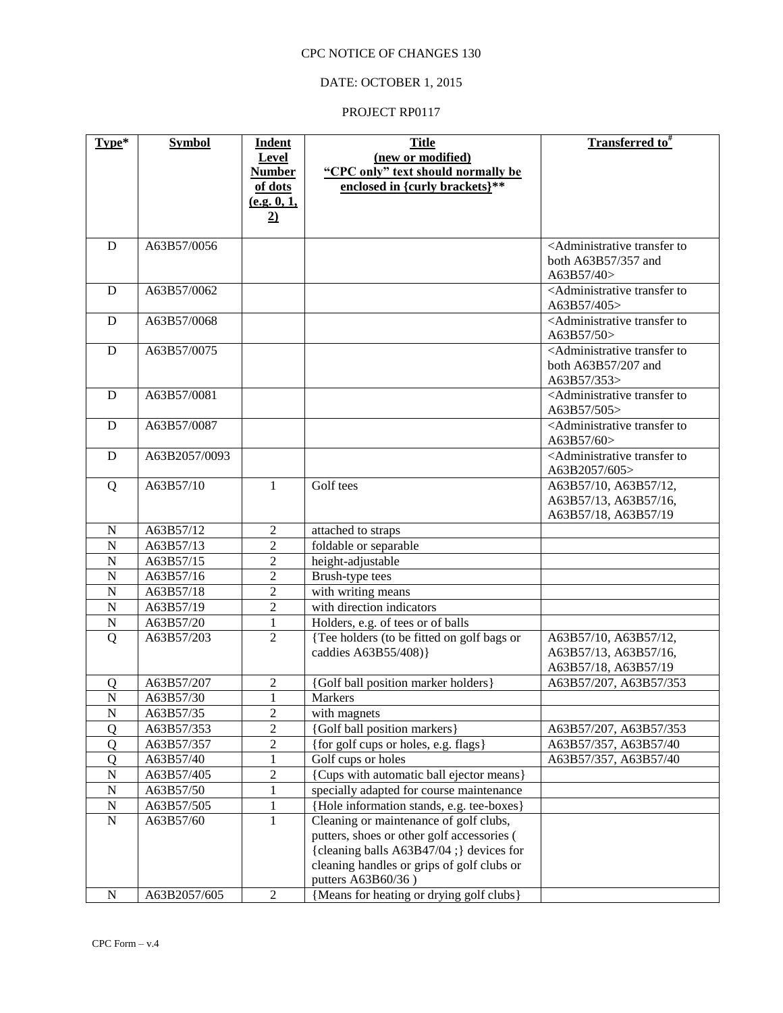# DATE: OCTOBER 1, 2015

| Type*            | <b>Symbol</b>           | <b>Indent</b>                      | <b>Title</b>                                                                         | Transferred to <sup>#</sup>                                               |
|------------------|-------------------------|------------------------------------|--------------------------------------------------------------------------------------|---------------------------------------------------------------------------|
|                  |                         | Level                              | (new or modified)                                                                    |                                                                           |
|                  |                         | <b>Number</b>                      | "CPC only" text should normally be                                                   |                                                                           |
|                  |                         | of dots                            | enclosed in {curly brackets}**                                                       |                                                                           |
|                  |                         | (e.g. 0, 1,                        |                                                                                      |                                                                           |
|                  |                         | $\overline{2}$                     |                                                                                      |                                                                           |
| $\mathbf D$      | A63B57/0056             |                                    |                                                                                      | <administrative td="" to<="" transfer=""></administrative>                |
|                  |                         |                                    |                                                                                      | both A63B57/357 and                                                       |
|                  |                         |                                    |                                                                                      | A63B57/40>                                                                |
| D                | A63B57/0062             |                                    |                                                                                      | <administrative td="" to<="" transfer=""></administrative>                |
|                  |                         |                                    |                                                                                      | A63B57/405>                                                               |
| D                | A63B57/0068             |                                    |                                                                                      | <administrative td="" to<="" transfer=""></administrative>                |
|                  |                         |                                    |                                                                                      | A63B57/50>                                                                |
| D                | A63B57/0075             |                                    |                                                                                      | <administrative td="" to<="" transfer=""></administrative>                |
|                  |                         |                                    |                                                                                      | both A63B57/207 and                                                       |
|                  | A63B57/0081             |                                    |                                                                                      | A63B57/353><br><administrative td="" to<="" transfer=""></administrative> |
| D                |                         |                                    |                                                                                      | A63B57/505>                                                               |
| D                | A63B57/0087             |                                    |                                                                                      | <administrative td="" to<="" transfer=""></administrative>                |
|                  |                         |                                    |                                                                                      | A63B57/60>                                                                |
| D                | A63B2057/0093           |                                    |                                                                                      | <administrative td="" to<="" transfer=""></administrative>                |
|                  |                         |                                    |                                                                                      | A63B2057/605>                                                             |
| Q                | A63B57/10               | 1                                  | Golf tees                                                                            | A63B57/10, A63B57/12,                                                     |
|                  |                         |                                    |                                                                                      | A63B57/13, A63B57/16,                                                     |
|                  |                         |                                    |                                                                                      | A63B57/18, A63B57/19                                                      |
| ${\bf N}$        | A63B57/12               | $\overline{c}$                     | attached to straps                                                                   |                                                                           |
| ${\bf N}$        | A63B57/13               | $\overline{2}$                     | foldable or separable                                                                |                                                                           |
| $\overline{N}$   | A63B57/15               | $\overline{2}$                     | height-adjustable                                                                    |                                                                           |
| $\overline{N}$   | A63B57/16               | $\overline{2}$                     | Brush-type tees                                                                      |                                                                           |
| $\overline{N}$   | A63B57/18               | $\overline{2}$                     | with writing means                                                                   |                                                                           |
| ${\bf N}$        | A63B57/19               | $\overline{2}$                     | with direction indicators                                                            |                                                                           |
| ${\bf N}$        | A63B57/20               | $\mathbf{1}$                       | Holders, e.g. of tees or of balls                                                    |                                                                           |
| Q                | A63B57/203              | $\overline{2}$                     | {Tee holders (to be fitted on golf bags or                                           | A63B57/10, A63B57/12,                                                     |
|                  |                         |                                    | caddies A63B55/408)}                                                                 | A63B57/13, A63B57/16,                                                     |
|                  |                         |                                    |                                                                                      | A63B57/18, A63B57/19                                                      |
| 0                | A63B57/207              | 2                                  | {Golf ball position marker holders}                                                  | A63B57/207, A63B57/353                                                    |
| $\mathbf N$      | A63B57/30               | $\mathbf{1}$                       | Markers                                                                              |                                                                           |
| ${\bf N}$        | A63B57/35               | $\overline{c}$                     | with magnets<br>{Golf ball position markers}                                         |                                                                           |
| $\overline{Q}$   | A63B57/353              | $\overline{c}$<br>$\boldsymbol{2}$ |                                                                                      | A63B57/207, A63B57/353                                                    |
| Q<br>$\mathbf Q$ | A63B57/357              | $\mathbf{1}$                       | {for golf cups or holes, e.g. flags}<br>Golf cups or holes                           | A63B57/357, A63B57/40                                                     |
| ${\bf N}$        | A63B57/40               | $\overline{2}$                     |                                                                                      | A63B57/357, A63B57/40                                                     |
| ${\bf N}$        | A63B57/405<br>A63B57/50 | $\mathbf{1}$                       | {Cups with automatic ball ejector means}<br>specially adapted for course maintenance |                                                                           |
| ${\bf N}$        | A63B57/505              | $\mathbf 1$                        | {Hole information stands, e.g. tee-boxes}                                            |                                                                           |
| ${\bf N}$        | A63B57/60               | $\mathbf{1}$                       | Cleaning or maintenance of golf clubs,                                               |                                                                           |
|                  |                         |                                    | putters, shoes or other golf accessories (                                           |                                                                           |
|                  |                         |                                    | {cleaning balls A63B47/04 ;} devices for                                             |                                                                           |
|                  |                         |                                    | cleaning handles or grips of golf clubs or                                           |                                                                           |
|                  |                         |                                    | putters A63B60/36)                                                                   |                                                                           |
| N                | A63B2057/605            | $\overline{2}$                     | {Means for heating or drying golf clubs}                                             |                                                                           |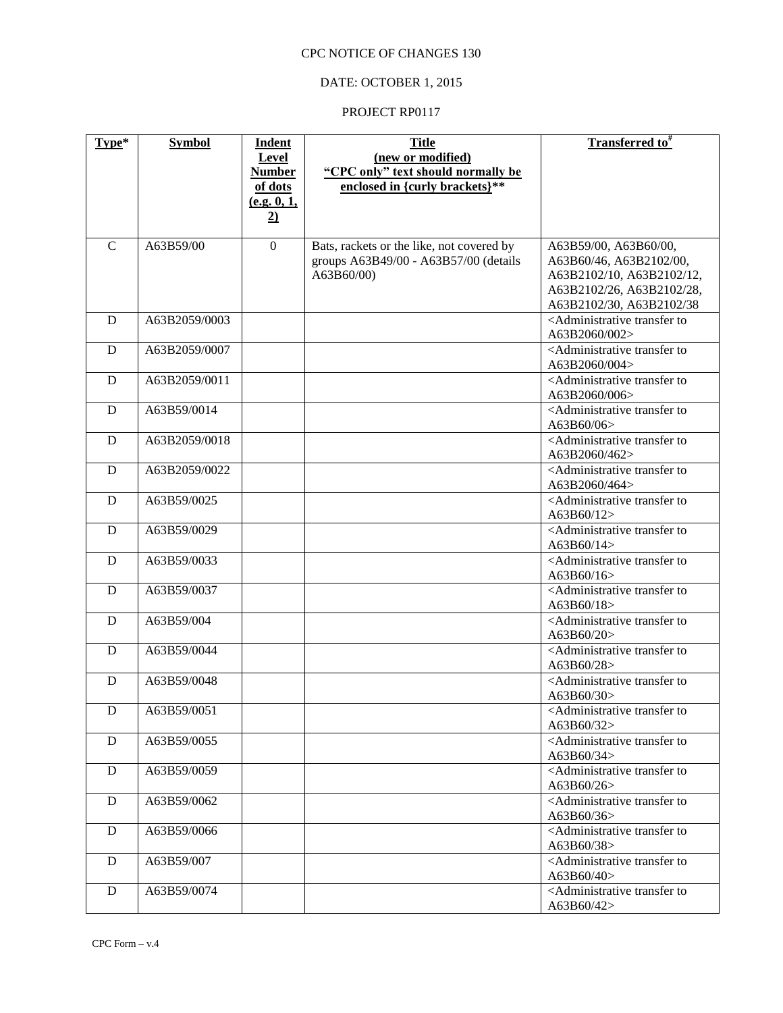# DATE: OCTOBER 1, 2015

| Type*         | <b>Symbol</b> | <b>Indent</b>  | <b>Title</b>                              | Transferred to <sup>#</sup>                                                 |
|---------------|---------------|----------------|-------------------------------------------|-----------------------------------------------------------------------------|
|               |               | Level          | (new or modified)                         |                                                                             |
|               |               | <b>Number</b>  | "CPC only" text should normally be        |                                                                             |
|               |               | of dots        | enclosed in {curly brackets}**            |                                                                             |
|               |               | (e.g. 0, 1,    |                                           |                                                                             |
|               |               | $\overline{2}$ |                                           |                                                                             |
|               |               |                |                                           |                                                                             |
| $\mathcal{C}$ | A63B59/00     | $\mathbf{0}$   | Bats, rackets or the like, not covered by | A63B59/00, A63B60/00,                                                       |
|               |               |                | groups A63B49/00 - A63B57/00 (details     | A63B60/46, A63B2102/00,                                                     |
|               |               |                | A63B60/00)                                | A63B2102/10, A63B2102/12,                                                   |
|               |               |                |                                           | A63B2102/26, A63B2102/28,                                                   |
|               |               |                |                                           | A63B2102/30, A63B2102/38                                                    |
| D             | A63B2059/0003 |                |                                           | <administrative td="" to<="" transfer=""></administrative>                  |
|               | A63B2059/0007 |                |                                           | A63B2060/002><br><administrative td="" to<="" transfer=""></administrative> |
| D             |               |                |                                           | A63B2060/004>                                                               |
| D             | A63B2059/0011 |                |                                           | <administrative td="" to<="" transfer=""></administrative>                  |
|               |               |                |                                           | A63B2060/006>                                                               |
| D             | A63B59/0014   |                |                                           | <administrative td="" to<="" transfer=""></administrative>                  |
|               |               |                |                                           | A63B60/06                                                                   |
| D             | A63B2059/0018 |                |                                           | <administrative td="" to<="" transfer=""></administrative>                  |
|               |               |                |                                           | A63B2060/462>                                                               |
| D             | A63B2059/0022 |                |                                           | <administrative td="" to<="" transfer=""></administrative>                  |
|               |               |                |                                           | A63B2060/464>                                                               |
| D             | A63B59/0025   |                |                                           | <administrative td="" to<="" transfer=""></administrative>                  |
|               |               |                |                                           | A63B60/12>                                                                  |
| D             | A63B59/0029   |                |                                           | <administrative td="" to<="" transfer=""></administrative>                  |
|               |               |                |                                           | A63B60/14>                                                                  |
| D             | A63B59/0033   |                |                                           | <administrative td="" to<="" transfer=""></administrative>                  |
|               |               |                |                                           | A63B60/16>                                                                  |
| D             | A63B59/0037   |                |                                           | <administrative td="" to<="" transfer=""></administrative>                  |
|               |               |                |                                           | A63B60/18>                                                                  |
| D             | A63B59/004    |                |                                           | <administrative td="" to<="" transfer=""></administrative>                  |
|               |               |                |                                           | A63B60/20>                                                                  |
| D             | A63B59/0044   |                |                                           | <administrative td="" to<="" transfer=""></administrative>                  |
|               |               |                |                                           | A63B60/28>                                                                  |
| D             | A63B59/0048   |                |                                           | <administrative to<br="" transfer="">A63B60/30&gt;</administrative>         |
| D             | A63B59/0051   |                |                                           | <administrative td="" to<="" transfer=""></administrative>                  |
|               |               |                |                                           | A63B60/32>                                                                  |
| D             | A63B59/0055   |                |                                           | <administrative td="" to<="" transfer=""></administrative>                  |
|               |               |                |                                           | A63B60/34>                                                                  |
| D             | A63B59/0059   |                |                                           | <administrative td="" to<="" transfer=""></administrative>                  |
|               |               |                |                                           | A63B60/26>                                                                  |
| D             | A63B59/0062   |                |                                           | <administrative td="" to<="" transfer=""></administrative>                  |
|               |               |                |                                           | A63B60/36>                                                                  |
| D             | A63B59/0066   |                |                                           | <administrative td="" to<="" transfer=""></administrative>                  |
|               |               |                |                                           | A63B60/38>                                                                  |
| D             | A63B59/007    |                |                                           | <administrative td="" to<="" transfer=""></administrative>                  |
|               |               |                |                                           | A63B60/40>                                                                  |
| ${\bf D}$     | A63B59/0074   |                |                                           | <administrative td="" to<="" transfer=""></administrative>                  |
|               |               |                |                                           | A63B60/42>                                                                  |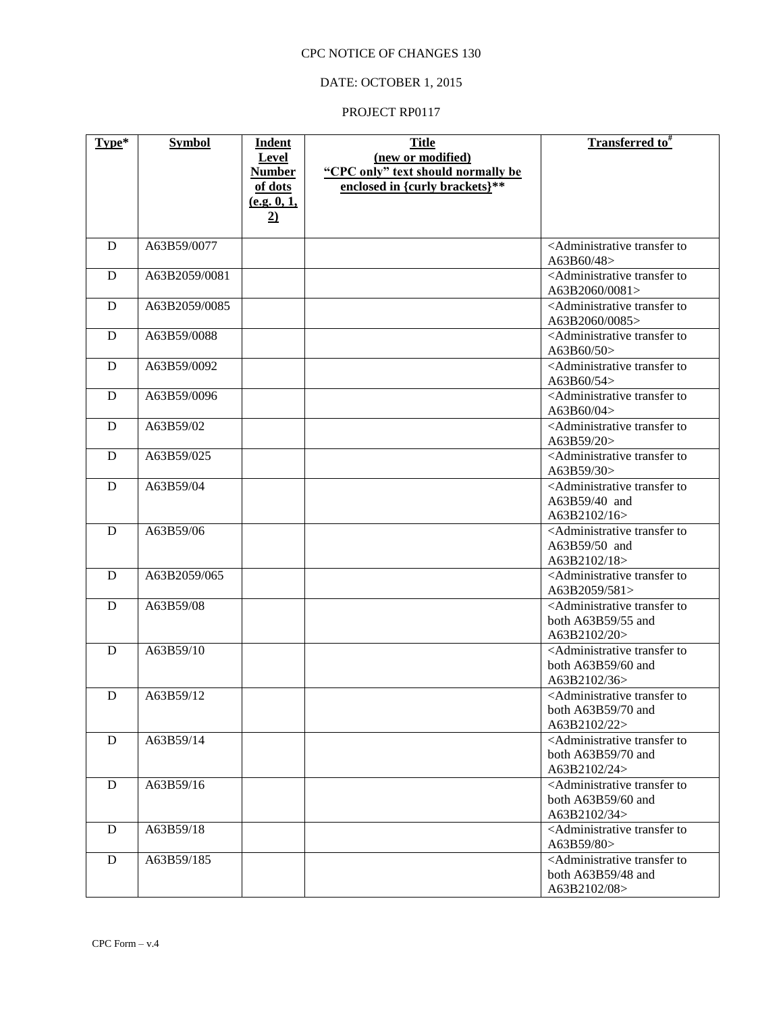# DATE: OCTOBER 1, 2015

| Type* | <b>Symbol</b> | <b>Indent</b>       | <b>Title</b>                       | Transferred to <sup>#</sup>                                                      |
|-------|---------------|---------------------|------------------------------------|----------------------------------------------------------------------------------|
|       |               | <b>Level</b>        | (new or modified)                  |                                                                                  |
|       |               | <b>Number</b>       | "CPC only" text should normally be |                                                                                  |
|       |               | of dots             | enclosed in {curly brackets}**     |                                                                                  |
|       |               | <u>(e.g. 0, 1, </u> |                                    |                                                                                  |
|       |               | $\overline{2}$      |                                    |                                                                                  |
| D     | A63B59/0077   |                     |                                    | <administrative td="" to<="" transfer=""></administrative>                       |
|       |               |                     |                                    | A63B60/48>                                                                       |
| D     | A63B2059/0081 |                     |                                    | <administrative td="" to<="" transfer=""></administrative>                       |
|       |               |                     |                                    | A63B2060/0081>                                                                   |
| D     | A63B2059/0085 |                     |                                    | <administrative td="" to<="" transfer=""></administrative>                       |
| D     | A63B59/0088   |                     |                                    | A63B2060/0085><br><administrative td="" to<="" transfer=""></administrative>     |
|       |               |                     |                                    | A63B60/50>                                                                       |
| D     | A63B59/0092   |                     |                                    | <administrative td="" to<="" transfer=""></administrative>                       |
|       |               |                     |                                    | A63B60/54>                                                                       |
| D     | A63B59/0096   |                     |                                    | <administrative td="" to<="" transfer=""></administrative>                       |
|       |               |                     |                                    | A63B60/04>                                                                       |
| D     | A63B59/02     |                     |                                    | <administrative td="" to<="" transfer=""></administrative>                       |
|       |               |                     |                                    | A63B59/20>                                                                       |
| D     | A63B59/025    |                     |                                    | <administrative td="" to<="" transfer=""></administrative>                       |
|       | A63B59/04     |                     |                                    | A63B59/30>                                                                       |
| D     |               |                     |                                    | <administrative to<br="" transfer=""><math>A63B59/40</math> and</administrative> |
|       |               |                     |                                    | A63B2102/16>                                                                     |
| D     | A63B59/06     |                     |                                    | <administrative td="" to<="" transfer=""></administrative>                       |
|       |               |                     |                                    | A63B59/50 and                                                                    |
|       |               |                     |                                    | A63B2102/18>                                                                     |
| D     | A63B2059/065  |                     |                                    | <administrative td="" to<="" transfer=""></administrative>                       |
|       |               |                     |                                    | A63B2059/581>                                                                    |
| D     | A63B59/08     |                     |                                    | <administrative td="" to<="" transfer=""></administrative>                       |
|       |               |                     |                                    | both A63B59/55 and                                                               |
| D     | A63B59/10     |                     |                                    | A63B2102/20>                                                                     |
|       |               |                     |                                    | <administrative to<br="" transfer="">both A63B59/60 and</administrative>         |
|       |               |                     |                                    | A63B2102/36>                                                                     |
| D     | A63B59/12     |                     |                                    | <administrative td="" to<="" transfer=""></administrative>                       |
|       |               |                     |                                    | both A63B59/70 and                                                               |
|       |               |                     |                                    | A63B2102/22>                                                                     |
| D     | A63B59/14     |                     |                                    | <administrative td="" to<="" transfer=""></administrative>                       |
|       |               |                     |                                    | both $A63B59/70$ and                                                             |
|       |               |                     |                                    | A63B2102/24>                                                                     |
| D     | A63B59/16     |                     |                                    | <administrative td="" to<="" transfer=""></administrative>                       |
|       |               |                     |                                    | both $A63B59/60$ and                                                             |
| D     | A63B59/18     |                     |                                    | A63B2102/34><br><administrative td="" to<="" transfer=""></administrative>       |
|       |               |                     |                                    | A63B59/80>                                                                       |
| D     | A63B59/185    |                     |                                    | <administrative td="" to<="" transfer=""></administrative>                       |
|       |               |                     |                                    | both $A63B59/48$ and                                                             |
|       |               |                     |                                    | A63B2102/08>                                                                     |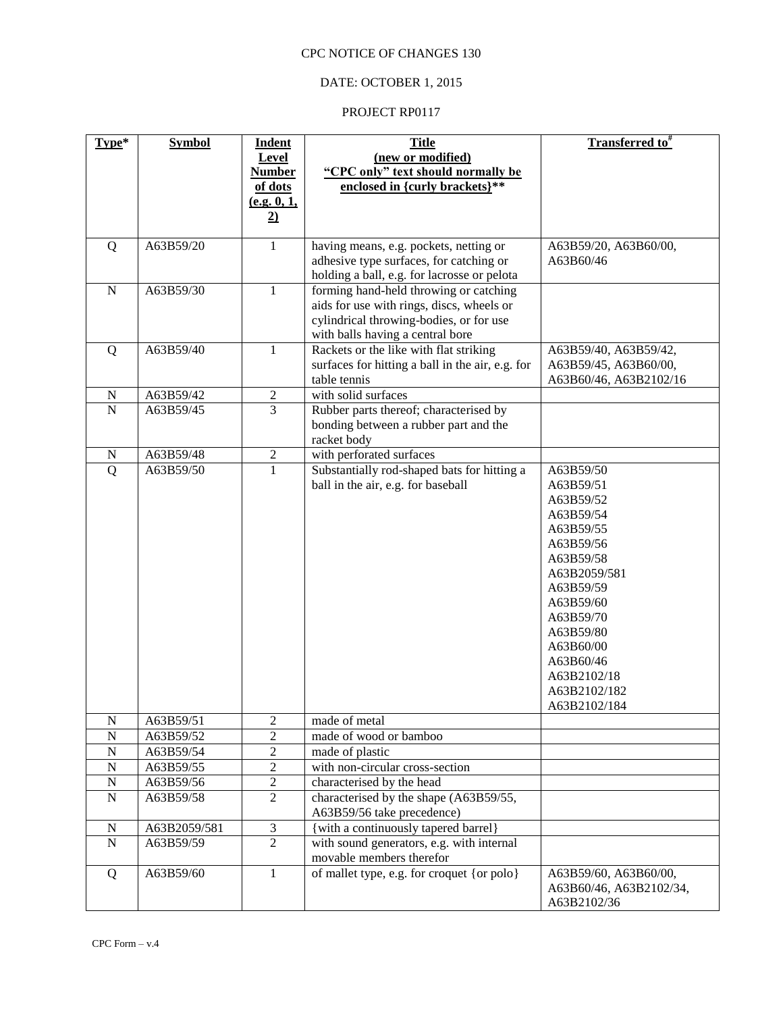# DATE: OCTOBER 1, 2015

| Type*            | <b>Symbol</b>             | <b>Indent</b>       | <b>Title</b>                                                                      | Transferred to <sup>#</sup> |
|------------------|---------------------------|---------------------|-----------------------------------------------------------------------------------|-----------------------------|
|                  |                           | <b>Level</b>        | (new or modified)                                                                 |                             |
|                  |                           | <b>Number</b>       | "CPC only" text should normally be                                                |                             |
|                  |                           | of dots             | enclosed in {curly brackets}**                                                    |                             |
|                  |                           | (e.g. 0, 1,         |                                                                                   |                             |
|                  |                           | $\overline{2)}$     |                                                                                   |                             |
| Q                | A63B59/20                 | $\mathbf{1}$        | having means, e.g. pockets, netting or                                            | A63B59/20, A63B60/00,       |
|                  |                           |                     | adhesive type surfaces, for catching or                                           | A63B60/46                   |
|                  |                           |                     | holding a ball, e.g. for lacrosse or pelota                                       |                             |
| $\mathbf N$      | A63B59/30                 | $\mathbf{1}$        | forming hand-held throwing or catching                                            |                             |
|                  |                           |                     | aids for use with rings, discs, wheels or                                         |                             |
|                  |                           |                     | cylindrical throwing-bodies, or for use                                           |                             |
|                  |                           |                     | with balls having a central bore                                                  |                             |
| Q                | A63B59/40                 | $\mathbf{1}$        | Rackets or the like with flat striking                                            | A63B59/40, A63B59/42,       |
|                  |                           |                     | surfaces for hitting a ball in the air, e.g. for                                  | A63B59/45, A63B60/00,       |
|                  |                           |                     | table tennis                                                                      | A63B60/46, A63B2102/16      |
| $\mathbf N$      | A63B59/42                 | $\overline{c}$      | with solid surfaces                                                               |                             |
| $\overline{N}$   | A63B59/45                 | $\overline{3}$      | Rubber parts thereof; characterised by                                            |                             |
|                  |                           |                     | bonding between a rubber part and the                                             |                             |
|                  |                           |                     | racket body                                                                       |                             |
| $\mathbf N$      | A63B59/48                 | $\sqrt{2}$          | with perforated surfaces                                                          |                             |
| $\overline{Q}$   | A63B59/50                 | $\overline{1}$      | Substantially rod-shaped bats for hitting a                                       | A63B59/50                   |
|                  |                           |                     | ball in the air, e.g. for baseball                                                | A63B59/51                   |
|                  |                           |                     |                                                                                   | A63B59/52                   |
|                  |                           |                     |                                                                                   | A63B59/54                   |
|                  |                           |                     |                                                                                   | A63B59/55                   |
|                  |                           |                     |                                                                                   | A63B59/56                   |
|                  |                           |                     |                                                                                   | A63B59/58                   |
|                  |                           |                     |                                                                                   | A63B2059/581                |
|                  |                           |                     |                                                                                   | A63B59/59<br>A63B59/60      |
|                  |                           |                     |                                                                                   | A63B59/70                   |
|                  |                           |                     |                                                                                   | A63B59/80                   |
|                  |                           |                     |                                                                                   | A63B60/00                   |
|                  |                           |                     |                                                                                   | A63B60/46                   |
|                  |                           |                     |                                                                                   | A63B2102/18                 |
|                  |                           |                     |                                                                                   | A63B2102/182                |
|                  |                           |                     |                                                                                   | A63B2102/184                |
| $\mathbf N$      | A63B59/51                 | $\overline{2}$      | made of metal                                                                     |                             |
| $\mathbf N$      | A63B59/52                 | $\overline{c}$      | made of wood or bamboo                                                            |                             |
| $\overline{N}$   | A63B59/54                 | $\overline{c}$      | made of plastic                                                                   |                             |
| $\overline{N}$   | A63B59/55                 | $\overline{c}$      | with non-circular cross-section                                                   |                             |
| $\mathbf N$      | A63B59/56                 | $\overline{2}$      | characterised by the head                                                         |                             |
| $\mathbf N$      | A63B59/58                 | $\overline{2}$      | characterised by the shape (A63B59/55,                                            |                             |
|                  |                           |                     | A63B59/56 take precedence)                                                        |                             |
| N<br>$\mathbf N$ | A63B2059/581<br>A63B59/59 | 3<br>$\overline{2}$ | {with a continuously tapered barrel}<br>with sound generators, e.g. with internal |                             |
|                  |                           |                     | movable members therefor                                                          |                             |
| Q                | A63B59/60                 | $\mathbf{1}$        | of mallet type, e.g. for croquet {or polo}                                        | A63B59/60, A63B60/00,       |
|                  |                           |                     |                                                                                   | A63B60/46, A63B2102/34,     |
|                  |                           |                     |                                                                                   | A63B2102/36                 |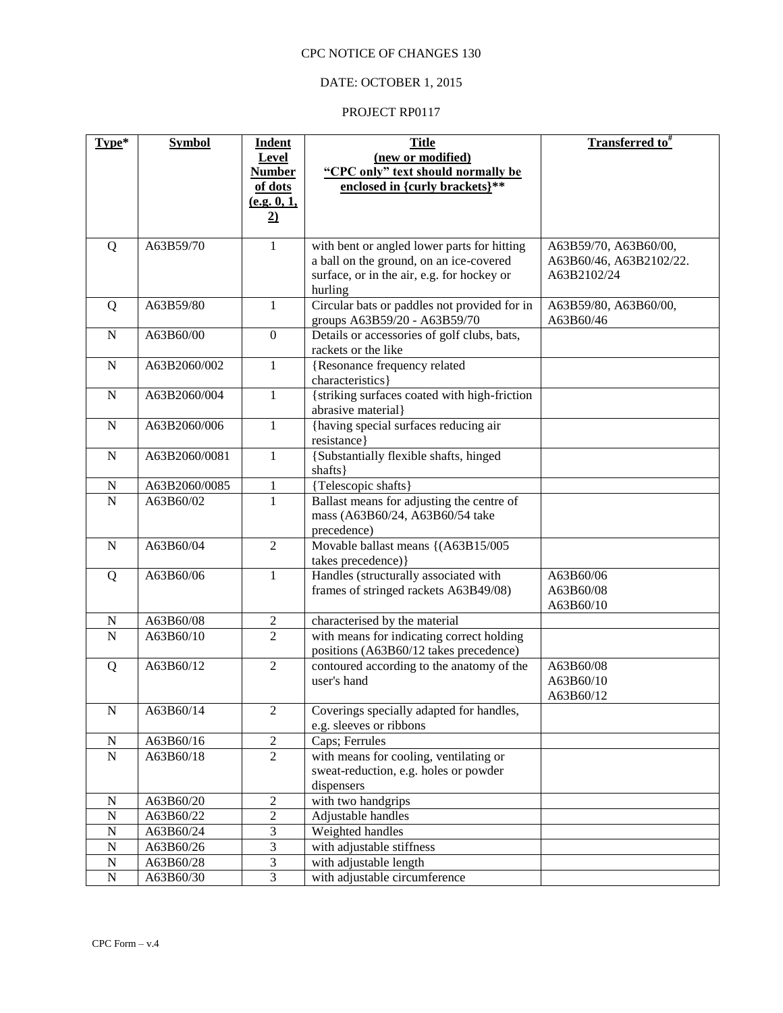# DATE: OCTOBER 1, 2015

| Type*                         | <b>Symbol</b>          | <b>Indent</b>                      | <b>Title</b><br>(new or modified)                                                   | <b>Transferred to</b> <sup>#</sup> |
|-------------------------------|------------------------|------------------------------------|-------------------------------------------------------------------------------------|------------------------------------|
|                               |                        | Level<br><b>Number</b>             | "CPC only" text should normally be                                                  |                                    |
|                               |                        | of dots                            | enclosed in {curly brackets}**                                                      |                                    |
|                               |                        | (e.g. 0, 1,                        |                                                                                     |                                    |
|                               |                        | $\overline{2}$                     |                                                                                     |                                    |
| Q                             | A63B59/70              | $\mathbf 1$                        | with bent or angled lower parts for hitting                                         | A63B59/70, A63B60/00,              |
|                               |                        |                                    | a ball on the ground, on an ice-covered                                             | A63B60/46, A63B2102/22.            |
|                               |                        |                                    | surface, or in the air, e.g. for hockey or<br>hurling                               | A63B2102/24                        |
| Q                             | A63B59/80              | 1                                  | Circular bats or paddles not provided for in<br>groups A63B59/20 - A63B59/70        | A63B59/80, A63B60/00,<br>A63B60/46 |
| $\mathbf N$                   | A63B60/00              | $\mathbf{0}$                       | Details or accessories of golf clubs, bats,<br>rackets or the like                  |                                    |
| $\mathbf N$                   | A63B2060/002           | $\mathbf{1}$                       | {Resonance frequency related                                                        |                                    |
|                               |                        |                                    | characteristics}                                                                    |                                    |
| ${\bf N}$                     | A63B2060/004           | $\mathbf{1}$                       | {striking surfaces coated with high-friction<br>abrasive material}                  |                                    |
| $\mathbf N$                   | A63B2060/006           | $\mathbf{1}$                       | {having special surfaces reducing air<br>resistance}                                |                                    |
| $\mathbf N$                   | A63B2060/0081          | $\mathbf{1}$                       | {Substantially flexible shafts, hinged                                              |                                    |
|                               |                        |                                    | shafts }                                                                            |                                    |
| N                             | A63B2060/0085          | $\mathbf{1}$                       | {Telescopic shafts}                                                                 |                                    |
| $\mathbf N$                   | A63B60/02              | $\overline{1}$                     | Ballast means for adjusting the centre of                                           |                                    |
|                               |                        |                                    | mass (A63B60/24, A63B60/54 take<br>precedence)                                      |                                    |
| $\mathbf N$                   | A63B60/04              | $\overline{2}$                     | Movable ballast means {(A63B15/005)                                                 |                                    |
|                               |                        |                                    | takes precedence) }                                                                 |                                    |
| Q                             | A63B60/06              | 1                                  | Handles (structurally associated with                                               | A63B60/06                          |
|                               |                        |                                    | frames of stringed rackets A63B49/08)                                               | A63B60/08                          |
|                               |                        |                                    |                                                                                     | A63B60/10                          |
| $\mathbf N$<br>$\overline{N}$ | A63B60/08<br>A63B60/10 | $\boldsymbol{2}$<br>$\overline{2}$ | characterised by the material                                                       |                                    |
|                               |                        |                                    | with means for indicating correct holding<br>positions (A63B60/12 takes precedence) |                                    |
| Q                             | A63B60/12              | $\overline{2}$                     | contoured according to the anatomy of the                                           | A63B60/08                          |
|                               |                        |                                    | user's hand                                                                         | A63B60/10                          |
|                               |                        |                                    |                                                                                     | A63B60/12                          |
| $\mathbf N$                   | A63B60/14              | $\mathfrak{2}$                     | Coverings specially adapted for handles,<br>e.g. sleeves or ribbons                 |                                    |
| $\mathbf N$                   | A63B60/16              | $\sqrt{2}$                         | Caps; Ferrules                                                                      |                                    |
| ${\bf N}$                     | A63B60/18              | $\overline{2}$                     | with means for cooling, ventilating or                                              |                                    |
|                               |                        |                                    | sweat-reduction, e.g. holes or powder                                               |                                    |
|                               |                        |                                    | dispensers                                                                          |                                    |
| $\mathbf N$<br>${\bf N}$      | A63B60/20<br>A63B60/22 | $\mathbf{2}$<br>$\boldsymbol{2}$   | with two handgrips<br>Adjustable handles                                            |                                    |
| ${\bf N}$                     | A63B60/24              | 3                                  | Weighted handles                                                                    |                                    |
| ${\bf N}$                     | A63B60/26              | $\overline{3}$                     | with adjustable stiffness                                                           |                                    |
| ${\bf N}$                     | A63B60/28              | $\overline{3}$                     | with adjustable length                                                              |                                    |
| ${\bf N}$                     | A63B60/30              | $\overline{3}$                     | with adjustable circumference                                                       |                                    |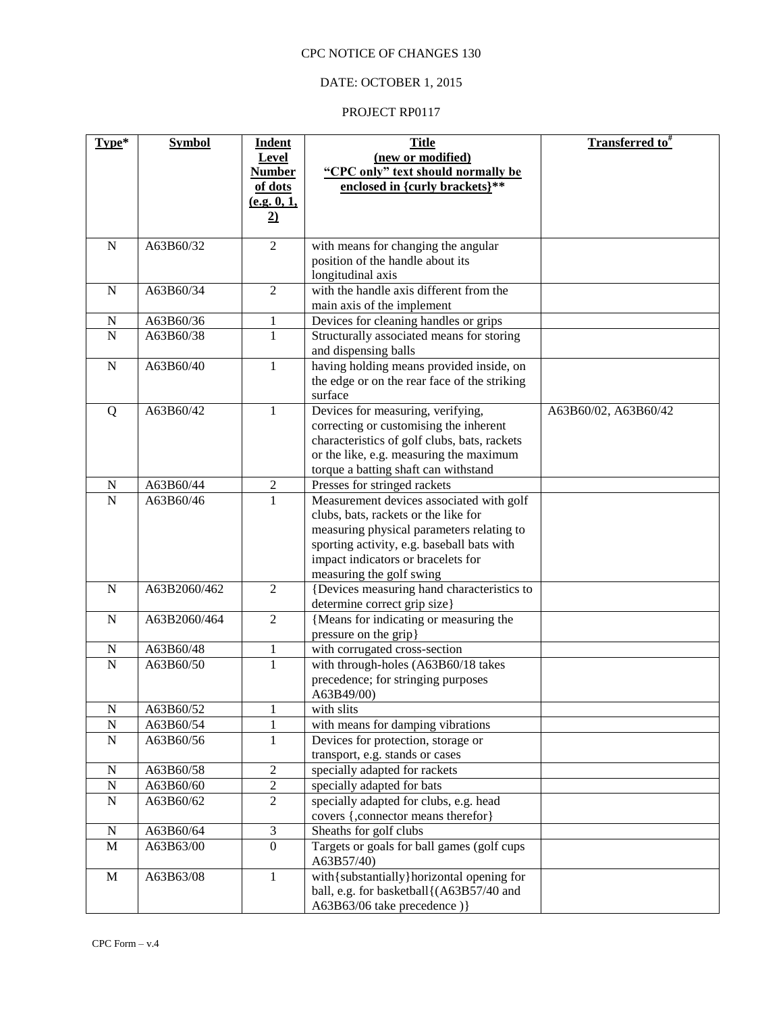# DATE: OCTOBER 1, 2015

| Type*       | <b>Symbol</b> | <b>Indent</b>  | <b>Title</b>                                                   | Transferred to <sup>#</sup> |
|-------------|---------------|----------------|----------------------------------------------------------------|-----------------------------|
|             |               | <b>Level</b>   | (new or modified)                                              |                             |
|             |               | <b>Number</b>  | "CPC only" text should normally be                             |                             |
|             |               | of dots        | enclosed in {curly brackets}**                                 |                             |
|             |               | (e.g. 0, 1,    |                                                                |                             |
|             |               | $\overline{2}$ |                                                                |                             |
|             |               |                |                                                                |                             |
| N           | A63B60/32     | $\overline{2}$ | with means for changing the angular                            |                             |
|             |               |                | position of the handle about its                               |                             |
|             |               | $\overline{2}$ | longitudinal axis<br>with the handle axis different from the   |                             |
| $\mathbf N$ | A63B60/34     |                | main axis of the implement                                     |                             |
| N           | A63B60/36     | $\mathbf{1}$   | Devices for cleaning handles or grips                          |                             |
| N           | A63B60/38     | $\mathbf{1}$   | Structurally associated means for storing                      |                             |
|             |               |                | and dispensing balls                                           |                             |
| ${\bf N}$   | A63B60/40     | $\mathbf 1$    | having holding means provided inside, on                       |                             |
|             |               |                | the edge or on the rear face of the striking                   |                             |
|             |               |                | surface                                                        |                             |
| Q           | A63B60/42     | 1              | Devices for measuring, verifying,                              | A63B60/02, A63B60/42        |
|             |               |                | correcting or customising the inherent                         |                             |
|             |               |                | characteristics of golf clubs, bats, rackets                   |                             |
|             |               |                | or the like, e.g. measuring the maximum                        |                             |
|             |               |                | torque a batting shaft can withstand                           |                             |
| N           | A63B60/44     | 2              | Presses for stringed rackets                                   |                             |
| $\mathbf N$ | A63B60/46     | $\mathbf{1}$   | Measurement devices associated with golf                       |                             |
|             |               |                | clubs, bats, rackets or the like for                           |                             |
|             |               |                | measuring physical parameters relating to                      |                             |
|             |               |                | sporting activity, e.g. baseball bats with                     |                             |
|             |               |                | impact indicators or bracelets for<br>measuring the golf swing |                             |
| $\mathbf N$ | A63B2060/462  | $\overline{2}$ | {Devices measuring hand characteristics to                     |                             |
|             |               |                | determine correct grip size}                                   |                             |
| $\mathbf N$ | A63B2060/464  | $\overline{2}$ | {Means for indicating or measuring the                         |                             |
|             |               |                | pressure on the grip}                                          |                             |
| N           | A63B60/48     | $\mathbf{1}$   | with corrugated cross-section                                  |                             |
| ${\bf N}$   | A63B60/50     | $\mathbf{1}$   | with through-holes (A63B60/18 takes                            |                             |
|             |               |                | precedence; for stringing purposes                             |                             |
|             |               |                | A63B49/00)                                                     |                             |
| N           | A63B60/52     | $\mathbf{I}$   | with slits                                                     |                             |
| $\mathbf N$ | A63B60/54     | 1              | with means for damping vibrations                              |                             |
| ${\bf N}$   | A63B60/56     | $\mathbf{1}$   | Devices for protection, storage or                             |                             |
|             |               |                | transport, e.g. stands or cases                                |                             |
| $\mathbf N$ | A63B60/58     | $\sqrt{2}$     | specially adapted for rackets                                  |                             |
| $\mathbf N$ | A63B60/60     | $\sqrt{2}$     | specially adapted for bats                                     |                             |
| ${\bf N}$   | A63B60/62     | $\overline{2}$ | specially adapted for clubs, e.g. head                         |                             |
|             |               |                | covers {, connector means therefor}                            |                             |
| N           | A63B60/64     | $\mathfrak{Z}$ | Sheaths for golf clubs                                         |                             |
| M           | A63B63/00     | $\overline{0}$ | Targets or goals for ball games (golf cups<br>A63B57/40)       |                             |
| M           | A63B63/08     | 1              | with{substantially}horizontal opening for                      |                             |
|             |               |                | ball, e.g. for basketball{(A63B57/40 and                       |                             |
|             |               |                | A63B63/06 take precedence) }                                   |                             |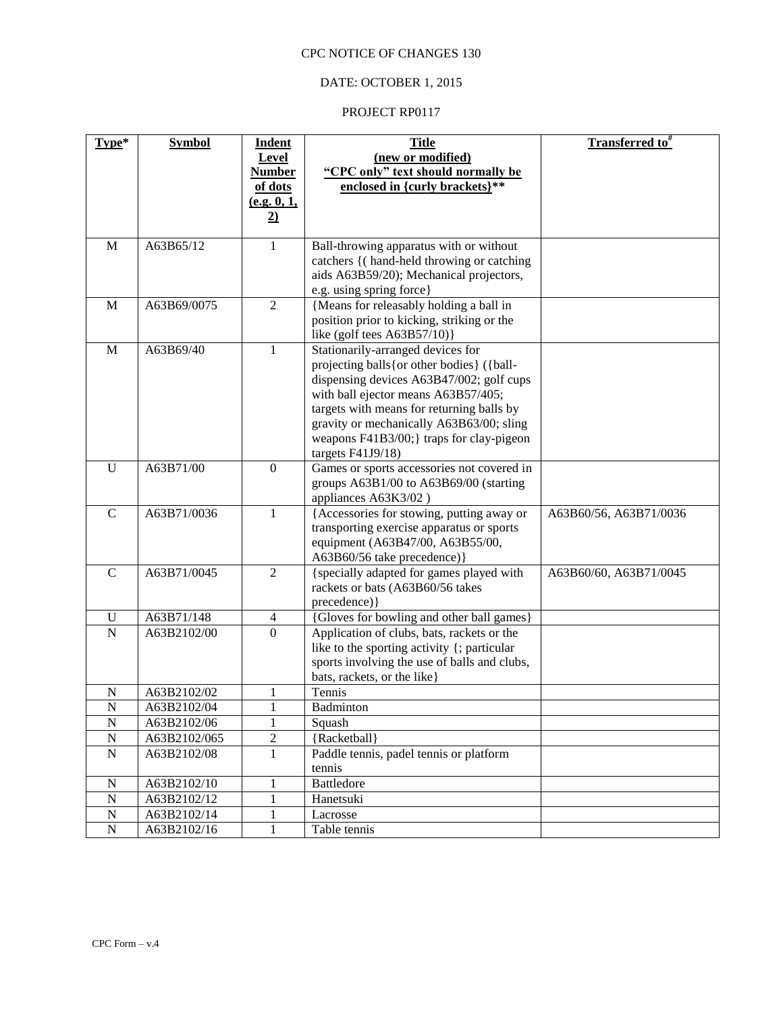# DATE: OCTOBER 1, 2015

| Type*          | <b>Symbol</b> | <b>Indent</b>                 | <b>Title</b>                                                                              | <b>Transferred to</b> <sup>#</sup> |
|----------------|---------------|-------------------------------|-------------------------------------------------------------------------------------------|------------------------------------|
|                |               | <b>Level</b><br><b>Number</b> | (new or modified)<br>"CPC only" text should normally be                                   |                                    |
|                |               | of dots                       | enclosed in {curly brackets}**                                                            |                                    |
|                |               | (e.g. 0, 1,                   |                                                                                           |                                    |
|                |               | $\overline{2)}$               |                                                                                           |                                    |
|                |               |                               |                                                                                           |                                    |
| M              | A63B65/12     | $\mathbf{1}$                  | Ball-throwing apparatus with or without                                                   |                                    |
|                |               |                               | catchers {(hand-held throwing or catching                                                 |                                    |
|                |               |                               | aids A63B59/20); Mechanical projectors,<br>e.g. using spring force}                       |                                    |
| M              | A63B69/0075   | $\overline{2}$                | {Means for releasably holding a ball in                                                   |                                    |
|                |               |                               | position prior to kicking, striking or the                                                |                                    |
|                |               |                               | like (golf tees $A63B57/10$ )                                                             |                                    |
| M              | A63B69/40     | $\mathbf{1}$                  | Stationarily-arranged devices for                                                         |                                    |
|                |               |                               | projecting balls { or other bodies } ({ball-                                              |                                    |
|                |               |                               | dispensing devices A63B47/002; golf cups                                                  |                                    |
|                |               |                               | with ball ejector means A63B57/405;                                                       |                                    |
|                |               |                               | targets with means for returning balls by                                                 |                                    |
|                |               |                               | gravity or mechanically A63B63/00; sling                                                  |                                    |
|                |               |                               | weapons F41B3/00;} traps for clay-pigeon                                                  |                                    |
| U              | A63B71/00     | $\overline{0}$                | targets F41J9/18)<br>Games or sports accessories not covered in                           |                                    |
|                |               |                               | groups A63B1/00 to A63B69/00 (starting                                                    |                                    |
|                |               |                               | appliances A63K3/02)                                                                      |                                    |
| $\mathbf C$    | A63B71/0036   | 1                             | {Accessories for stowing, putting away or                                                 | A63B60/56, A63B71/0036             |
|                |               |                               | transporting exercise apparatus or sports                                                 |                                    |
|                |               |                               | equipment (A63B47/00, A63B55/00,                                                          |                                    |
|                |               |                               | A63B60/56 take precedence)}                                                               |                                    |
| $\mathsf{C}$   | A63B71/0045   | $\overline{2}$                | {specially adapted for games played with                                                  | A63B60/60, A63B71/0045             |
|                |               |                               | rackets or bats (A63B60/56 takes                                                          |                                    |
|                |               |                               | precedence) }                                                                             |                                    |
| U              | A63B71/148    | 4                             | {Gloves for bowling and other ball games}                                                 |                                    |
| $\mathbf N$    | A63B2102/00   | $\overline{0}$                | Application of clubs, bats, rackets or the<br>like to the sporting activity {; particular |                                    |
|                |               |                               | sports involving the use of balls and clubs,                                              |                                    |
|                |               |                               | bats, rackets, or the like}                                                               |                                    |
| N              | A63B2102/02   | 1                             | Tennis                                                                                    |                                    |
| N              | A63B2102/04   | 1                             | <b>Badminton</b>                                                                          |                                    |
| $\overline{N}$ | A63B2102/06   | $\mathbf{1}$                  | Squash                                                                                    |                                    |
| ${\bf N}$      | A63B2102/065  | $\sqrt{2}$                    | {Racketball}                                                                              |                                    |
| ${\bf N}$      | A63B2102/08   | $\mathbf{1}$                  | Paddle tennis, padel tennis or platform                                                   |                                    |
|                |               |                               | tennis                                                                                    |                                    |
| $\mathbf N$    | A63B2102/10   | $\mathbf{1}$                  | <b>Battledore</b>                                                                         |                                    |
| ${\bf N}$      | A63B2102/12   | $\mathbf{1}$                  | Hanetsuki                                                                                 |                                    |
| ${\bf N}$      | A63B2102/14   | $\mathbf{1}$                  | Lacrosse                                                                                  |                                    |
| ${\bf N}$      | A63B2102/16   | $\mathbf{1}$                  | Table tennis                                                                              |                                    |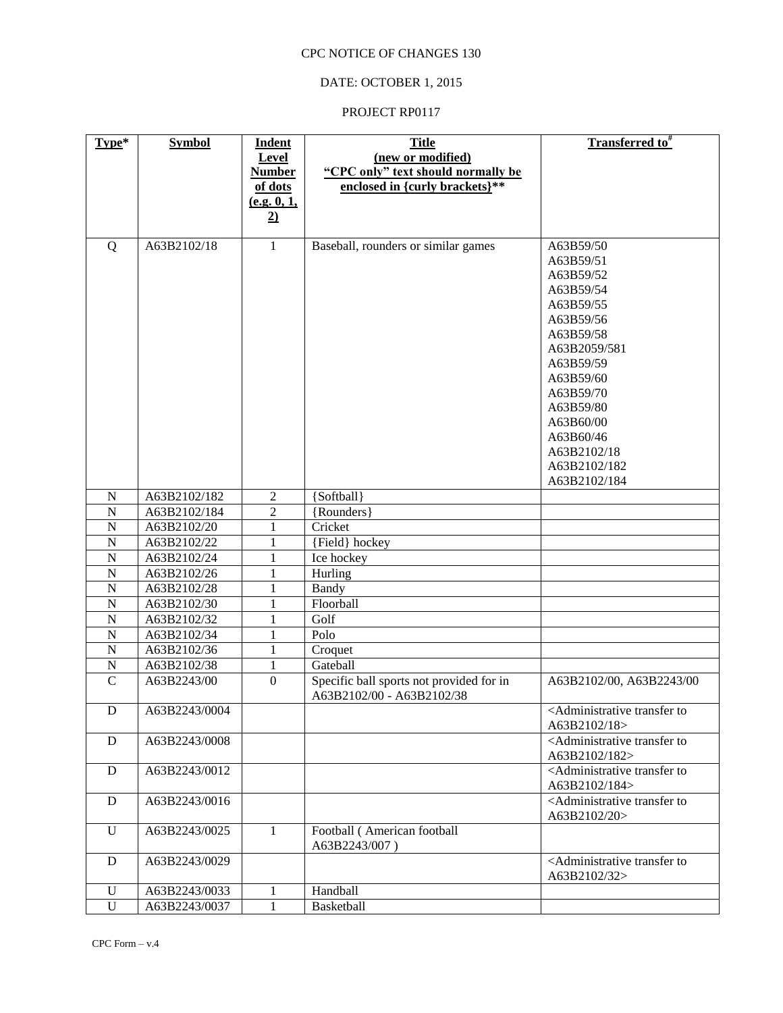# DATE: OCTOBER 1, 2015

| Type*            | <b>Symbol</b>              | <b>Indent</b>    | <b>Title</b>                                 | <b>Transferred to</b> #                                                |
|------------------|----------------------------|------------------|----------------------------------------------|------------------------------------------------------------------------|
|                  |                            | Level            | (new or modified)                            |                                                                        |
|                  |                            | <b>Number</b>    | "CPC only" text should normally be           |                                                                        |
|                  |                            | of dots          | enclosed in {curly brackets}**               |                                                                        |
|                  |                            | (e.g. 0, 1,      |                                              |                                                                        |
|                  |                            | 2)               |                                              |                                                                        |
|                  |                            |                  |                                              |                                                                        |
| Q                | A63B2102/18                | $\mathbf{1}$     | Baseball, rounders or similar games          | A63B59/50                                                              |
|                  |                            |                  |                                              | A63B59/51                                                              |
|                  |                            |                  |                                              | A63B59/52                                                              |
|                  |                            |                  |                                              | A63B59/54                                                              |
|                  |                            |                  |                                              | A63B59/55                                                              |
|                  |                            |                  |                                              | A63B59/56                                                              |
|                  |                            |                  |                                              | A63B59/58                                                              |
|                  |                            |                  |                                              | A63B2059/581                                                           |
|                  |                            |                  |                                              | A63B59/59                                                              |
|                  |                            |                  |                                              | A63B59/60                                                              |
|                  |                            |                  |                                              | A63B59/70                                                              |
|                  |                            |                  |                                              | A63B59/80                                                              |
|                  |                            |                  |                                              | A63B60/00                                                              |
|                  |                            |                  |                                              | A63B60/46                                                              |
|                  |                            |                  |                                              | A63B2102/18                                                            |
|                  |                            |                  |                                              | A63B2102/182                                                           |
|                  |                            |                  |                                              | A63B2102/184                                                           |
| N                | A63B2102/182               | 2                | {Softball}                                   |                                                                        |
| $\mathbf N$      | A63B2102/184               | $\overline{c}$   | {Rounders}                                   |                                                                        |
| $\mathbf N$      | A63B2102/20                | 1                | Cricket                                      |                                                                        |
| $\mathbf N$<br>N | A63B2102/22<br>A63B2102/24 | 1<br>1           | {Field} hockey                               |                                                                        |
| N                | A63B2102/26                | 1                | Ice hockey<br>Hurling                        |                                                                        |
| N                | A63B2102/28                | 1                | Bandy                                        |                                                                        |
| N                | A63B2102/30                | 1                | Floorball                                    |                                                                        |
| $\mathbf N$      | A63B2102/32                | 1                | Golf                                         |                                                                        |
| $\mathbf N$      | A63B2102/34                | 1                | Polo                                         |                                                                        |
| $\mathbf N$      | A63B2102/36                | 1                | Croquet                                      |                                                                        |
| $\mathbf N$      | A63B2102/38                | 1                | Gateball                                     |                                                                        |
| $\mathcal{C}$    | A63B2243/00                | $\boldsymbol{0}$ | Specific ball sports not provided for in     | A63B2102/00, A63B2243/00                                               |
|                  |                            |                  | A63B2102/00 - A63B2102/38                    |                                                                        |
| D                | A63B2243/0004              |                  |                                              | <administrative td="" to<="" transfer=""></administrative>             |
|                  |                            |                  |                                              | A63B2102/18>                                                           |
| D                | A63B2243/0008              |                  |                                              | <administrative to<br="" transfer="">A63B2102/182&gt;</administrative> |
| D                | A63B2243/0012              |                  |                                              | <administrative to<br="" transfer="">A63B2102/184&gt;</administrative> |
| D                | A63B2243/0016              |                  |                                              | <administrative to<br="" transfer="">A63B2102/20&gt;</administrative>  |
| U                | A63B2243/0025              | $\mathbf{1}$     | Football (American football<br>A63B2243/007) |                                                                        |
| D                | A63B2243/0029              |                  |                                              | <administrative to<br="" transfer="">A63B2102/32&gt;</administrative>  |
| $\mathbf U$      | A63B2243/0033              | $\mathbf{1}$     | Handball                                     |                                                                        |
| $\mathbf U$      | A63B2243/0037              | $\mathbf{1}$     | Basketball                                   |                                                                        |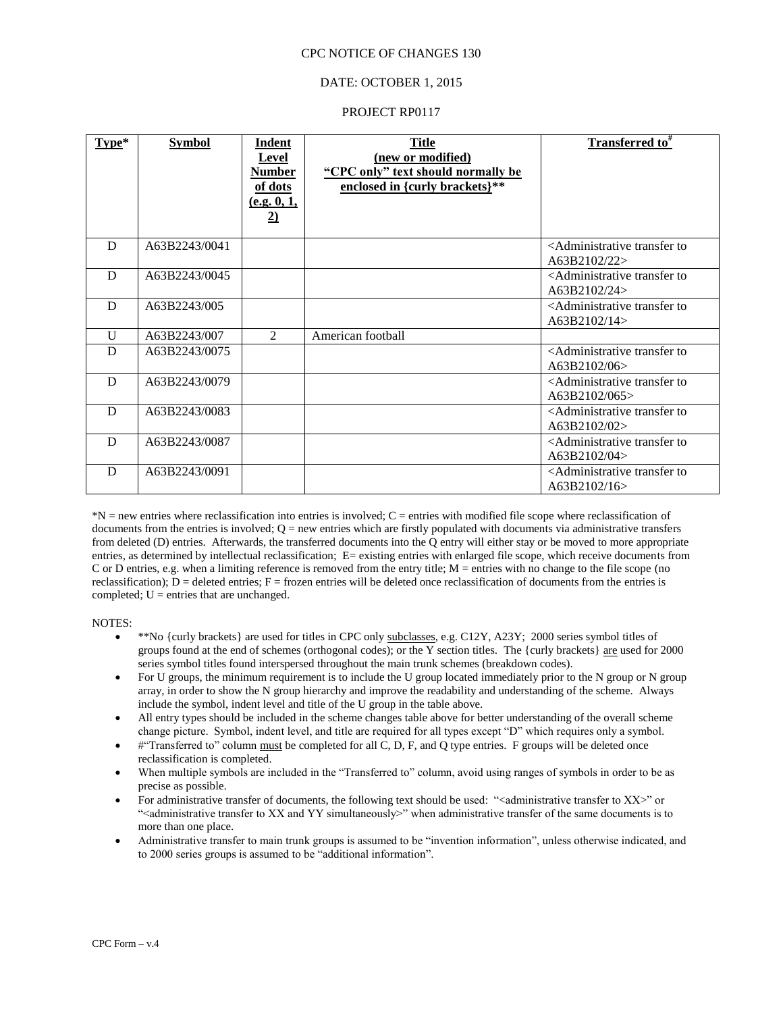#### DATE: OCTOBER 1, 2015

#### PROJECT RP0117

| $Type*$      | <b>Symbol</b> | Indent<br><b>Level</b><br><b>Number</b><br>of dots<br>(e.g. 0, 1,<br>$\overline{2)}$ | <b>Title</b><br>(new or modified)<br>"CPC only" text should normally be<br>enclosed in {curly brackets}** | <b>Transferred to</b> #                                                |
|--------------|---------------|--------------------------------------------------------------------------------------|-----------------------------------------------------------------------------------------------------------|------------------------------------------------------------------------|
| D            | A63B2243/0041 |                                                                                      |                                                                                                           | <administrative to<br="" transfer="">A63B2102/22&gt;</administrative>  |
| D            | A63B2243/0045 |                                                                                      |                                                                                                           | <administrative to<br="" transfer="">A63B2102/24&gt;</administrative>  |
| D            | A63B2243/005  |                                                                                      |                                                                                                           | <administrative to<br="" transfer="">A63B2102/14&gt;</administrative>  |
| $\mathbf{U}$ | A63B2243/007  | $\mathfrak{D}$                                                                       | American football                                                                                         |                                                                        |
| D            | A63B2243/0075 |                                                                                      |                                                                                                           | <administrative to<br="" transfer="">A63B2102/06&gt;</administrative>  |
| D            | A63B2243/0079 |                                                                                      |                                                                                                           | <administrative to<br="" transfer="">A63B2102/065&gt;</administrative> |
| D            | A63B2243/0083 |                                                                                      |                                                                                                           | <administrative to<br="" transfer="">A63B2102/02&gt;</administrative>  |
| D            | A63B2243/0087 |                                                                                      |                                                                                                           | <administrative to<br="" transfer="">A63B2102/04&gt;</administrative>  |
| D            | A63B2243/0091 |                                                                                      |                                                                                                           | <administrative to<br="" transfer="">A63B2102/16&gt;</administrative>  |

\*N = new entries where reclassification into entries is involved; C = entries with modified file scope where reclassification of documents from the entries is involved;  $Q =$  new entries which are firstly populated with documents via administrative transfers from deleted (D) entries. Afterwards, the transferred documents into the Q entry will either stay or be moved to more appropriate entries, as determined by intellectual reclassification; E= existing entries with enlarged file scope, which receive documents from C or D entries, e.g. when a limiting reference is removed from the entry title; M = entries with no change to the file scope (no reclassification);  $D =$  deleted entries;  $F =$  frozen entries will be deleted once reclassification of documents from the entries is completed;  $U =$  entries that are unchanged.

#### NOTES:

- \*\*No {curly brackets} are used for titles in CPC only subclasses, e.g. C12Y, A23Y; 2000 series symbol titles of groups found at the end of schemes (orthogonal codes); or the Y section titles. The {curly brackets} are used for 2000 series symbol titles found interspersed throughout the main trunk schemes (breakdown codes).
- For U groups, the minimum requirement is to include the U group located immediately prior to the N group or N group array, in order to show the N group hierarchy and improve the readability and understanding of the scheme. Always include the symbol, indent level and title of the U group in the table above.
- All entry types should be included in the scheme changes table above for better understanding of the overall scheme change picture. Symbol, indent level, and title are required for all types except "D" which requires only a symbol.
- #"Transferred to" column must be completed for all C, D, F, and Q type entries. F groups will be deleted once reclassification is completed.
- When multiple symbols are included in the "Transferred to" column, avoid using ranges of symbols in order to be as precise as possible.
- For administrative transfer of documents, the following text should be used: " $\alpha$  administrative transfer to XX $>$ " or "<administrative transfer to XX and YY simultaneously>" when administrative transfer of the same documents is to more than one place.
- Administrative transfer to main trunk groups is assumed to be "invention information", unless otherwise indicated, and to 2000 series groups is assumed to be "additional information".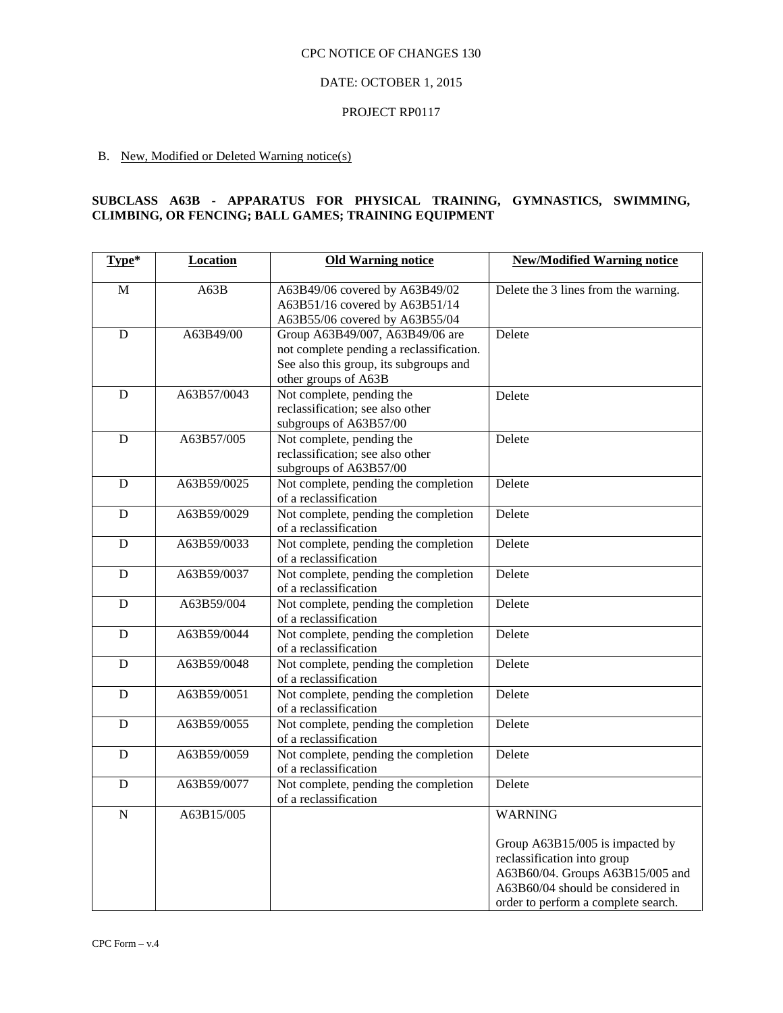## DATE: OCTOBER 1, 2015

#### PROJECT RP0117

# B. New, Modified or Deleted Warning notice(s)

#### **SUBCLASS A63B - APPARATUS FOR PHYSICAL TRAINING, GYMNASTICS, SWIMMING, CLIMBING, OR FENCING; BALL GAMES; TRAINING EQUIPMENT**

| Type*          | Location    | <b>Old Warning notice</b>                                                                                                                     | <b>New/Modified Warning notice</b>                                                                                                                                                               |
|----------------|-------------|-----------------------------------------------------------------------------------------------------------------------------------------------|--------------------------------------------------------------------------------------------------------------------------------------------------------------------------------------------------|
| M              | A63B        | A63B49/06 covered by A63B49/02<br>A63B51/16 covered by A63B51/14<br>A63B55/06 covered by A63B55/04                                            | Delete the 3 lines from the warning.                                                                                                                                                             |
| D              | A63B49/00   | Group A63B49/007, A63B49/06 are<br>not complete pending a reclassification.<br>See also this group, its subgroups and<br>other groups of A63B | Delete                                                                                                                                                                                           |
| D              | A63B57/0043 | Not complete, pending the<br>reclassification; see also other<br>subgroups of A63B57/00                                                       | Delete                                                                                                                                                                                           |
| D              | A63B57/005  | Not complete, pending the<br>reclassification; see also other<br>subgroups of A63B57/00                                                       | Delete                                                                                                                                                                                           |
| D              | A63B59/0025 | Not complete, pending the completion<br>of a reclassification                                                                                 | Delete                                                                                                                                                                                           |
| $\mathbf D$    | A63B59/0029 | Not complete, pending the completion<br>of a reclassification                                                                                 | Delete                                                                                                                                                                                           |
| D              | A63B59/0033 | Not complete, pending the completion<br>of a reclassification                                                                                 | Delete                                                                                                                                                                                           |
| D              | A63B59/0037 | Not complete, pending the completion<br>of a reclassification                                                                                 | Delete                                                                                                                                                                                           |
| ${\bf D}$      | A63B59/004  | Not complete, pending the completion<br>of a reclassification                                                                                 | Delete                                                                                                                                                                                           |
| D              | A63B59/0044 | Not complete, pending the completion<br>of a reclassification                                                                                 | Delete                                                                                                                                                                                           |
| $\overline{D}$ | A63B59/0048 | Not complete, pending the completion<br>of a reclassification                                                                                 | Delete                                                                                                                                                                                           |
| D              | A63B59/0051 | Not complete, pending the completion<br>of a reclassification                                                                                 | Delete                                                                                                                                                                                           |
| D              | A63B59/0055 | Not complete, pending the completion<br>of a reclassification                                                                                 | Delete                                                                                                                                                                                           |
| D              | A63B59/0059 | Not complete, pending the completion<br>of a reclassification                                                                                 | Delete                                                                                                                                                                                           |
| D              | A63B59/0077 | Not complete, pending the completion<br>of a reclassification                                                                                 | Delete                                                                                                                                                                                           |
| ${\bf N}$      | A63B15/005  |                                                                                                                                               | <b>WARNING</b><br>Group A63B15/005 is impacted by<br>reclassification into group<br>A63B60/04. Groups A63B15/005 and<br>A63B60/04 should be considered in<br>order to perform a complete search. |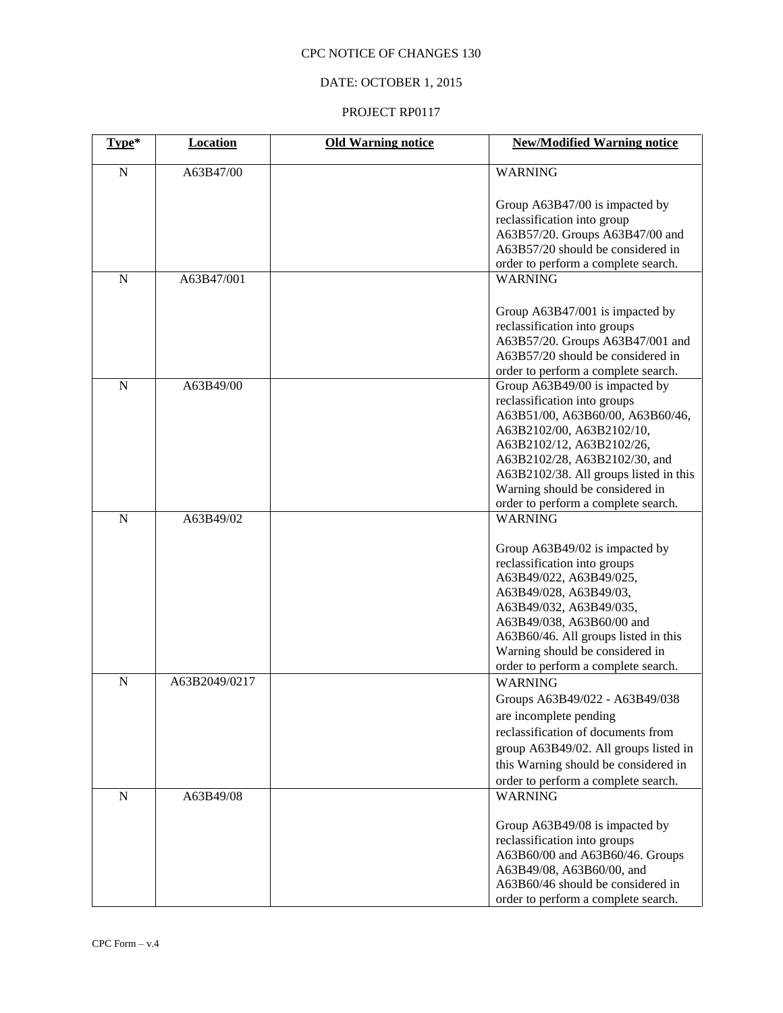# DATE: OCTOBER 1, 2015

| Type*       | <b>Location</b> | <b>Old Warning notice</b> | <b>New/Modified Warning notice</b>                                                                                                                                                                                                                                                            |
|-------------|-----------------|---------------------------|-----------------------------------------------------------------------------------------------------------------------------------------------------------------------------------------------------------------------------------------------------------------------------------------------|
| ${\bf N}$   | A63B47/00       |                           | <b>WARNING</b>                                                                                                                                                                                                                                                                                |
|             |                 |                           | Group A63B47/00 is impacted by<br>reclassification into group<br>A63B57/20. Groups A63B47/00 and<br>A63B57/20 should be considered in<br>order to perform a complete search.                                                                                                                  |
| $\mathbf N$ | A63B47/001      |                           | <b>WARNING</b>                                                                                                                                                                                                                                                                                |
|             |                 |                           | Group A63B47/001 is impacted by<br>reclassification into groups<br>A63B57/20. Groups A63B47/001 and<br>A63B57/20 should be considered in<br>order to perform a complete search.                                                                                                               |
| ${\bf N}$   | A63B49/00       |                           | Group A63B49/00 is impacted by                                                                                                                                                                                                                                                                |
|             |                 |                           | reclassification into groups<br>A63B51/00, A63B60/00, A63B60/46,<br>A63B2102/00, A63B2102/10,<br>A63B2102/12, A63B2102/26,<br>A63B2102/28, A63B2102/30, and<br>A63B2102/38. All groups listed in this<br>Warning should be considered in<br>order to perform a complete search.               |
| $\mathbf N$ | A63B49/02       |                           | <b>WARNING</b>                                                                                                                                                                                                                                                                                |
|             |                 |                           | Group A63B49/02 is impacted by<br>reclassification into groups<br>A63B49/022, A63B49/025,<br>A63B49/028, A63B49/03,<br>A63B49/032, A63B49/035,<br>A63B49/038, A63B60/00 and<br>A63B60/46. All groups listed in this<br>Warning should be considered in<br>order to perform a complete search. |
| $\mathbf N$ | A63B2049/0217   |                           | <b>WARNING</b><br>Groups A63B49/022 - A63B49/038<br>are incomplete pending<br>reclassification of documents from<br>group A63B49/02. All groups listed in<br>this Warning should be considered in<br>order to perform a complete search.                                                      |
| $\mathbf N$ | A63B49/08       |                           | <b>WARNING</b>                                                                                                                                                                                                                                                                                |
|             |                 |                           | Group A63B49/08 is impacted by<br>reclassification into groups<br>A63B60/00 and A63B60/46. Groups<br>A63B49/08, A63B60/00, and<br>A63B60/46 should be considered in<br>order to perform a complete search.                                                                                    |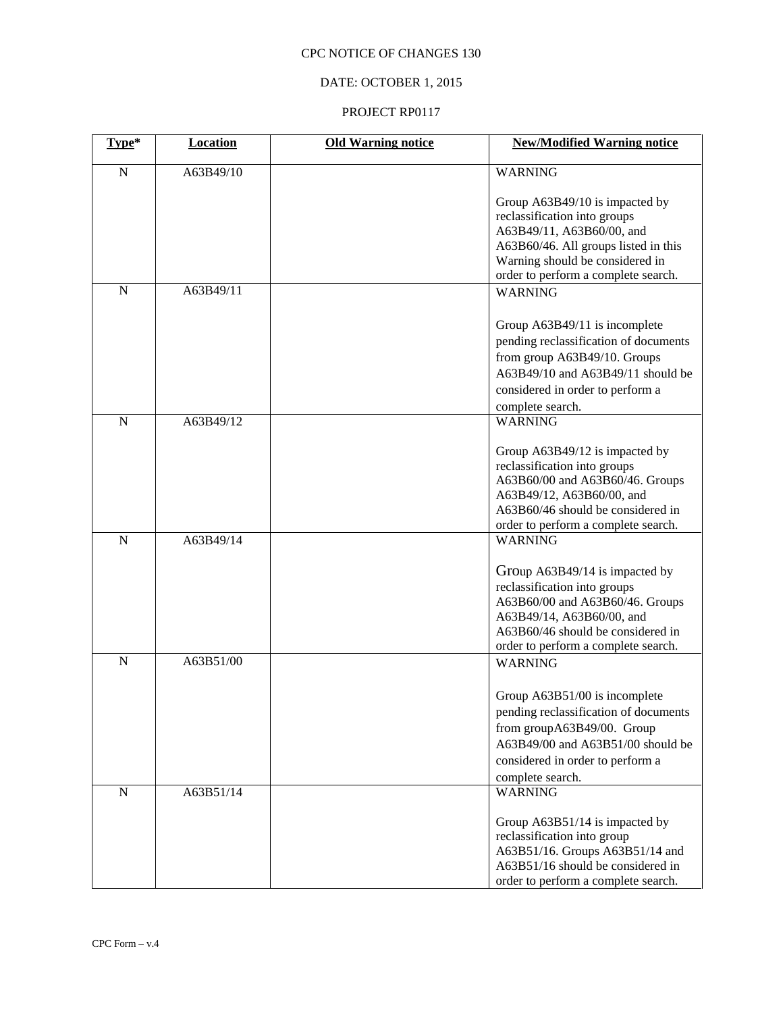# DATE: OCTOBER 1, 2015

| Type*       | Location  | <b>Old Warning notice</b> | <b>New/Modified Warning notice</b>                                                                                                                                                                                           |
|-------------|-----------|---------------------------|------------------------------------------------------------------------------------------------------------------------------------------------------------------------------------------------------------------------------|
| $\mathbf N$ | A63B49/10 |                           | <b>WARNING</b>                                                                                                                                                                                                               |
|             |           |                           | Group A63B49/10 is impacted by<br>reclassification into groups<br>A63B49/11, A63B60/00, and<br>A63B60/46. All groups listed in this<br>Warning should be considered in<br>order to perform a complete search.                |
| $\mathbf N$ | A63B49/11 |                           | <b>WARNING</b>                                                                                                                                                                                                               |
|             |           |                           | Group A63B49/11 is incomplete<br>pending reclassification of documents<br>from group A63B49/10. Groups<br>A63B49/10 and A63B49/11 should be<br>considered in order to perform a<br>complete search.                          |
| $\mathbf N$ | A63B49/12 |                           | <b>WARNING</b>                                                                                                                                                                                                               |
|             |           |                           | Group A63B49/12 is impacted by<br>reclassification into groups<br>A63B60/00 and A63B60/46. Groups<br>A63B49/12, A63B60/00, and<br>A63B60/46 should be considered in<br>order to perform a complete search.                   |
| $\mathbf N$ | A63B49/14 |                           | <b>WARNING</b>                                                                                                                                                                                                               |
| $\mathbf N$ | A63B51/00 |                           | Group A63B49/14 is impacted by<br>reclassification into groups<br>A63B60/00 and A63B60/46. Groups<br>A63B49/14, A63B60/00, and<br>A63B60/46 should be considered in<br>order to perform a complete search.<br><b>WARNING</b> |
|             |           |                           | Group A63B51/00 is incomplete<br>pending reclassification of documents<br>from groupA63B49/00. Group<br>A63B49/00 and A63B51/00 should be<br>considered in order to perform a<br>complete search.                            |
| ${\bf N}$   | A63B51/14 |                           | <b>WARNING</b>                                                                                                                                                                                                               |
|             |           |                           | Group A63B51/14 is impacted by<br>reclassification into group<br>A63B51/16. Groups A63B51/14 and<br>A63B51/16 should be considered in<br>order to perform a complete search.                                                 |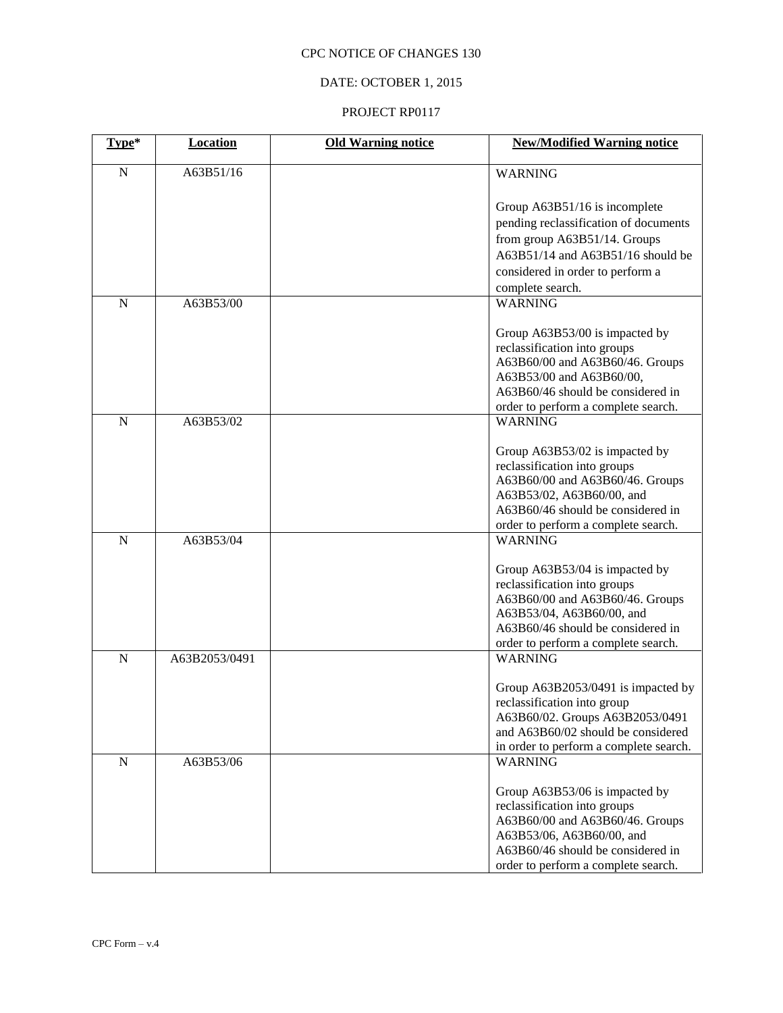# DATE: OCTOBER 1, 2015

| Type*       | <b>Location</b> | <b>Old Warning notice</b> | <b>New/Modified Warning notice</b>     |
|-------------|-----------------|---------------------------|----------------------------------------|
| ${\bf N}$   | A63B51/16       |                           | <b>WARNING</b>                         |
|             |                 |                           | Group A63B51/16 is incomplete          |
|             |                 |                           | pending reclassification of documents  |
|             |                 |                           | from group A63B51/14. Groups           |
|             |                 |                           | A63B51/14 and A63B51/16 should be      |
|             |                 |                           | considered in order to perform a       |
|             |                 |                           | complete search.                       |
| $\mathbf N$ | A63B53/00       |                           | <b>WARNING</b>                         |
|             |                 |                           | Group A63B53/00 is impacted by         |
|             |                 |                           | reclassification into groups           |
|             |                 |                           | A63B60/00 and A63B60/46. Groups        |
|             |                 |                           | A63B53/00 and A63B60/00,               |
|             |                 |                           | A63B60/46 should be considered in      |
|             |                 |                           | order to perform a complete search.    |
| ${\bf N}$   | A63B53/02       |                           | <b>WARNING</b>                         |
|             |                 |                           | Group A63B53/02 is impacted by         |
|             |                 |                           | reclassification into groups           |
|             |                 |                           | A63B60/00 and A63B60/46. Groups        |
|             |                 |                           | A63B53/02, A63B60/00, and              |
|             |                 |                           | A63B60/46 should be considered in      |
|             |                 |                           | order to perform a complete search.    |
| $\mathbf N$ | A63B53/04       |                           | <b>WARNING</b>                         |
|             |                 |                           | Group A63B53/04 is impacted by         |
|             |                 |                           | reclassification into groups           |
|             |                 |                           | A63B60/00 and A63B60/46. Groups        |
|             |                 |                           | A63B53/04, A63B60/00, and              |
|             |                 |                           | A63B60/46 should be considered in      |
|             |                 |                           | order to perform a complete search.    |
| $\mathbf N$ | A63B2053/0491   |                           | <b>WARNING</b>                         |
|             |                 |                           | Group A63B2053/0491 is impacted by     |
|             |                 |                           | reclassification into group            |
|             |                 |                           | A63B60/02. Groups A63B2053/0491        |
|             |                 |                           | and A63B60/02 should be considered     |
|             |                 |                           | in order to perform a complete search. |
| ${\bf N}$   | A63B53/06       |                           | <b>WARNING</b>                         |
|             |                 |                           | Group A63B53/06 is impacted by         |
|             |                 |                           | reclassification into groups           |
|             |                 |                           | A63B60/00 and A63B60/46. Groups        |
|             |                 |                           | A63B53/06, A63B60/00, and              |
|             |                 |                           | A63B60/46 should be considered in      |
|             |                 |                           | order to perform a complete search.    |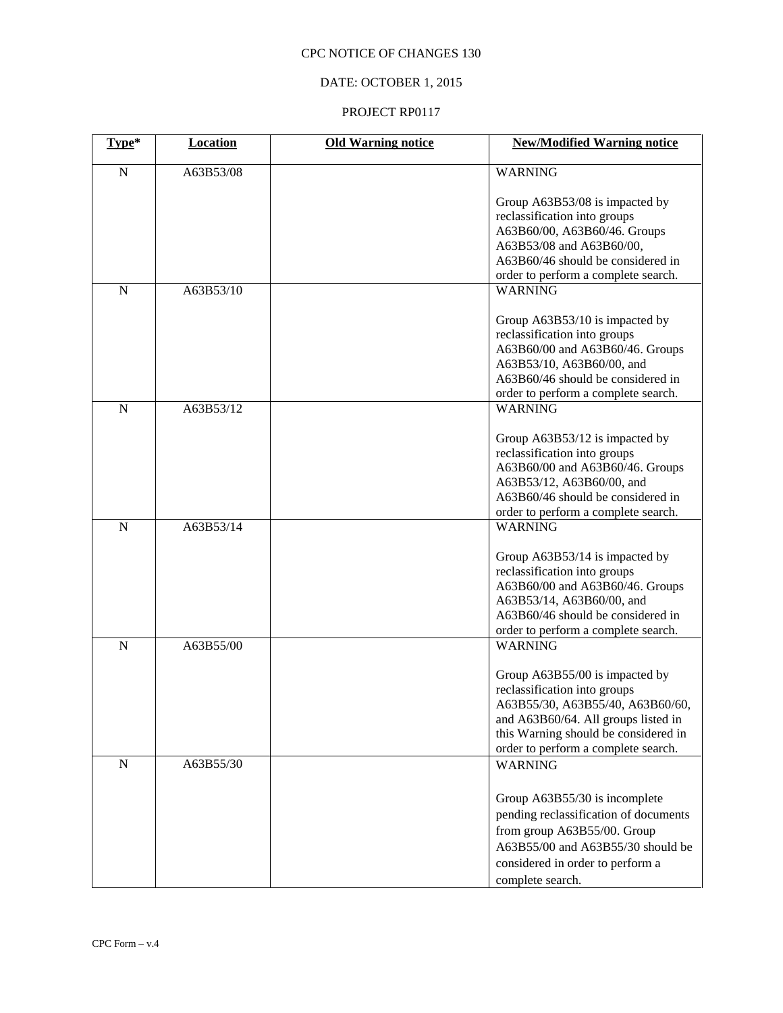# DATE: OCTOBER 1, 2015

| Type*       | Location  | <b>Old Warning notice</b> | <b>New/Modified Warning notice</b>                                                                                                                                                                                       |
|-------------|-----------|---------------------------|--------------------------------------------------------------------------------------------------------------------------------------------------------------------------------------------------------------------------|
| ${\bf N}$   | A63B53/08 |                           | <b>WARNING</b>                                                                                                                                                                                                           |
|             |           |                           | Group A63B53/08 is impacted by<br>reclassification into groups<br>A63B60/00, A63B60/46. Groups<br>A63B53/08 and A63B60/00,<br>A63B60/46 should be considered in<br>order to perform a complete search.                   |
| N           | A63B53/10 |                           | <b>WARNING</b>                                                                                                                                                                                                           |
|             |           |                           | Group A63B53/10 is impacted by<br>reclassification into groups<br>A63B60/00 and A63B60/46. Groups<br>A63B53/10, A63B60/00, and<br>A63B60/46 should be considered in<br>order to perform a complete search.               |
| $\mathbf N$ | A63B53/12 |                           | <b>WARNING</b>                                                                                                                                                                                                           |
|             |           |                           | Group A63B53/12 is impacted by<br>reclassification into groups<br>A63B60/00 and A63B60/46. Groups<br>A63B53/12, A63B60/00, and<br>A63B60/46 should be considered in<br>order to perform a complete search.               |
| ${\bf N}$   | A63B53/14 |                           | <b>WARNING</b>                                                                                                                                                                                                           |
|             |           |                           | Group A63B53/14 is impacted by<br>reclassification into groups<br>A63B60/00 and A63B60/46. Groups<br>A63B53/14, A63B60/00, and<br>A63B60/46 should be considered in<br>order to perform a complete search.               |
| $\mathbf N$ | A63B55/00 |                           | <b>WARNING</b>                                                                                                                                                                                                           |
|             |           |                           | Group A63B55/00 is impacted by<br>reclassification into groups<br>A63B55/30, A63B55/40, A63B60/60,<br>and A63B60/64. All groups listed in<br>this Warning should be considered in<br>order to perform a complete search. |
| ${\bf N}$   | A63B55/30 |                           | <b>WARNING</b><br>Group A63B55/30 is incomplete<br>pending reclassification of documents<br>from group A63B55/00. Group<br>A63B55/00 and A63B55/30 should be<br>considered in order to perform a<br>complete search.     |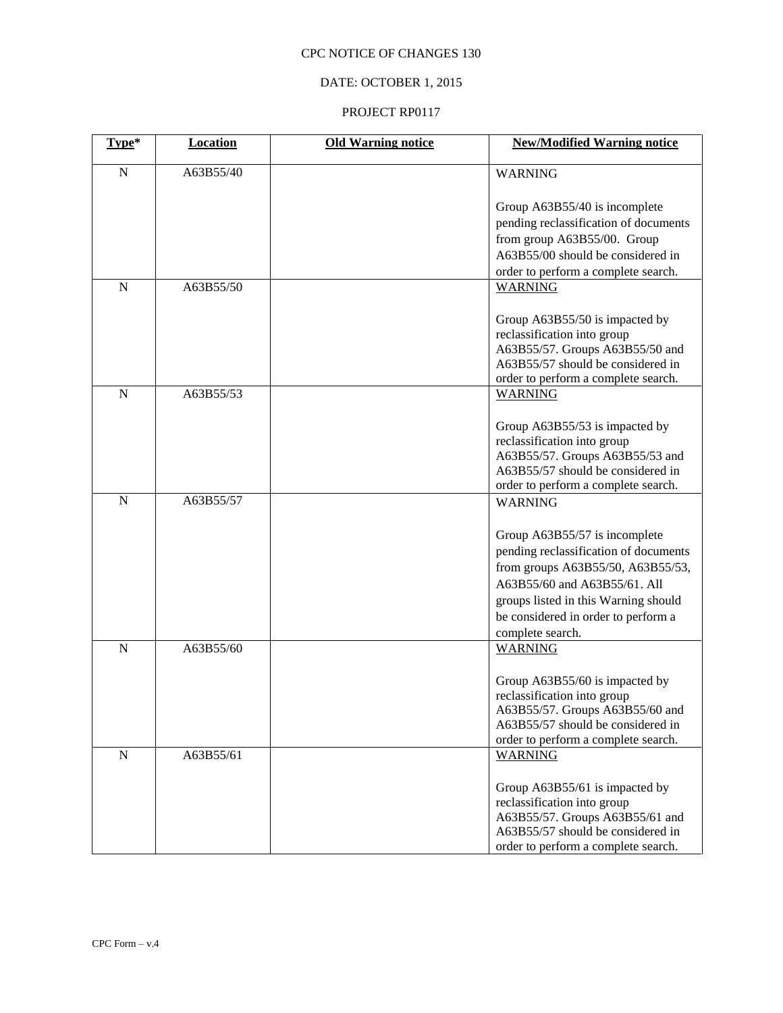# DATE: OCTOBER 1, 2015

| Type*       | <b>Location</b> | <b>Old Warning notice</b> | <b>New/Modified Warning notice</b>                            |
|-------------|-----------------|---------------------------|---------------------------------------------------------------|
| $\mathbf N$ | A63B55/40       |                           | <b>WARNING</b>                                                |
|             |                 |                           |                                                               |
|             |                 |                           | Group A63B55/40 is incomplete                                 |
|             |                 |                           | pending reclassification of documents                         |
|             |                 |                           | from group A63B55/00. Group                                   |
|             |                 |                           | A63B55/00 should be considered in                             |
|             |                 |                           | order to perform a complete search.                           |
| $\mathbf N$ | A63B55/50       |                           | <b>WARNING</b>                                                |
|             |                 |                           | Group A63B55/50 is impacted by                                |
|             |                 |                           | reclassification into group                                   |
|             |                 |                           | A63B55/57. Groups A63B55/50 and                               |
|             |                 |                           | A63B55/57 should be considered in                             |
|             |                 |                           | order to perform a complete search.                           |
| $\mathbf N$ | A63B55/53       |                           | <b>WARNING</b>                                                |
|             |                 |                           | Group A63B55/53 is impacted by                                |
|             |                 |                           | reclassification into group                                   |
|             |                 |                           | A63B55/57. Groups A63B55/53 and                               |
|             |                 |                           | A63B55/57 should be considered in                             |
|             |                 |                           | order to perform a complete search.                           |
| $\mathbf N$ | A63B55/57       |                           | <b>WARNING</b>                                                |
|             |                 |                           |                                                               |
|             |                 |                           | Group A63B55/57 is incomplete                                 |
|             |                 |                           | pending reclassification of documents                         |
|             |                 |                           | from groups A63B55/50, A63B55/53,                             |
|             |                 |                           | A63B55/60 and A63B55/61. All                                  |
|             |                 |                           | groups listed in this Warning should                          |
|             |                 |                           | be considered in order to perform a                           |
|             |                 |                           | complete search.                                              |
| $\mathbf N$ | A63B55/60       |                           | <b>WARNING</b>                                                |
|             |                 |                           | Group A63B55/60 is impacted by                                |
|             |                 |                           | reclassification into group                                   |
|             |                 |                           | A63B55/57. Groups A63B55/60 and                               |
|             |                 |                           | A63B55/57 should be considered in                             |
|             |                 |                           | order to perform a complete search.                           |
| ${\bf N}$   | A63B55/61       |                           | <b>WARNING</b>                                                |
|             |                 |                           |                                                               |
|             |                 |                           | Group A63B55/61 is impacted by<br>reclassification into group |
|             |                 |                           | A63B55/57. Groups A63B55/61 and                               |
|             |                 |                           | A63B55/57 should be considered in                             |
|             |                 |                           | order to perform a complete search.                           |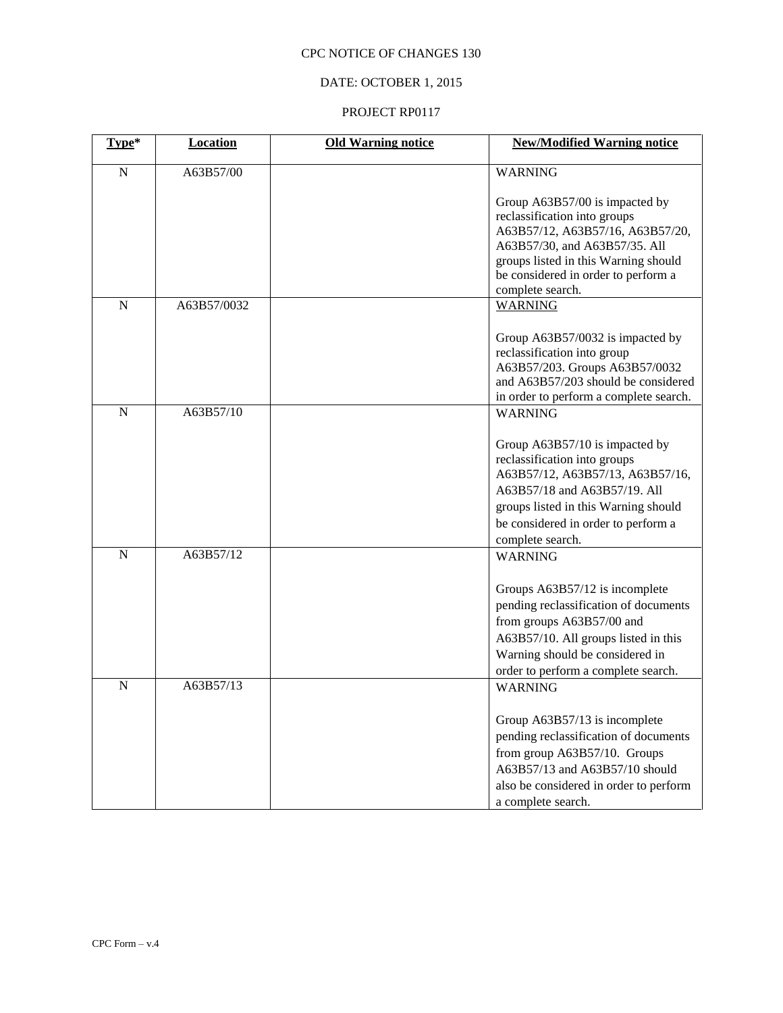# DATE: OCTOBER 1, 2015

| Type*       | Location    | <b>Old Warning notice</b> | <b>New/Modified Warning notice</b>                                                                                                                                                                                                     |
|-------------|-------------|---------------------------|----------------------------------------------------------------------------------------------------------------------------------------------------------------------------------------------------------------------------------------|
| ${\bf N}$   | A63B57/00   |                           | <b>WARNING</b>                                                                                                                                                                                                                         |
|             |             |                           | Group A63B57/00 is impacted by<br>reclassification into groups<br>A63B57/12, A63B57/16, A63B57/20,<br>A63B57/30, and A63B57/35. All<br>groups listed in this Warning should<br>be considered in order to perform a<br>complete search. |
| $\mathbf N$ | A63B57/0032 |                           | <b>WARNING</b>                                                                                                                                                                                                                         |
|             |             |                           | Group A63B57/0032 is impacted by<br>reclassification into group<br>A63B57/203. Groups A63B57/0032<br>and A63B57/203 should be considered<br>in order to perform a complete search.                                                     |
| $\mathbf N$ | A63B57/10   |                           | <b>WARNING</b>                                                                                                                                                                                                                         |
|             |             |                           | Group A63B57/10 is impacted by<br>reclassification into groups<br>A63B57/12, A63B57/13, A63B57/16,<br>A63B57/18 and A63B57/19. All<br>groups listed in this Warning should<br>be considered in order to perform a<br>complete search.  |
| $\mathbf N$ | A63B57/12   |                           | <b>WARNING</b>                                                                                                                                                                                                                         |
|             |             |                           | Groups A63B57/12 is incomplete<br>pending reclassification of documents<br>from groups A63B57/00 and<br>A63B57/10. All groups listed in this<br>Warning should be considered in<br>order to perform a complete search.                 |
| $\mathbf N$ | A63B57/13   |                           | <b>WARNING</b>                                                                                                                                                                                                                         |
|             |             |                           | Group A63B57/13 is incomplete<br>pending reclassification of documents<br>from group A63B57/10. Groups<br>A63B57/13 and A63B57/10 should<br>also be considered in order to perform<br>a complete search.                               |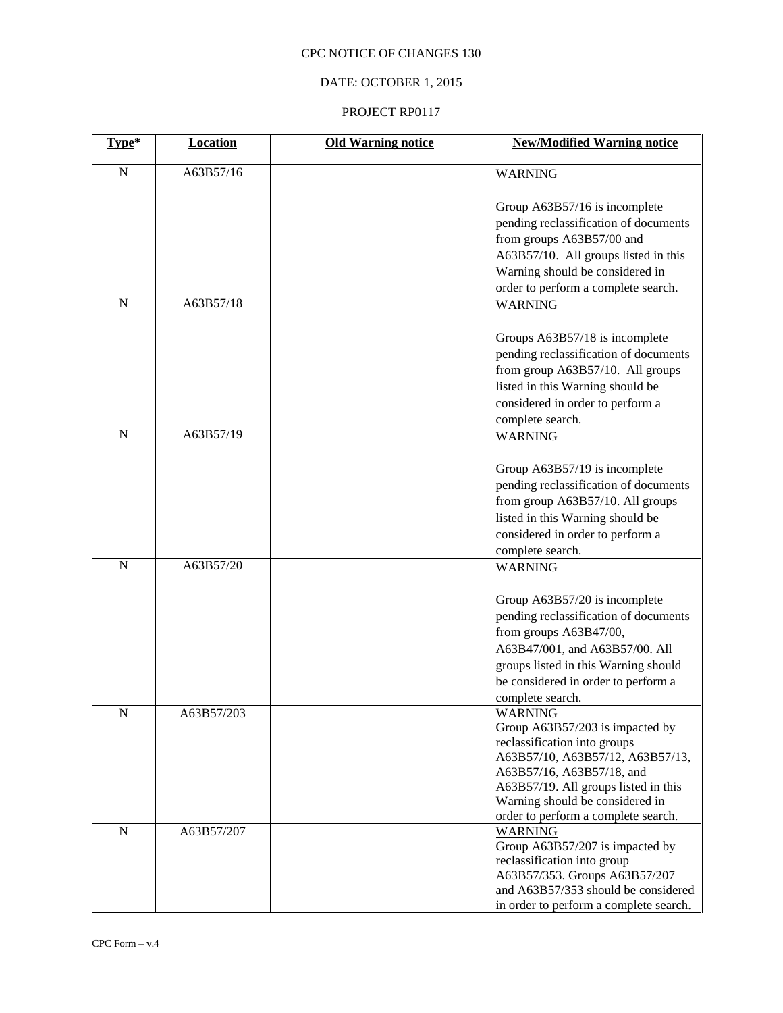# DATE: OCTOBER 1, 2015

| Type*       | <b>Location</b> | <b>Old Warning notice</b> | <b>New/Modified Warning notice</b>                                                                                                                                                                                                                                   |
|-------------|-----------------|---------------------------|----------------------------------------------------------------------------------------------------------------------------------------------------------------------------------------------------------------------------------------------------------------------|
| $\mathbf N$ | A63B57/16       |                           | <b>WARNING</b>                                                                                                                                                                                                                                                       |
|             |                 |                           | Group A63B57/16 is incomplete<br>pending reclassification of documents<br>from groups A63B57/00 and<br>A63B57/10. All groups listed in this<br>Warning should be considered in<br>order to perform a complete search.                                                |
| $\mathbf N$ | A63B57/18       |                           | <b>WARNING</b>                                                                                                                                                                                                                                                       |
|             |                 |                           | Groups A63B57/18 is incomplete<br>pending reclassification of documents<br>from group A63B57/10. All groups<br>listed in this Warning should be<br>considered in order to perform a<br>complete search.                                                              |
| $\mathbf N$ | A63B57/19       |                           | <b>WARNING</b>                                                                                                                                                                                                                                                       |
|             |                 |                           | Group A63B57/19 is incomplete<br>pending reclassification of documents<br>from group A63B57/10. All groups<br>listed in this Warning should be<br>considered in order to perform a<br>complete search.                                                               |
| $\mathbf N$ | A63B57/20       |                           | <b>WARNING</b>                                                                                                                                                                                                                                                       |
|             |                 |                           | Group A63B57/20 is incomplete<br>pending reclassification of documents<br>from groups A63B47/00,<br>A63B47/001, and A63B57/00. All<br>groups listed in this Warning should<br>be considered in order to perform a<br>complete search.                                |
| N           | A63B57/203      |                           | <b>WARNING</b><br>Group A63B57/203 is impacted by<br>reclassification into groups<br>A63B57/10, A63B57/12, A63B57/13,<br>A63B57/16, A63B57/18, and<br>A63B57/19. All groups listed in this<br>Warning should be considered in<br>order to perform a complete search. |
| N           | A63B57/207      |                           | <b>WARNING</b><br>Group A63B57/207 is impacted by<br>reclassification into group<br>A63B57/353. Groups A63B57/207<br>and A63B57/353 should be considered<br>in order to perform a complete search.                                                                   |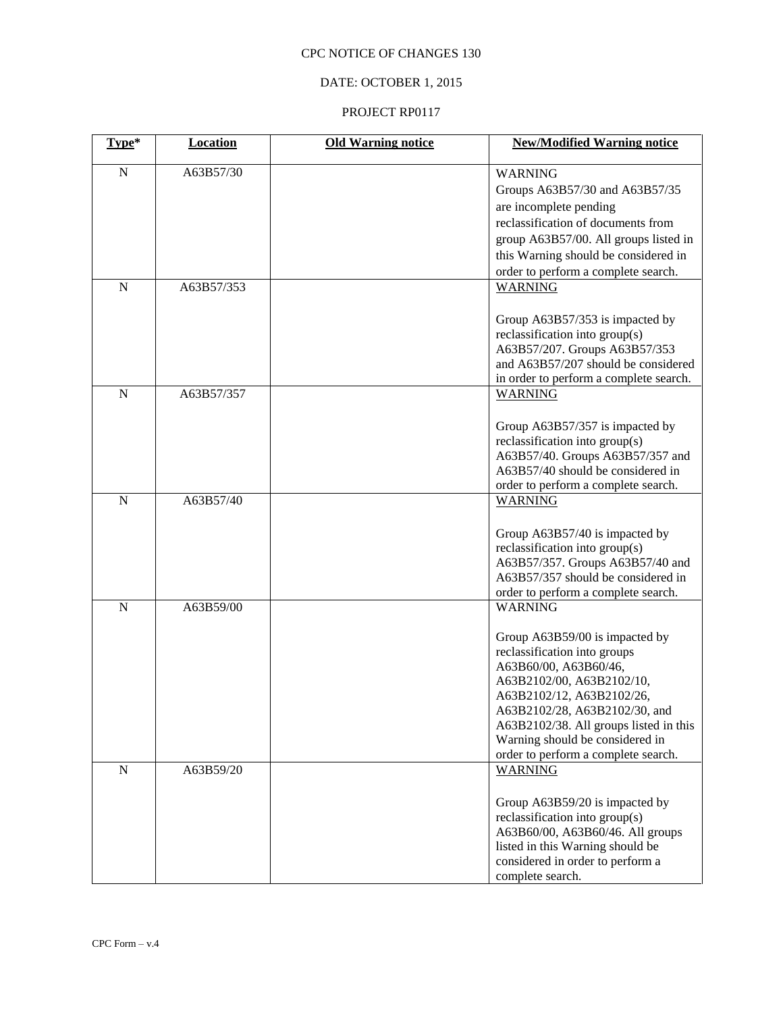# DATE: OCTOBER 1, 2015

| Type*       | <b>Location</b> | <b>Old Warning notice</b> | <b>New/Modified Warning notice</b>                                                                                                                                                                                                                                                                                       |
|-------------|-----------------|---------------------------|--------------------------------------------------------------------------------------------------------------------------------------------------------------------------------------------------------------------------------------------------------------------------------------------------------------------------|
| ${\bf N}$   | A63B57/30       |                           | <b>WARNING</b><br>Groups A63B57/30 and A63B57/35<br>are incomplete pending<br>reclassification of documents from<br>group A63B57/00. All groups listed in<br>this Warning should be considered in<br>order to perform a complete search.                                                                                 |
| $\mathbf N$ | A63B57/353      |                           | <b>WARNING</b><br>Group A63B57/353 is impacted by<br>reclassification into group(s)<br>A63B57/207. Groups A63B57/353<br>and A63B57/207 should be considered<br>in order to perform a complete search.                                                                                                                    |
| $\mathbf N$ | A63B57/357      |                           | <b>WARNING</b><br>Group A63B57/357 is impacted by<br>reclassification into group(s)<br>A63B57/40. Groups A63B57/357 and<br>A63B57/40 should be considered in<br>order to perform a complete search.                                                                                                                      |
| $\mathbf N$ | A63B57/40       |                           | <b>WARNING</b><br>Group A63B57/40 is impacted by<br>reclassification into group(s)<br>A63B57/357. Groups A63B57/40 and<br>A63B57/357 should be considered in<br>order to perform a complete search.                                                                                                                      |
| $\mathbf N$ | A63B59/00       |                           | <b>WARNING</b><br>Group A63B59/00 is impacted by<br>reclassification into groups<br>A63B60/00, A63B60/46,<br>A63B2102/00, A63B2102/10,<br>A63B2102/12, A63B2102/26,<br>A63B2102/28, A63B2102/30, and<br>A63B2102/38. All groups listed in this<br>Warning should be considered in<br>order to perform a complete search. |
| ${\bf N}$   | A63B59/20       |                           | <b>WARNING</b><br>Group A63B59/20 is impacted by<br>reclassification into group(s)<br>A63B60/00, A63B60/46. All groups<br>listed in this Warning should be<br>considered in order to perform a<br>complete search.                                                                                                       |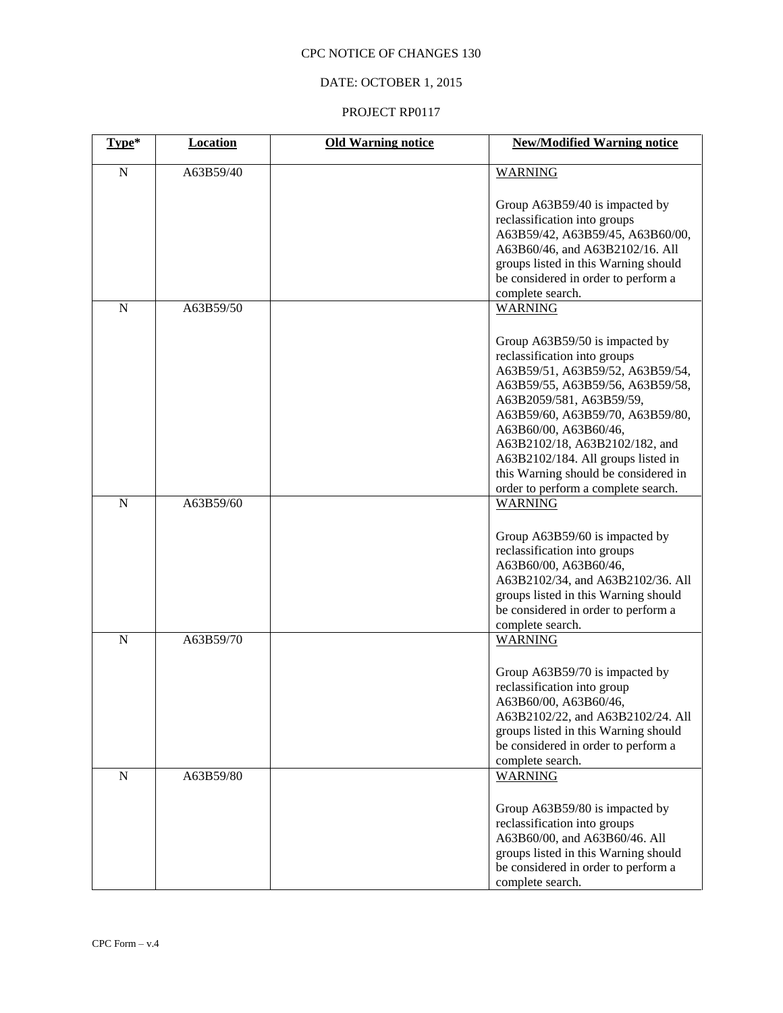# DATE: OCTOBER 1, 2015

| Type*       | <b>Location</b> | <b>Old Warning notice</b> | <b>New/Modified Warning notice</b>                                                                                                                                                                                                                                                                                                                                                     |
|-------------|-----------------|---------------------------|----------------------------------------------------------------------------------------------------------------------------------------------------------------------------------------------------------------------------------------------------------------------------------------------------------------------------------------------------------------------------------------|
| $\mathbf N$ | A63B59/40       |                           | <b>WARNING</b>                                                                                                                                                                                                                                                                                                                                                                         |
| $\mathbf N$ | A63B59/50       |                           | Group A63B59/40 is impacted by<br>reclassification into groups<br>A63B59/42, A63B59/45, A63B60/00,<br>A63B60/46, and A63B2102/16. All<br>groups listed in this Warning should<br>be considered in order to perform a<br>complete search.<br><b>WARNING</b>                                                                                                                             |
|             |                 |                           | Group A63B59/50 is impacted by<br>reclassification into groups<br>A63B59/51, A63B59/52, A63B59/54,<br>A63B59/55, A63B59/56, A63B59/58,<br>A63B2059/581, A63B59/59,<br>A63B59/60, A63B59/70, A63B59/80,<br>A63B60/00, A63B60/46,<br>A63B2102/18, A63B2102/182, and<br>A63B2102/184. All groups listed in<br>this Warning should be considered in<br>order to perform a complete search. |
| $\mathbf N$ | A63B59/60       |                           | <b>WARNING</b><br>Group A63B59/60 is impacted by<br>reclassification into groups<br>A63B60/00, A63B60/46,<br>A63B2102/34, and A63B2102/36. All<br>groups listed in this Warning should<br>be considered in order to perform a<br>complete search.                                                                                                                                      |
| $\mathbf N$ | A63B59/70       |                           | <b>WARNING</b><br>Group A63B59/70 is impacted by<br>reclassification into group<br>A63B60/00, A63B60/46,<br>A63B2102/22, and A63B2102/24. All<br>groups listed in this Warning should<br>be considered in order to perform a<br>complete search.                                                                                                                                       |
| $\mathbf N$ | A63B59/80       |                           | <b>WARNING</b><br>Group A63B59/80 is impacted by<br>reclassification into groups<br>A63B60/00, and A63B60/46. All<br>groups listed in this Warning should<br>be considered in order to perform a<br>complete search.                                                                                                                                                                   |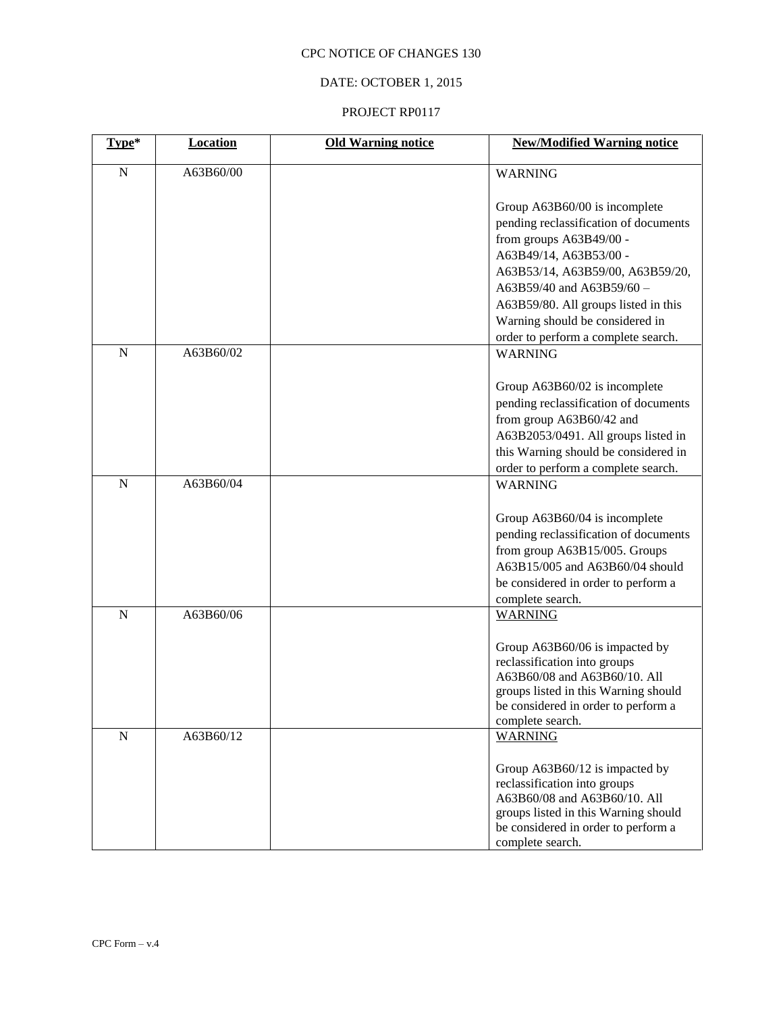# DATE: OCTOBER 1, 2015

| Type*       | <b>Location</b> | <b>Old Warning notice</b> | <b>New/Modified Warning notice</b>                                                                                                                                                                                                                                                                             |
|-------------|-----------------|---------------------------|----------------------------------------------------------------------------------------------------------------------------------------------------------------------------------------------------------------------------------------------------------------------------------------------------------------|
| $\mathbf N$ | A63B60/00       |                           | <b>WARNING</b>                                                                                                                                                                                                                                                                                                 |
|             |                 |                           | Group A63B60/00 is incomplete<br>pending reclassification of documents<br>from groups A63B49/00 -<br>A63B49/14, A63B53/00 -<br>A63B53/14, A63B59/00, A63B59/20,<br>A63B59/40 and A63B59/60 -<br>A63B59/80. All groups listed in this<br>Warning should be considered in<br>order to perform a complete search. |
| $\mathbf N$ | A63B60/02       |                           | <b>WARNING</b><br>Group A63B60/02 is incomplete<br>pending reclassification of documents<br>from group A63B60/42 and<br>A63B2053/0491. All groups listed in<br>this Warning should be considered in                                                                                                            |
| $\mathbf N$ |                 |                           | order to perform a complete search.                                                                                                                                                                                                                                                                            |
|             | A63B60/04       |                           | <b>WARNING</b><br>Group A63B60/04 is incomplete<br>pending reclassification of documents<br>from group A63B15/005. Groups<br>A63B15/005 and A63B60/04 should<br>be considered in order to perform a<br>complete search.                                                                                        |
| $\mathbf N$ | A63B60/06       |                           | <b>WARNING</b><br>Group A63B60/06 is impacted by<br>reclassification into groups<br>A63B60/08 and A63B60/10. All<br>groups listed in this Warning should<br>be considered in order to perform a<br>complete search.                                                                                            |
| ${\bf N}$   | A63B60/12       |                           | <b>WARNING</b><br>Group A63B60/12 is impacted by<br>reclassification into groups<br>A63B60/08 and A63B60/10. All<br>groups listed in this Warning should<br>be considered in order to perform a<br>complete search.                                                                                            |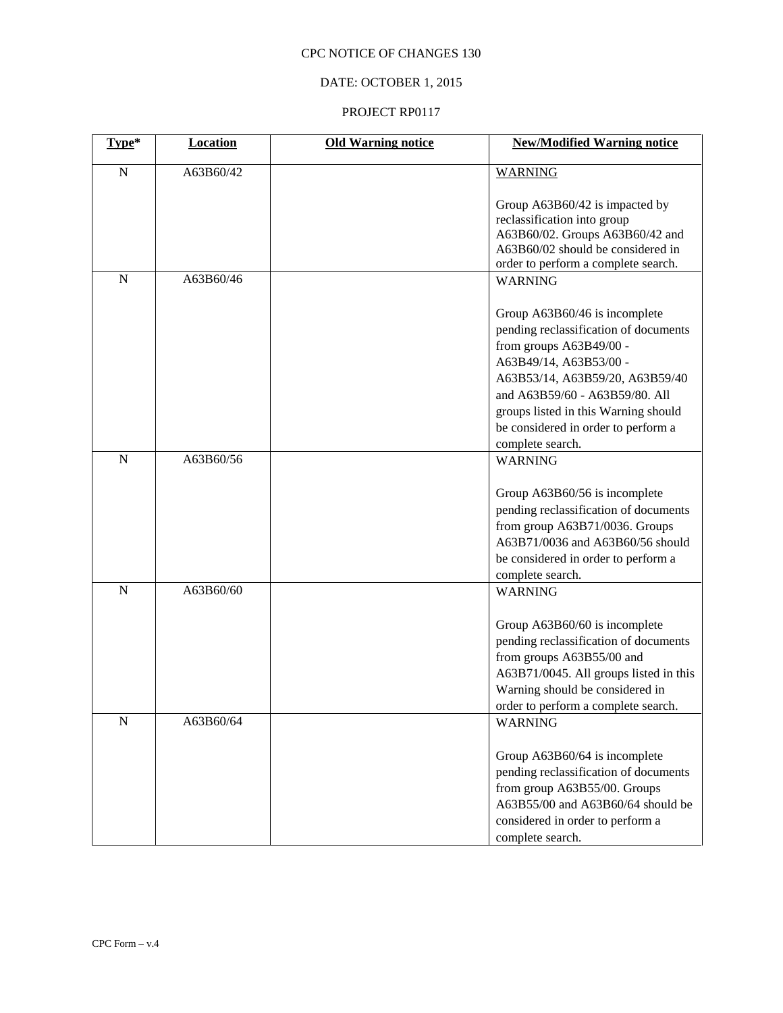# DATE: OCTOBER 1, 2015

| Type*       | <b>Location</b> | <b>Old Warning notice</b> | <b>New/Modified Warning notice</b>                                                                                                                                                                                                                                                                  |
|-------------|-----------------|---------------------------|-----------------------------------------------------------------------------------------------------------------------------------------------------------------------------------------------------------------------------------------------------------------------------------------------------|
| $\mathbf N$ | A63B60/42       |                           | <b>WARNING</b>                                                                                                                                                                                                                                                                                      |
|             |                 |                           | Group A63B60/42 is impacted by<br>reclassification into group<br>A63B60/02. Groups A63B60/42 and<br>A63B60/02 should be considered in<br>order to perform a complete search.                                                                                                                        |
| $\mathbf N$ | A63B60/46       |                           | <b>WARNING</b>                                                                                                                                                                                                                                                                                      |
|             |                 |                           | Group A63B60/46 is incomplete<br>pending reclassification of documents<br>from groups A63B49/00 -<br>A63B49/14, A63B53/00 -<br>A63B53/14, A63B59/20, A63B59/40<br>and A63B59/60 - A63B59/80. All<br>groups listed in this Warning should<br>be considered in order to perform a<br>complete search. |
| $\mathbf N$ | A63B60/56       |                           | <b>WARNING</b>                                                                                                                                                                                                                                                                                      |
|             |                 |                           | Group A63B60/56 is incomplete<br>pending reclassification of documents<br>from group A63B71/0036. Groups<br>A63B71/0036 and A63B60/56 should<br>be considered in order to perform a<br>complete search.                                                                                             |
| $\mathbf N$ | A63B60/60       |                           | <b>WARNING</b>                                                                                                                                                                                                                                                                                      |
|             |                 |                           | Group A63B60/60 is incomplete<br>pending reclassification of documents<br>from groups A63B55/00 and<br>A63B71/0045. All groups listed in this<br>Warning should be considered in<br>order to perform a complete search.                                                                             |
| $\mathbf N$ | A63B60/64       |                           | <b>WARNING</b>                                                                                                                                                                                                                                                                                      |
|             |                 |                           | Group A63B60/64 is incomplete<br>pending reclassification of documents<br>from group A63B55/00. Groups<br>A63B55/00 and A63B60/64 should be<br>considered in order to perform a<br>complete search.                                                                                                 |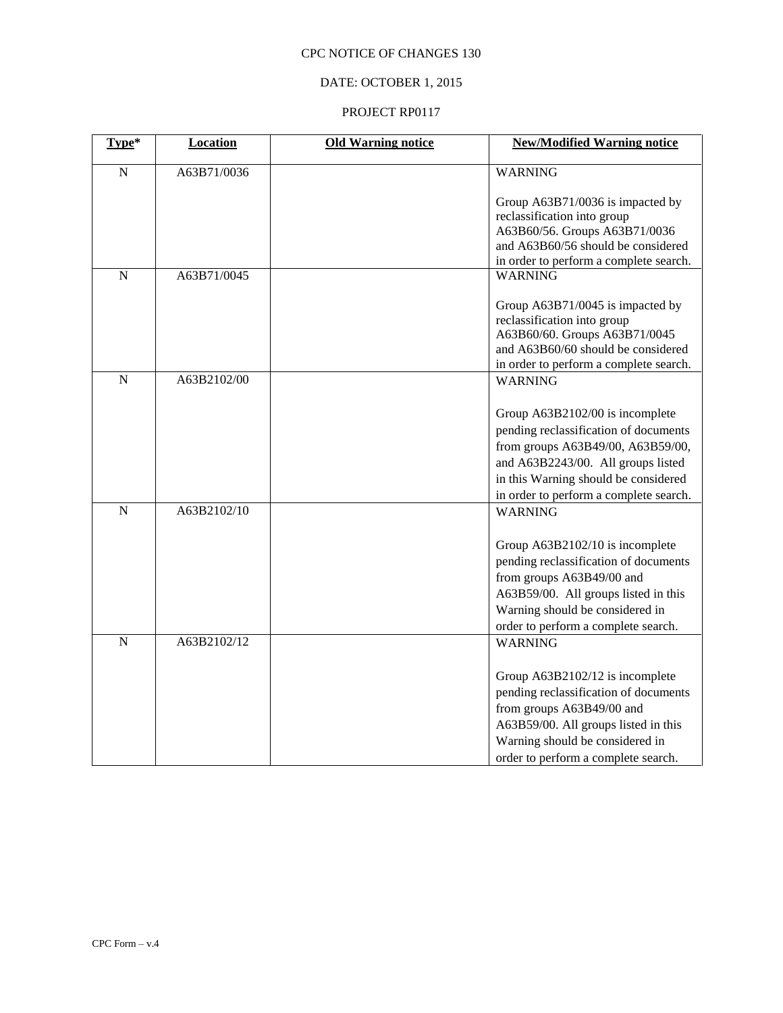# DATE: OCTOBER 1, 2015

| Type*          | <b>Location</b> | <b>Old Warning notice</b> | <b>New/Modified Warning notice</b>                       |
|----------------|-----------------|---------------------------|----------------------------------------------------------|
| $\mathbf N$    | A63B71/0036     |                           | <b>WARNING</b>                                           |
|                |                 |                           |                                                          |
|                |                 |                           | Group A63B71/0036 is impacted by                         |
|                |                 |                           | reclassification into group                              |
|                |                 |                           | A63B60/56. Groups A63B71/0036                            |
|                |                 |                           | and A63B60/56 should be considered                       |
| $\overline{N}$ | A63B71/0045     |                           | in order to perform a complete search.<br><b>WARNING</b> |
|                |                 |                           |                                                          |
|                |                 |                           | Group A63B71/0045 is impacted by                         |
|                |                 |                           | reclassification into group                              |
|                |                 |                           | A63B60/60. Groups A63B71/0045                            |
|                |                 |                           | and A63B60/60 should be considered                       |
|                |                 |                           | in order to perform a complete search.                   |
| $\mathbf N$    | A63B2102/00     |                           | <b>WARNING</b>                                           |
|                |                 |                           |                                                          |
|                |                 |                           | Group A63B2102/00 is incomplete                          |
|                |                 |                           | pending reclassification of documents                    |
|                |                 |                           | from groups A63B49/00, A63B59/00,                        |
|                |                 |                           | and A63B2243/00. All groups listed                       |
|                |                 |                           | in this Warning should be considered                     |
|                |                 |                           | in order to perform a complete search.                   |
| N              | A63B2102/10     |                           | <b>WARNING</b>                                           |
|                |                 |                           |                                                          |
|                |                 |                           | Group A63B2102/10 is incomplete                          |
|                |                 |                           | pending reclassification of documents                    |
|                |                 |                           | from groups A63B49/00 and                                |
|                |                 |                           | A63B59/00. All groups listed in this                     |
|                |                 |                           | Warning should be considered in                          |
|                |                 |                           | order to perform a complete search.                      |
| $\mathbf N$    | A63B2102/12     |                           | <b>WARNING</b>                                           |
|                |                 |                           |                                                          |
|                |                 |                           | Group A63B2102/12 is incomplete                          |
|                |                 |                           | pending reclassification of documents                    |
|                |                 |                           | from groups A63B49/00 and                                |
|                |                 |                           | A63B59/00. All groups listed in this                     |
|                |                 |                           | Warning should be considered in                          |
|                |                 |                           | order to perform a complete search.                      |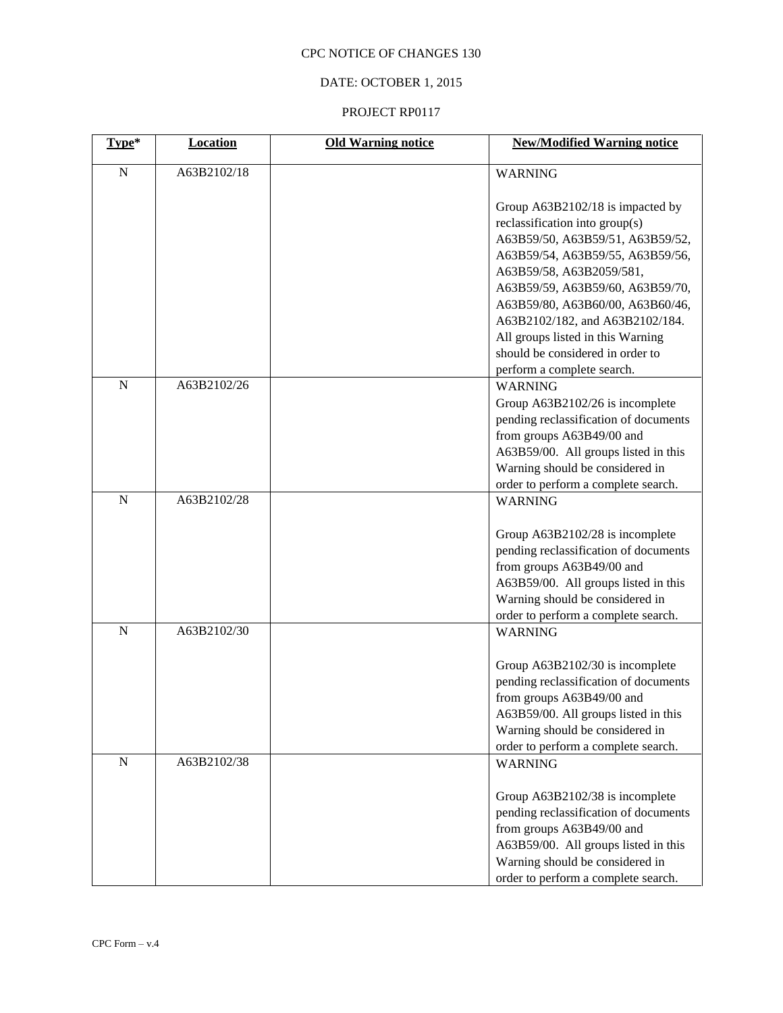# DATE: OCTOBER 1, 2015

| Type*       | Location    | <b>Old Warning notice</b> | <b>New/Modified Warning notice</b>                                                                                                                                                                                                                                                |
|-------------|-------------|---------------------------|-----------------------------------------------------------------------------------------------------------------------------------------------------------------------------------------------------------------------------------------------------------------------------------|
| ${\bf N}$   | A63B2102/18 |                           | <b>WARNING</b>                                                                                                                                                                                                                                                                    |
|             |             |                           | Group A63B2102/18 is impacted by<br>reclassification into group(s)<br>A63B59/50, A63B59/51, A63B59/52,<br>A63B59/54, A63B59/55, A63B59/56,<br>A63B59/58, A63B2059/581,<br>A63B59/59, A63B59/60, A63B59/70,<br>A63B59/80, A63B60/00, A63B60/46,<br>A63B2102/182, and A63B2102/184. |
|             |             |                           | All groups listed in this Warning<br>should be considered in order to                                                                                                                                                                                                             |
| $\mathbf N$ | A63B2102/26 |                           | perform a complete search.<br><b>WARNING</b><br>Group A63B2102/26 is incomplete<br>pending reclassification of documents<br>from groups A63B49/00 and<br>A63B59/00. All groups listed in this<br>Warning should be considered in                                                  |
| $\mathbf N$ | A63B2102/28 |                           | order to perform a complete search.<br><b>WARNING</b>                                                                                                                                                                                                                             |
|             |             |                           | Group A63B2102/28 is incomplete<br>pending reclassification of documents<br>from groups A63B49/00 and<br>A63B59/00. All groups listed in this<br>Warning should be considered in<br>order to perform a complete search.                                                           |
| ${\bf N}$   | A63B2102/30 |                           | <b>WARNING</b>                                                                                                                                                                                                                                                                    |
|             |             |                           | Group A63B2102/30 is incomplete<br>pending reclassification of documents<br>from groups A63B49/00 and<br>A63B59/00. All groups listed in this<br>Warning should be considered in<br>order to perform a complete search.                                                           |
| ${\bf N}$   | A63B2102/38 |                           | <b>WARNING</b><br>Group A63B2102/38 is incomplete<br>pending reclassification of documents<br>from groups A63B49/00 and<br>A63B59/00. All groups listed in this<br>Warning should be considered in<br>order to perform a complete search.                                         |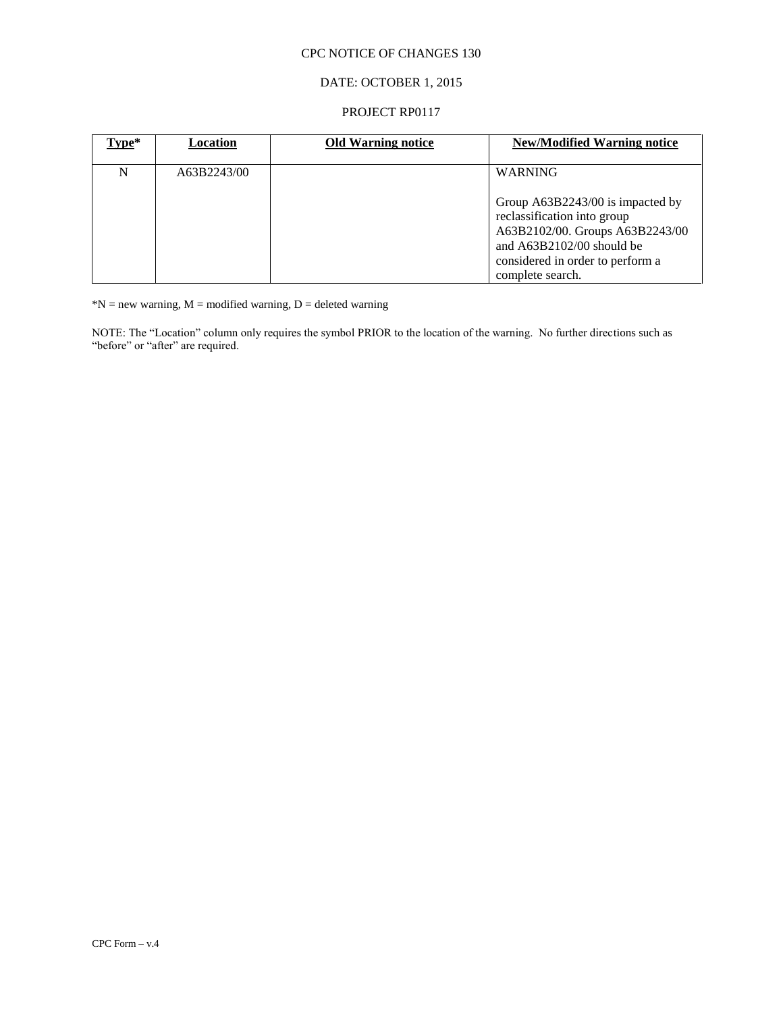# DATE: OCTOBER 1, 2015

#### PROJECT RP0117

| $Type*$ | Location    | <b>Old Warning notice</b> | <b>New/Modified Warning notice</b>                                                                                                                                                        |
|---------|-------------|---------------------------|-------------------------------------------------------------------------------------------------------------------------------------------------------------------------------------------|
| N       | A63B2243/00 |                           | <b>WARNING</b>                                                                                                                                                                            |
|         |             |                           | Group A63B2243/00 is impacted by<br>reclassification into group<br>A63B2102/00. Groups A63B2243/00<br>and $A63B2102/00$ should be<br>considered in order to perform a<br>complete search. |

 $N = new warning, M = modified warning, D = deleted warning$ 

NOTE: The "Location" column only requires the symbol PRIOR to the location of the warning. No further directions such as "before" or "after" are required.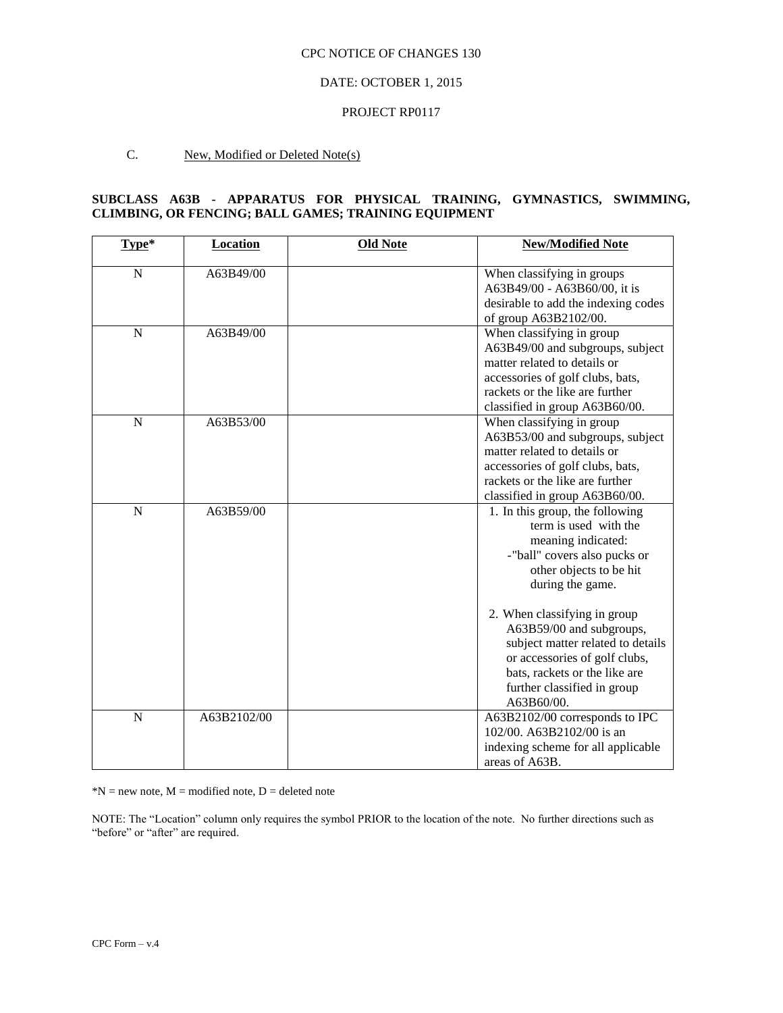#### DATE: OCTOBER 1, 2015

#### PROJECT RP0117

#### C. New, Modified or Deleted Note(s)

# **SUBCLASS A63B - APPARATUS FOR PHYSICAL TRAINING, GYMNASTICS, SWIMMING, CLIMBING, OR FENCING; BALL GAMES; TRAINING EQUIPMENT**

| Type*          | <b>Location</b> | <b>Old Note</b> | <b>New/Modified Note</b>                                                                                                                                                                                                                                                                                                                                                      |
|----------------|-----------------|-----------------|-------------------------------------------------------------------------------------------------------------------------------------------------------------------------------------------------------------------------------------------------------------------------------------------------------------------------------------------------------------------------------|
| $\mathbf N$    | A63B49/00       |                 | When classifying in groups<br>A63B49/00 - A63B60/00, it is<br>desirable to add the indexing codes<br>of group A63B2102/00.                                                                                                                                                                                                                                                    |
| N              | A63B49/00       |                 | When classifying in group<br>A63B49/00 and subgroups, subject<br>matter related to details or<br>accessories of golf clubs, bats,<br>rackets or the like are further<br>classified in group A63B60/00.                                                                                                                                                                        |
| $\mathbf N$    | A63B53/00       |                 | When classifying in group<br>A63B53/00 and subgroups, subject<br>matter related to details or<br>accessories of golf clubs, bats,<br>rackets or the like are further<br>classified in group A63B60/00.                                                                                                                                                                        |
| $\overline{N}$ | A63B59/00       |                 | 1. In this group, the following<br>term is used with the<br>meaning indicated:<br>-"ball" covers also pucks or<br>other objects to be hit<br>during the game.<br>2. When classifying in group<br>A63B59/00 and subgroups,<br>subject matter related to details<br>or accessories of golf clubs,<br>bats, rackets or the like are<br>further classified in group<br>A63B60/00. |
| $\overline{N}$ | A63B2102/00     |                 | A63B2102/00 corresponds to IPC<br>102/00. A63B2102/00 is an<br>indexing scheme for all applicable<br>areas of A63B.                                                                                                                                                                                                                                                           |

 $*N$  = new note,  $M$  = modified note,  $D$  = deleted note

NOTE: The "Location" column only requires the symbol PRIOR to the location of the note. No further directions such as "before" or "after" are required.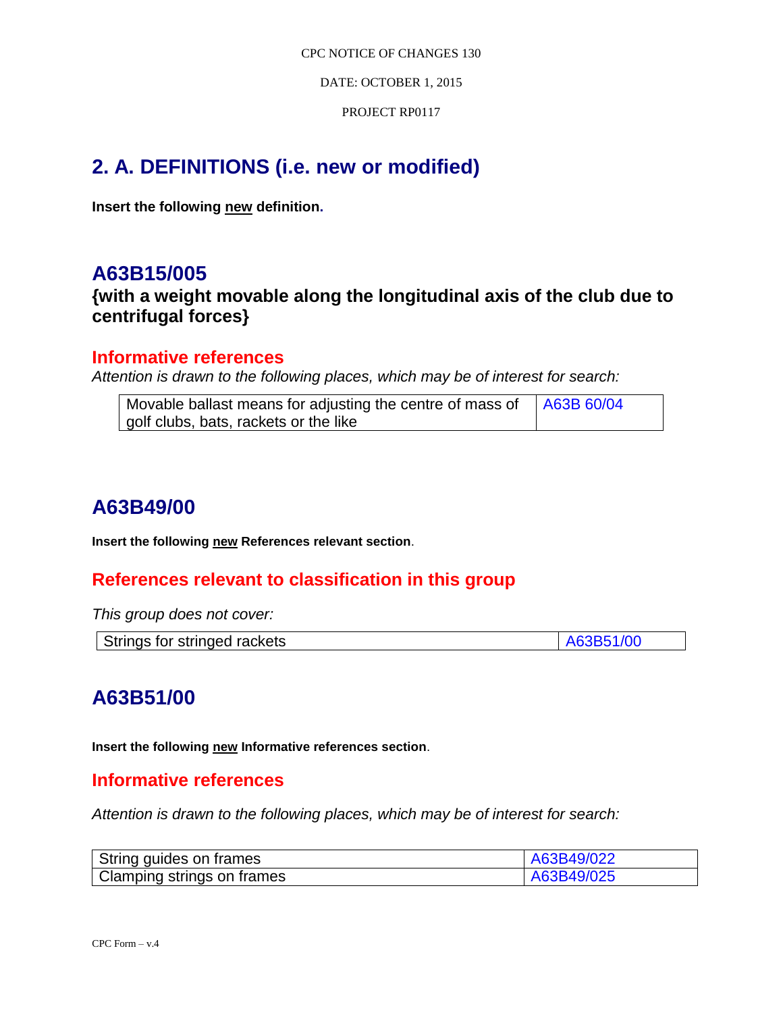DATE: OCTOBER 1, 2015

PROJECT RP0117

# **2. A. DEFINITIONS (i.e. new or modified)**

**Insert the following new definition.**

# **A63B15/005**

**{with a weight movable along the longitudinal axis of the club due to centrifugal forces}**

# **Informative references**

*Attention is drawn to the following places, which may be of interest for search:*

| Movable ballast means for adjusting the centre of mass of $\int$ A63B 60/04 |  |
|-----------------------------------------------------------------------------|--|
| golf clubs, bats, rackets or the like                                       |  |

# **A63B49/00**

**Insert the following new References relevant section**.

# **References relevant to classification in this group**

*This group does not cover:* 

| Strings for stringed rackets | A63B51/00 |
|------------------------------|-----------|

# **A63B51/00**

**Insert the following new Informative references section**.

# **Informative references**

*Attention is drawn to the following places, which may be of interest for search:*

| String guides on frames    | A63B49/022 |
|----------------------------|------------|
| Clamping strings on frames | A63B49/025 |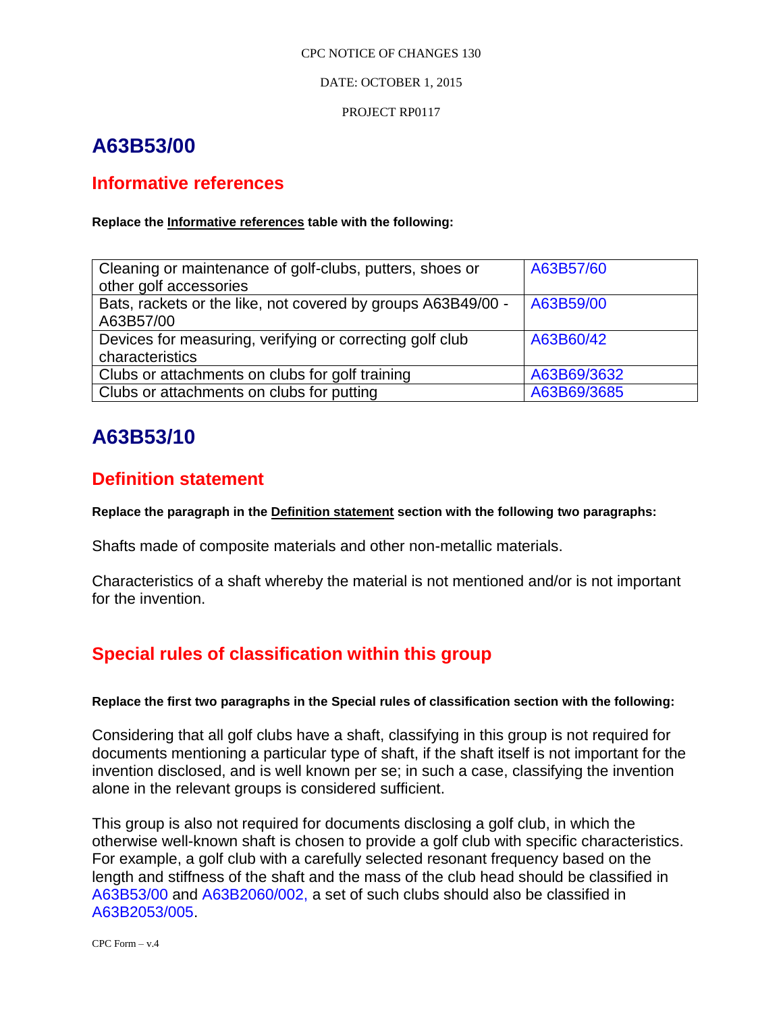## DATE: OCTOBER 1, 2015

PROJECT RP0117

# **A63B53/00**

# **Informative references**

# **Replace the Informative references table with the following:**

| Cleaning or maintenance of golf-clubs, putters, shoes or     | A63B57/60   |
|--------------------------------------------------------------|-------------|
| other golf accessories                                       |             |
| Bats, rackets or the like, not covered by groups A63B49/00 - | A63B59/00   |
| A63B57/00                                                    |             |
| Devices for measuring, verifying or correcting golf club     | A63B60/42   |
| characteristics                                              |             |
| Clubs or attachments on clubs for golf training              | A63B69/3632 |
| Clubs or attachments on clubs for putting                    | A63B69/3685 |

# **A63B53/10**

# **Definition statement**

**Replace the paragraph in the Definition statement section with the following two paragraphs:**

Shafts made of composite materials and other non-metallic materials.

Characteristics of a shaft whereby the material is not mentioned and/or is not important for the invention.

# **Special rules of classification within this group**

# **Replace the first two paragraphs in the Special rules of classification section with the following:**

Considering that all golf clubs have a shaft, classifying in this group is not required for documents mentioning a particular type of shaft, if the shaft itself is not important for the invention disclosed, and is well known per se; in such a case, classifying the invention alone in the relevant groups is considered sufficient.

This group is also not required for documents disclosing a golf club, in which the otherwise well-known shaft is chosen to provide a golf club with specific characteristics. For example, a golf club with a carefully selected resonant frequency based on the length and stiffness of the shaft and the mass of the club head should be classified in A63B53/00 and A63B2060/002, a set of such clubs should also be classified in A63B2053/005.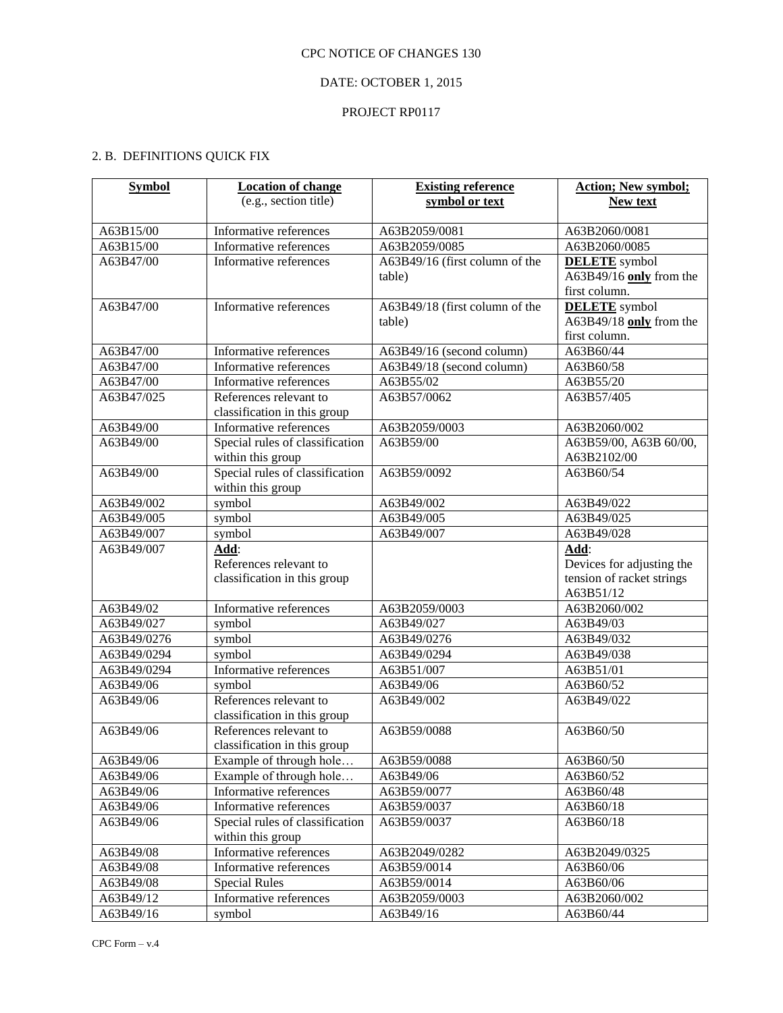# DATE: OCTOBER 1, 2015

## PROJECT RP0117

# 2. B. DEFINITIONS QUICK FIX

| <b>Symbol</b> | <b>Location of change</b>       | <b>Existing reference</b>      | <b>Action; New symbol;</b> |
|---------------|---------------------------------|--------------------------------|----------------------------|
|               | (e.g., section title)           | symbol or text                 | New text                   |
|               |                                 |                                |                            |
| A63B15/00     | Informative references          | A63B2059/0081                  | A63B2060/0081              |
| A63B15/00     | Informative references          | A63B2059/0085                  | A63B2060/0085              |
| A63B47/00     | Informative references          | A63B49/16 (first column of the | <b>DELETE</b> symbol       |
|               |                                 | table)                         | A63B49/16 only from the    |
|               |                                 |                                | first column.              |
| A63B47/00     | Informative references          | A63B49/18 (first column of the | <b>DELETE</b> symbol       |
|               |                                 | table)                         | A63B49/18 only from the    |
|               |                                 |                                | first column.              |
| A63B47/00     | Informative references          | A63B49/16 (second column)      | A63B60/44                  |
| A63B47/00     | Informative references          | A63B49/18 (second column)      | A63B60/58                  |
| A63B47/00     | Informative references          | A63B55/02                      | A63B55/20                  |
| A63B47/025    | References relevant to          | A63B57/0062                    | A63B57/405                 |
|               | classification in this group    |                                |                            |
| A63B49/00     | Informative references          | A63B2059/0003                  | A63B2060/002               |
| A63B49/00     | Special rules of classification | A63B59/00                      | A63B59/00, A63B 60/00,     |
|               | within this group               |                                | A63B2102/00                |
| A63B49/00     | Special rules of classification | A63B59/0092                    | A63B60/54                  |
|               | within this group               |                                |                            |
| A63B49/002    | symbol                          | A63B49/002                     | A63B49/022                 |
| A63B49/005    | symbol                          | A63B49/005                     | A63B49/025                 |
| A63B49/007    | symbol                          | A63B49/007                     | A63B49/028                 |
| A63B49/007    | Add:                            |                                | Add:                       |
|               | References relevant to          |                                | Devices for adjusting the  |
|               | classification in this group    |                                | tension of racket strings  |
|               |                                 |                                | A63B51/12                  |
| A63B49/02     | Informative references          | A63B2059/0003                  | A63B2060/002               |
| A63B49/027    | symbol                          | A63B49/027                     | A63B49/03                  |
| A63B49/0276   | symbol                          | A63B49/0276                    | A63B49/032                 |
| A63B49/0294   | symbol                          | A63B49/0294                    | A63B49/038                 |
| A63B49/0294   | Informative references          | A63B51/007                     | A63B51/01                  |
| A63B49/06     | symbol                          | A63B49/06                      | A63B60/52                  |
| A63B49/06     | References relevant to          | A63B49/002                     | A63B49/022                 |
|               | classification in this group    |                                |                            |
| A63B49/06     | References relevant to          | A63B59/0088                    | A63B60/50                  |
|               | classification in this group    |                                |                            |
| A63B49/06     | Example of through hole         | A63B59/0088                    | A63B60/50                  |
| A63B49/06     | Example of through hole         | A63B49/06                      | A63B60/52                  |
| A63B49/06     | Informative references          | A63B59/0077                    | A63B60/48                  |
| A63B49/06     | Informative references          | A63B59/0037                    | A63B60/18                  |
| A63B49/06     | Special rules of classification | A63B59/0037                    | A63B60/18                  |
|               | within this group               |                                |                            |
| A63B49/08     | Informative references          | A63B2049/0282                  | A63B2049/0325              |
| A63B49/08     | Informative references          | A63B59/0014                    | A63B60/06                  |
| A63B49/08     | <b>Special Rules</b>            | A63B59/0014                    | A63B60/06                  |
| A63B49/12     | Informative references          | A63B2059/0003                  | A63B2060/002               |
| A63B49/16     | symbol                          | A63B49/16                      | A63B60/44                  |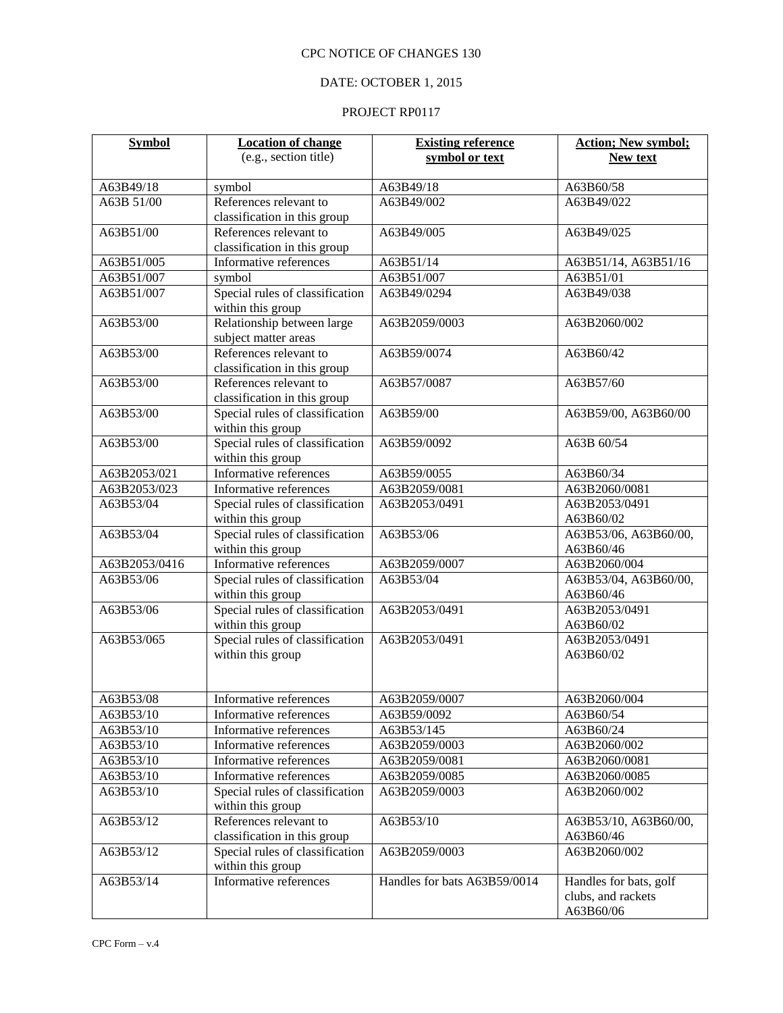# DATE: OCTOBER 1, 2015

| <b>Symbol</b> | <b>Location of change</b>                                 | <b>Existing reference</b>    | <b>Action; New symbol;</b>     |
|---------------|-----------------------------------------------------------|------------------------------|--------------------------------|
|               | (e.g., section title)                                     | symbol or text               | <b>New text</b>                |
|               |                                                           |                              |                                |
| A63B49/18     | symbol                                                    | A63B49/18                    | A63B60/58                      |
| A63B 51/00    | References relevant to                                    | A63B49/002                   | A63B49/022                     |
|               | classification in this group                              |                              |                                |
| A63B51/00     | References relevant to                                    | A63B49/005                   | A63B49/025                     |
|               | classification in this group                              |                              |                                |
| A63B51/005    | Informative references                                    | A63B51/14                    | A63B51/14, A63B51/16           |
| A63B51/007    | symbol                                                    | A63B51/007                   | A63B51/01                      |
| A63B51/007    | Special rules of classification                           | A63B49/0294                  | A63B49/038                     |
|               | within this group                                         |                              |                                |
| A63B53/00     | Relationship between large                                | A63B2059/0003                | A63B2060/002                   |
|               | subject matter areas                                      |                              |                                |
| A63B53/00     | References relevant to                                    | A63B59/0074                  | A63B60/42                      |
|               | classification in this group                              |                              |                                |
| A63B53/00     | References relevant to                                    | A63B57/0087                  | A63B57/60                      |
|               | classification in this group                              |                              |                                |
| A63B53/00     | Special rules of classification                           | A63B59/00                    | A63B59/00, A63B60/00           |
|               | within this group<br>Special rules of classification      |                              |                                |
| A63B53/00     |                                                           | A63B59/0092                  | A63B 60/54                     |
| A63B2053/021  | within this group<br>Informative references               | A63B59/0055                  | A63B60/34                      |
| A63B2053/023  |                                                           | A63B2059/0081                |                                |
| A63B53/04     | Informative references<br>Special rules of classification | A63B2053/0491                | A63B2060/0081<br>A63B2053/0491 |
|               | within this group                                         |                              | A63B60/02                      |
| A63B53/04     | Special rules of classification                           | A63B53/06                    | A63B53/06, A63B60/00,          |
|               | within this group                                         |                              | A63B60/46                      |
| A63B2053/0416 | Informative references                                    | A63B2059/0007                | A63B2060/004                   |
| A63B53/06     | Special rules of classification                           | A63B53/04                    | A63B53/04, A63B60/00,          |
|               | within this group                                         |                              | A63B60/46                      |
| A63B53/06     | Special rules of classification                           | A63B2053/0491                | A63B2053/0491                  |
|               | within this group                                         |                              | A63B60/02                      |
| A63B53/065    | Special rules of classification                           | A63B2053/0491                | A63B2053/0491                  |
|               | within this group                                         |                              | A63B60/02                      |
|               |                                                           |                              |                                |
|               |                                                           |                              |                                |
| A63B53/08     | Informative references                                    | A63B2059/0007                | A63B2060/004                   |
| A63B53/10     | Informative references                                    | A63B59/0092                  | A63B60/54                      |
| A63B53/10     | Informative references                                    | A63B53/145                   | A63B60/24                      |
| A63B53/10     | Informative references                                    | A63B2059/0003                | A63B2060/002                   |
| A63B53/10     | Informative references                                    | A63B2059/0081                | A63B2060/0081                  |
| A63B53/10     | Informative references                                    | A63B2059/0085                | A63B2060/0085                  |
| A63B53/10     | Special rules of classification                           | A63B2059/0003                | A63B2060/002                   |
|               | within this group                                         |                              |                                |
| A63B53/12     | References relevant to                                    | A63B53/10                    | A63B53/10, A63B60/00,          |
|               | classification in this group                              |                              | A63B60/46                      |
| A63B53/12     | Special rules of classification                           | A63B2059/0003                | A63B2060/002                   |
|               | within this group                                         |                              |                                |
| A63B53/14     | Informative references                                    | Handles for bats A63B59/0014 | Handles for bats, golf         |
|               |                                                           |                              | clubs, and rackets             |
|               |                                                           |                              | A63B60/06                      |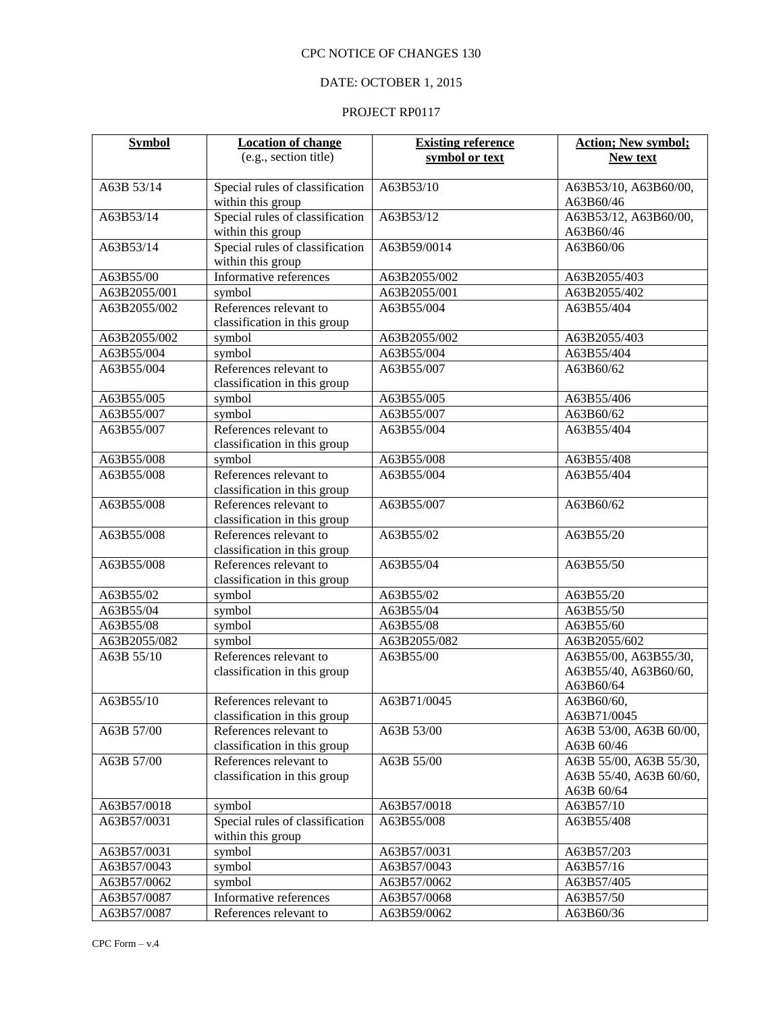# DATE: OCTOBER 1, 2015

| <b>Symbol</b> | <b>Location of change</b>                            | <b>Existing reference</b> | <b>Action; New symbol;</b>         |
|---------------|------------------------------------------------------|---------------------------|------------------------------------|
|               | (e.g., section title)                                | symbol or text            | <b>New text</b>                    |
| A63B 53/14    | Special rules of classification                      | A63B53/10                 | A63B53/10, A63B60/00,              |
|               | within this group                                    |                           | A63B60/46                          |
| A63B53/14     | Special rules of classification<br>within this group | A63B53/12                 | A63B53/12, A63B60/00,<br>A63B60/46 |
| A63B53/14     | Special rules of classification                      | A63B59/0014               | A63B60/06                          |
|               | within this group                                    |                           |                                    |
| A63B55/00     | Informative references                               | A63B2055/002              | A63B2055/403                       |
| A63B2055/001  | symbol                                               | A63B2055/001              | A63B2055/402                       |
| A63B2055/002  | References relevant to                               | A63B55/004                | A63B55/404                         |
|               | classification in this group                         |                           |                                    |
| A63B2055/002  | symbol                                               | A63B2055/002              | A63B2055/403                       |
| A63B55/004    | symbol                                               | A63B55/004                | A63B55/404                         |
| A63B55/004    | References relevant to                               | A63B55/007                | A63B60/62                          |
|               | classification in this group                         |                           |                                    |
| A63B55/005    | symbol                                               | A63B55/005                | A63B55/406                         |
| A63B55/007    | symbol                                               | A63B55/007                | A63B60/62                          |
| A63B55/007    | References relevant to                               | A63B55/004                | A63B55/404                         |
|               | classification in this group                         |                           |                                    |
| A63B55/008    | symbol                                               | A63B55/008                | A63B55/408                         |
| A63B55/008    | References relevant to                               | A63B55/004                | A63B55/404                         |
|               | classification in this group                         |                           |                                    |
| A63B55/008    | References relevant to                               | A63B55/007                | A63B60/62                          |
|               | classification in this group                         |                           |                                    |
| A63B55/008    | References relevant to                               | A63B55/02                 | A63B55/20                          |
|               | classification in this group                         |                           |                                    |
| A63B55/008    | References relevant to                               | A63B55/04                 | A63B55/50                          |
|               | classification in this group                         |                           |                                    |
| A63B55/02     | symbol                                               | A63B55/02                 | A63B55/20                          |
| A63B55/04     | symbol                                               | A63B55/04                 | A63B55/50                          |
| A63B55/08     | symbol                                               | A63B55/08                 | A63B55/60                          |
| A63B2055/082  | symbol                                               | A63B2055/082              | A63B2055/602                       |
| A63B 55/10    | References relevant to                               | A63B55/00                 | A63B55/00, A63B55/30,              |
|               | classification in this group                         |                           | A63B55/40, A63B60/60,              |
|               |                                                      |                           | A63B60/64                          |
| A63B55/10     | References relevant to                               | A63B71/0045               | A63B60/60,                         |
|               | classification in this group                         |                           | A63B71/0045                        |
| A63B 57/00    | References relevant to                               | A63B 53/00                | A63B 53/00, A63B 60/00,            |
|               | classification in this group                         |                           | A63B 60/46                         |
| A63B 57/00    | References relevant to                               | A63B 55/00                | A63B 55/00, A63B 55/30,            |
|               | classification in this group                         |                           | A63B 55/40, A63B 60/60,            |
|               |                                                      |                           | A63B 60/64                         |
| A63B57/0018   | symbol                                               | A63B57/0018               | A63B57/10                          |
| A63B57/0031   | Special rules of classification                      | A63B55/008                | A63B55/408                         |
|               | within this group                                    |                           |                                    |
| A63B57/0031   | symbol                                               | A63B57/0031               | A63B57/203                         |
| A63B57/0043   | symbol                                               | A63B57/0043               | A63B57/16                          |
| A63B57/0062   | symbol                                               | A63B57/0062               | A63B57/405                         |
| A63B57/0087   | Informative references                               | A63B57/0068               | A63B57/50                          |
| A63B57/0087   | References relevant to                               | A63B59/0062               | A63B60/36                          |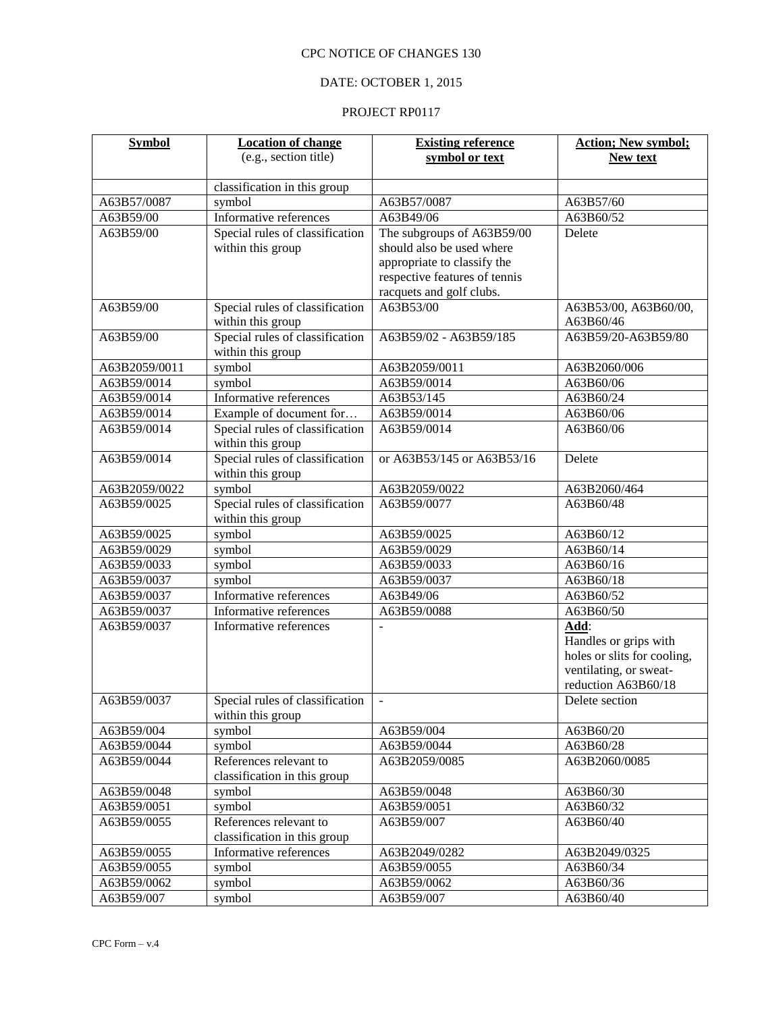# DATE: OCTOBER 1, 2015

| <b>Symbol</b> | <b>Location of change</b>       | <b>Existing reference</b>     | <b>Action; New symbol;</b>                            |
|---------------|---------------------------------|-------------------------------|-------------------------------------------------------|
|               | (e.g., section title)           | symbol or text                | <b>New text</b>                                       |
|               | classification in this group    |                               |                                                       |
| A63B57/0087   | symbol                          | A63B57/0087                   | A63B57/60                                             |
| A63B59/00     | Informative references          | A63B49/06                     | A63B60/52                                             |
| A63B59/00     | Special rules of classification | The subgroups of A63B59/00    | Delete                                                |
|               | within this group               | should also be used where     |                                                       |
|               |                                 | appropriate to classify the   |                                                       |
|               |                                 | respective features of tennis |                                                       |
|               |                                 | racquets and golf clubs.      |                                                       |
| A63B59/00     | Special rules of classification | A63B53/00                     | A63B53/00, A63B60/00,                                 |
|               | within this group               |                               | A63B60/46                                             |
| A63B59/00     | Special rules of classification | A63B59/02 - A63B59/185        | A63B59/20-A63B59/80                                   |
|               | within this group               |                               |                                                       |
| A63B2059/0011 | symbol                          | A63B2059/0011                 | A63B2060/006                                          |
| A63B59/0014   | symbol                          | A63B59/0014                   | A63B60/06                                             |
| A63B59/0014   | Informative references          | A63B53/145                    | A63B60/24                                             |
| A63B59/0014   | Example of document for         | A63B59/0014                   | A63B60/06                                             |
| A63B59/0014   | Special rules of classification | A63B59/0014                   | A63B60/06                                             |
|               | within this group               |                               |                                                       |
| A63B59/0014   | Special rules of classification | or A63B53/145 or A63B53/16    | Delete                                                |
|               | within this group               |                               |                                                       |
| A63B2059/0022 | symbol                          | A63B2059/0022                 | A63B2060/464                                          |
| A63B59/0025   | Special rules of classification | A63B59/0077                   | A63B60/48                                             |
|               | within this group               |                               |                                                       |
| A63B59/0025   | symbol                          | A63B59/0025                   | A63B60/12                                             |
| A63B59/0029   | symbol                          | A63B59/0029                   | A63B60/14                                             |
| A63B59/0033   | symbol                          | A63B59/0033                   | A63B60/16                                             |
| A63B59/0037   | symbol                          | A63B59/0037                   | A63B60/18                                             |
| A63B59/0037   | Informative references          | A63B49/06                     | A63B60/52                                             |
| A63B59/0037   | Informative references          | A63B59/0088                   | A63B60/50                                             |
| A63B59/0037   | Informative references          |                               | Add:                                                  |
|               |                                 |                               | Handles or grips with                                 |
|               |                                 |                               | holes or slits for cooling,<br>ventilating, or sweat- |
|               |                                 |                               | reduction A63B60/18                                   |
| A63B59/0037   | Special rules of classification | $\sim$                        | Delete section                                        |
|               | within this group               |                               |                                                       |
| A63B59/004    | symbol                          | A63B59/004                    | A63B60/20                                             |
| A63B59/0044   | symbol                          | A63B59/0044                   | A63B60/28                                             |
| A63B59/0044   | References relevant to          | A63B2059/0085                 | A63B2060/0085                                         |
|               | classification in this group    |                               |                                                       |
| A63B59/0048   | symbol                          | A63B59/0048                   | A63B60/30                                             |
| A63B59/0051   | symbol                          | A63B59/0051                   | A63B60/32                                             |
| A63B59/0055   | References relevant to          | A63B59/007                    | A63B60/40                                             |
|               | classification in this group    |                               |                                                       |
| A63B59/0055   | Informative references          | A63B2049/0282                 | A63B2049/0325                                         |
| A63B59/0055   | symbol                          | A63B59/0055                   | A63B60/34                                             |
| A63B59/0062   | symbol                          | A63B59/0062                   | A63B60/36                                             |
| A63B59/007    | symbol                          | A63B59/007                    | A63B60/40                                             |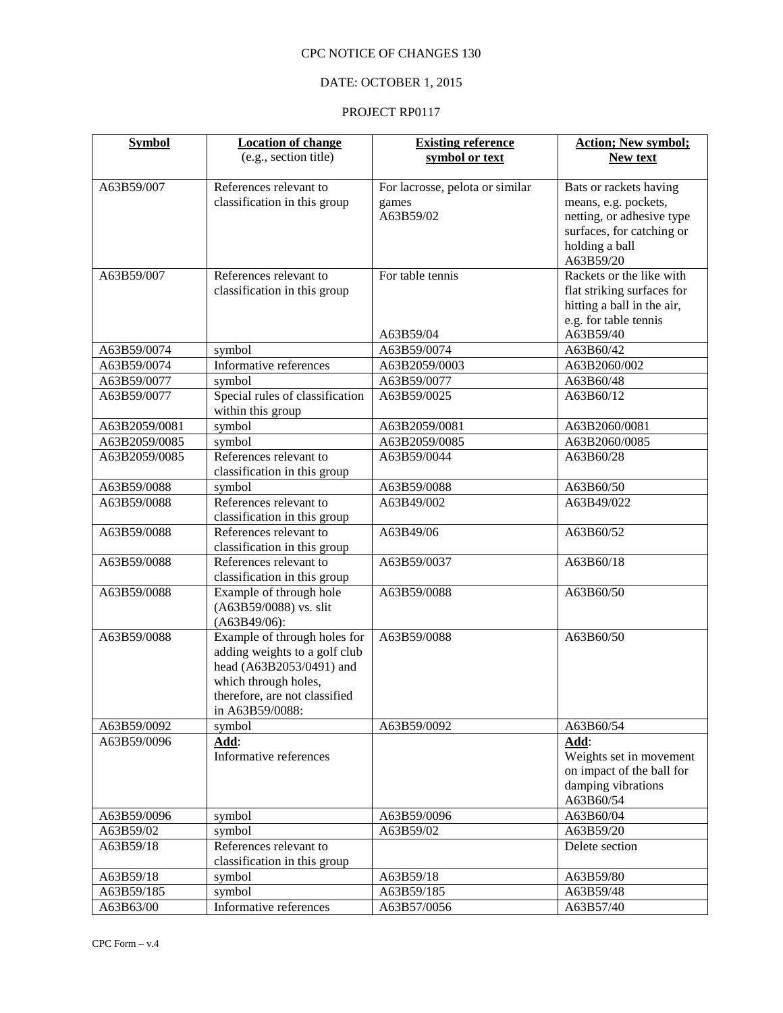# DATE: OCTOBER 1, 2015

| <b>Symbol</b> | <b>Location of change</b>                                 | <b>Existing reference</b>       | <b>Action; New symbol;</b>            |
|---------------|-----------------------------------------------------------|---------------------------------|---------------------------------------|
|               | (e.g., section title)                                     | symbol or text                  | New text                              |
| A63B59/007    | References relevant to                                    | For lacrosse, pelota or similar | Bats or rackets having                |
|               | classification in this group                              | games                           | means, e.g. pockets,                  |
|               |                                                           | A63B59/02                       | netting, or adhesive type             |
|               |                                                           |                                 | surfaces, for catching or             |
|               |                                                           |                                 | holding a ball                        |
| A63B59/007    | References relevant to                                    | For table tennis                | A63B59/20<br>Rackets or the like with |
|               | classification in this group                              |                                 | flat striking surfaces for            |
|               |                                                           |                                 | hitting a ball in the air,            |
|               |                                                           |                                 | e.g. for table tennis                 |
|               |                                                           | A63B59/04                       | A63B59/40                             |
| A63B59/0074   | symbol                                                    | A63B59/0074                     | A63B60/42                             |
| A63B59/0074   | Informative references                                    | A63B2059/0003                   | A63B2060/002                          |
| A63B59/0077   | symbol                                                    | A63B59/0077                     | A63B60/48                             |
| A63B59/0077   | Special rules of classification                           | A63B59/0025                     | A63B60/12                             |
|               | within this group                                         |                                 |                                       |
| A63B2059/0081 | symbol                                                    | A63B2059/0081                   | A63B2060/0081                         |
| A63B2059/0085 | symbol                                                    | A63B2059/0085                   | A63B2060/0085                         |
| A63B2059/0085 | References relevant to                                    | A63B59/0044                     | A63B60/28                             |
|               | classification in this group                              |                                 |                                       |
| A63B59/0088   | symbol<br>References relevant to                          | A63B59/0088<br>A63B49/002       | A63B60/50                             |
| A63B59/0088   | classification in this group                              |                                 | A63B49/022                            |
| A63B59/0088   | References relevant to                                    | A63B49/06                       | A63B60/52                             |
|               | classification in this group                              |                                 |                                       |
| A63B59/0088   | References relevant to                                    | A63B59/0037                     | A63B60/18                             |
|               | classification in this group                              |                                 |                                       |
| A63B59/0088   | Example of through hole                                   | A63B59/0088                     | A63B60/50                             |
|               | (A63B59/0088) vs. slit                                    |                                 |                                       |
|               | (A63B49/06):                                              |                                 |                                       |
| A63B59/0088   | Example of through holes for                              | A63B59/0088                     | A63B60/50                             |
|               | adding weights to a golf club<br>head (A63B2053/0491) and |                                 |                                       |
|               | which through holes,                                      |                                 |                                       |
|               | therefore, are not classified                             |                                 |                                       |
|               | in A63B59/0088:                                           |                                 |                                       |
| A63B59/0092   | symbol                                                    | A63B59/0092                     | A63B60/54                             |
| A63B59/0096   | Add:                                                      |                                 | Add:                                  |
|               | Informative references                                    |                                 | Weights set in movement               |
|               |                                                           |                                 | on impact of the ball for             |
|               |                                                           |                                 | damping vibrations<br>A63B60/54       |
| A63B59/0096   | symbol                                                    | A63B59/0096                     | A63B60/04                             |
| A63B59/02     | symbol                                                    | A63B59/02                       | A63B59/20                             |
| A63B59/18     | References relevant to                                    |                                 | Delete section                        |
|               | classification in this group                              |                                 |                                       |
| A63B59/18     | symbol                                                    | A63B59/18                       | A63B59/80                             |
| A63B59/185    | symbol                                                    | A63B59/185                      | A63B59/48                             |
| A63B63/00     | Informative references                                    | A63B57/0056                     | A63B57/40                             |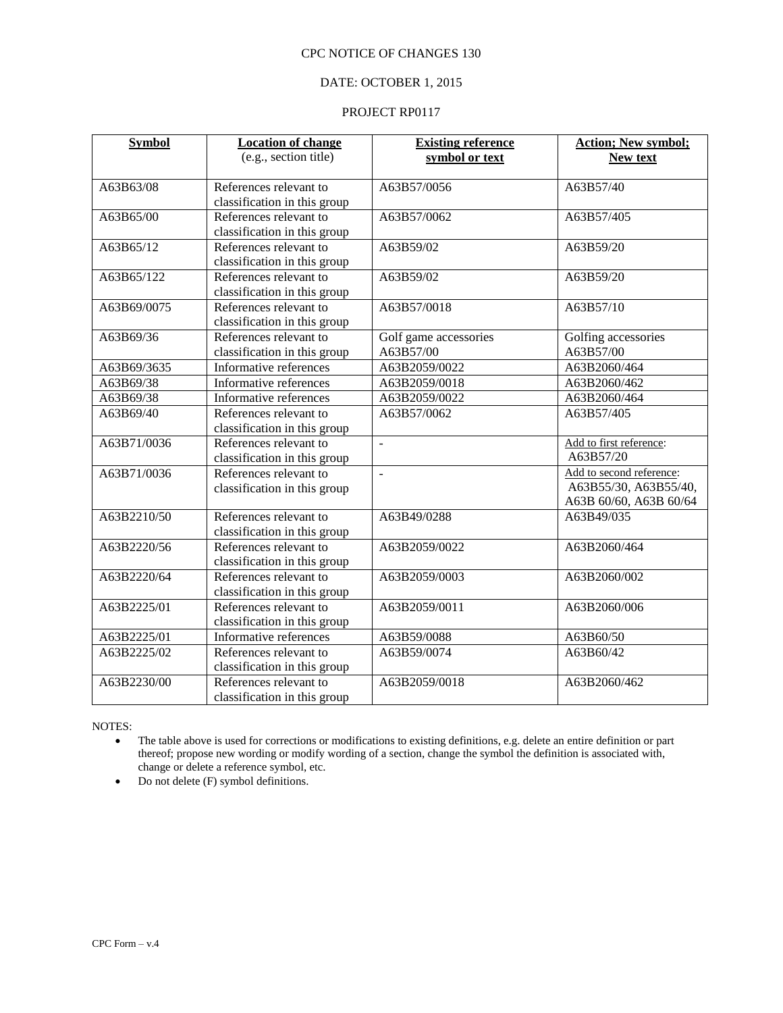# DATE: OCTOBER 1, 2015

#### PROJECT RP0117

| <b>Symbol</b> | <b>Location of change</b><br>(e.g., section title)     | <b>Existing reference</b><br>symbol or text | <b>Action; New symbol;</b><br>New text                                      |
|---------------|--------------------------------------------------------|---------------------------------------------|-----------------------------------------------------------------------------|
| A63B63/08     | References relevant to<br>classification in this group | A63B57/0056                                 | $A63B\overline{57/40}$                                                      |
| A63B65/00     | References relevant to<br>classification in this group | A63B57/0062                                 | A63B57/405                                                                  |
| A63B65/12     | References relevant to<br>classification in this group | A63B59/02                                   | A63B59/20                                                                   |
| A63B65/122    | References relevant to<br>classification in this group | A63B59/02                                   | A63B59/20                                                                   |
| A63B69/0075   | References relevant to<br>classification in this group | A63B57/0018                                 | A63B57/10                                                                   |
| A63B69/36     | References relevant to<br>classification in this group | Golf game accessories<br>A63B57/00          | Golfing accessories<br>A63B57/00                                            |
| A63B69/3635   | Informative references                                 | A63B2059/0022                               | A63B2060/464                                                                |
| A63B69/38     | Informative references                                 | A63B2059/0018                               | A63B2060/462                                                                |
| A63B69/38     | Informative references                                 | A63B2059/0022                               | A63B2060/464                                                                |
| A63B69/40     | References relevant to<br>classification in this group | A63B57/0062                                 | A63B57/405                                                                  |
| A63B71/0036   | References relevant to<br>classification in this group | $\overline{a}$                              | Add to first reference:<br>A63B57/20                                        |
| A63B71/0036   | References relevant to<br>classification in this group | $\overline{a}$                              | Add to second reference:<br>A63B55/30, A63B55/40,<br>A63B 60/60, A63B 60/64 |
| A63B2210/50   | References relevant to<br>classification in this group | A63B49/0288                                 | A63B49/035                                                                  |
| A63B2220/56   | References relevant to<br>classification in this group | A63B2059/0022                               | A63B2060/464                                                                |
| A63B2220/64   | References relevant to<br>classification in this group | A63B2059/0003                               | A63B2060/002                                                                |
| A63B2225/01   | References relevant to<br>classification in this group | A63B2059/0011                               | A63B2060/006                                                                |
| A63B2225/01   | Informative references                                 | A63B59/0088                                 | A63B60/50                                                                   |
| A63B2225/02   | References relevant to<br>classification in this group | A63B59/0074                                 | A63B60/42                                                                   |
| A63B2230/00   | References relevant to<br>classification in this group | A63B2059/0018                               | A63B2060/462                                                                |

NOTES:

 The table above is used for corrections or modifications to existing definitions, e.g. delete an entire definition or part thereof; propose new wording or modify wording of a section, change the symbol the definition is associated with, change or delete a reference symbol, etc.

• Do not delete (F) symbol definitions.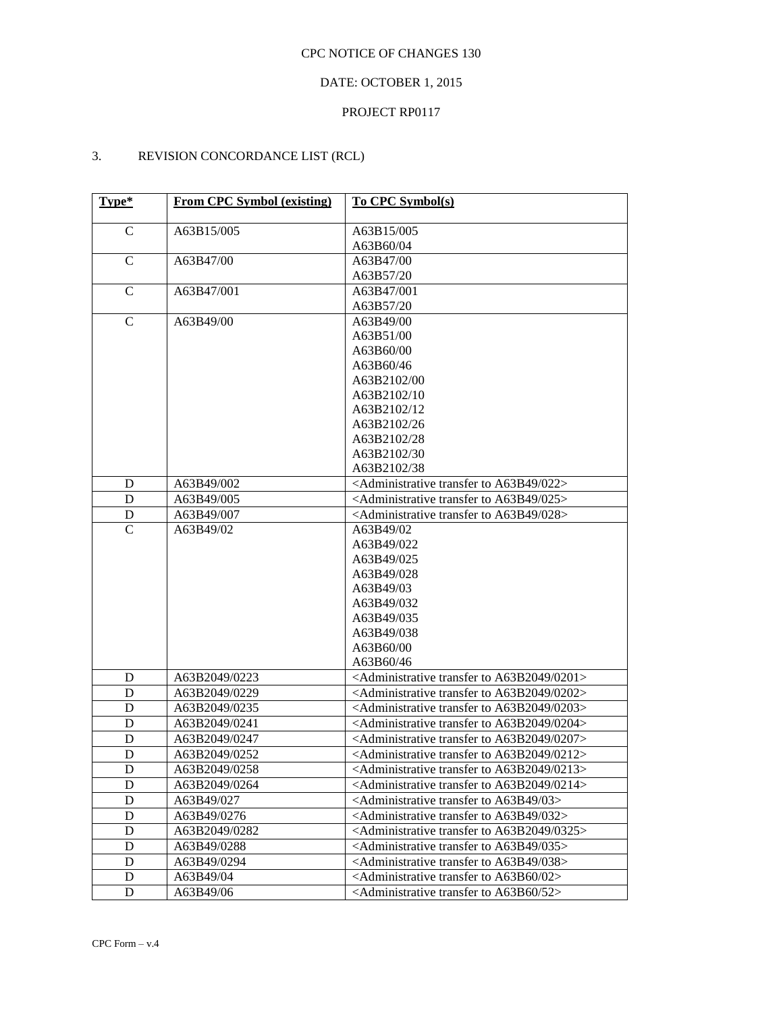# DATE: OCTOBER 1, 2015

## PROJECT RP0117

# 3. REVISION CONCORDANCE LIST (RCL)

| Type*        | <b>From CPC Symbol (existing)</b> | <b>To CPC Symbol(s)</b>                                                   |
|--------------|-----------------------------------|---------------------------------------------------------------------------|
| $\mathbf C$  | A63B15/005                        | A63B15/005                                                                |
|              |                                   | A63B60/04                                                                 |
| $\mathbf C$  | A63B47/00                         | A63B47/00                                                                 |
|              |                                   | A63B57/20                                                                 |
| $\mathsf{C}$ | A63B47/001                        | A63B47/001                                                                |
|              |                                   | A63B57/20                                                                 |
| $\mathbf C$  | A63B49/00                         | A63B49/00                                                                 |
|              |                                   | A63B51/00                                                                 |
|              |                                   | A63B60/00                                                                 |
|              |                                   | A63B60/46                                                                 |
|              |                                   | A63B2102/00                                                               |
|              |                                   | A63B2102/10                                                               |
|              |                                   | A63B2102/12                                                               |
|              |                                   | A63B2102/26                                                               |
|              |                                   | A63B2102/28                                                               |
|              |                                   | A63B2102/30                                                               |
|              |                                   | A63B2102/38                                                               |
| D            | A63B49/002                        | <administrative 022="" a63b49="" to="" transfer=""></administrative>      |
| D            | A63B49/005                        | <administrative 025="" a63b49="" to="" transfer=""></administrative>      |
| D            | A63B49/007                        | <administrative 028="" a63b49="" to="" transfer=""></administrative>      |
| $\mathsf{C}$ | A63B49/02                         | A63B49/02                                                                 |
|              |                                   | A63B49/022                                                                |
|              |                                   | A63B49/025                                                                |
|              |                                   | A63B49/028                                                                |
|              |                                   | A63B49/03                                                                 |
|              |                                   | A63B49/032                                                                |
|              |                                   | A63B49/035                                                                |
|              |                                   | A63B49/038                                                                |
|              |                                   | A63B60/00                                                                 |
|              |                                   | A63B60/46                                                                 |
| D            | A63B2049/0223                     | <administrative 0201="" a63b2049="" to="" transfer=""></administrative>   |
| D            | A63B2049/0229                     | <administrative 0202="" a63b2049="" to="" transfer=""></administrative>   |
| D            | A63B2049/0235                     | <administrative 0203="" a63b2049="" to="" transfer=""></administrative>   |
| D            | A63B2049/0241                     | <administrative 0204="" a63b2049="" to="" transfer=""></administrative>   |
| D            | A63B2049/0247                     | <administrative 0207="" a63b2049="" to="" transfer=""></administrative>   |
| D            | A63B2049/0252                     | <administrative 0212="" a63b2049="" to="" transfer=""></administrative>   |
| D            | A63B2049/0258                     | <administrative 0213="" a63b2049="" to="" transfer=""></administrative>   |
| D            | A63B2049/0264                     | <administrative 0214="" a63b2049="" to="" transfer=""></administrative>   |
| D            | A63B49/027                        | $\le$ Administrative transfer to A63B49/03>                               |
| D            | A63B49/0276                       | $\le$ Administrative transfer to A63B49/032>                              |
| D            | A63B2049/0282                     | <administrative 0325="" a63b2049="" to="" transfer=""></administrative>   |
| D            | A63B49/0288                       | $\le$ Administrative transfer to A63B49/035>                              |
| D            | A63B49/0294                       | <administrative 038="" a63b49="" to="" transfer=""></administrative>      |
| D            | A63B49/04                         | <administrative <math="" to="" transfer="">A63B60/02&gt;</administrative> |
| D            | A63B49/06                         | $\leq$ Administrative transfer to A63B60/52 $>$                           |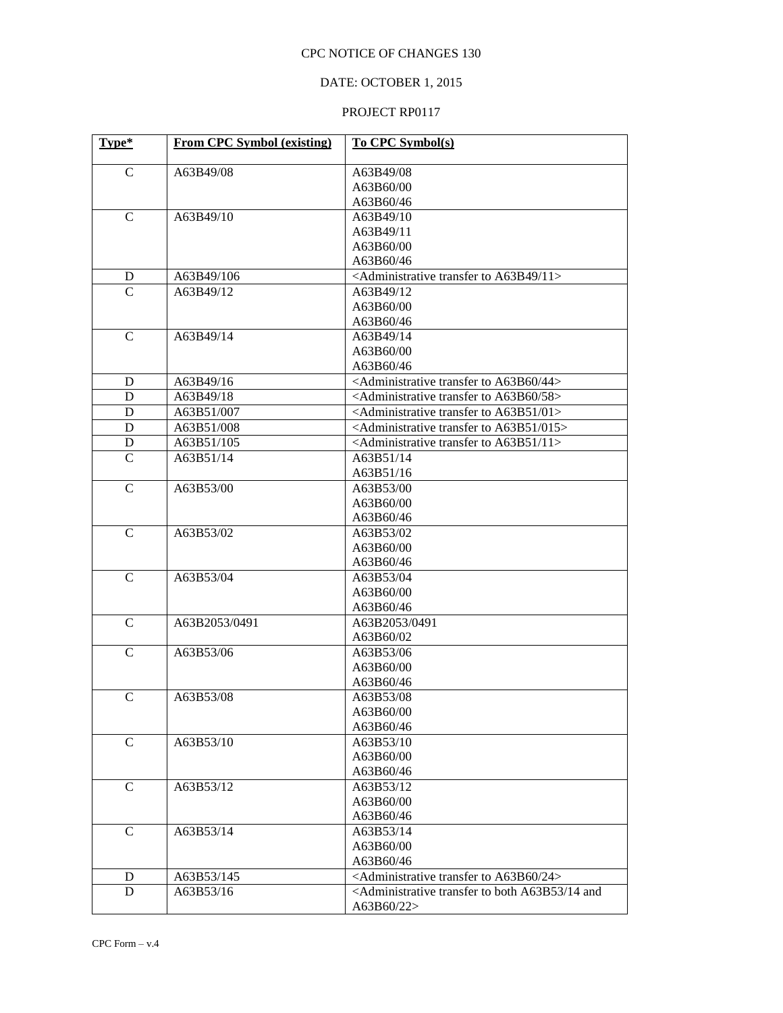# DATE: OCTOBER 1, 2015

| Type*          | <b>From CPC Symbol (existing)</b> | To CPC Symbol(s)                                                                          |
|----------------|-----------------------------------|-------------------------------------------------------------------------------------------|
| $\mathsf{C}$   | A63B49/08                         | A63B49/08                                                                                 |
|                |                                   | A63B60/00                                                                                 |
|                |                                   | A63B60/46                                                                                 |
| $\mathbf C$    | A63B49/10                         | A63B49/10                                                                                 |
|                |                                   | A63B49/11                                                                                 |
|                |                                   | A63B60/00                                                                                 |
|                |                                   | A63B60/46                                                                                 |
| D              | A63B49/106                        | <administrative 11="" a63b49="" to="" transfer=""></administrative>                       |
| $\overline{C}$ | A63B49/12                         | A63B49/12                                                                                 |
|                |                                   | A63B60/00                                                                                 |
|                |                                   | A63B60/46                                                                                 |
| $\mathsf{C}$   | A63B49/14                         | A63B49/14                                                                                 |
|                |                                   | A63B60/00                                                                                 |
|                |                                   | A63B60/46                                                                                 |
| D              | A63B49/16                         | <administrative 44="" a63b60="" to="" transfer=""></administrative>                       |
| D              | A63B49/18                         | <administrative 58="" a63b60="" to="" transfer=""></administrative>                       |
| D              | A63B51/007                        | <administrative 01="" a63b51="" to="" transfer=""></administrative>                       |
| D              | A63B51/008                        | <administrative 015="" a63b51="" to="" transfer=""></administrative>                      |
| D              | A63B51/105                        | <administrative 11="" a63b51="" to="" transfer=""></administrative>                       |
| $\mathcal{C}$  | A63B51/14                         | A63B51/14                                                                                 |
|                |                                   | A63B51/16                                                                                 |
| $\mathcal{C}$  | A63B53/00                         | A63B53/00                                                                                 |
|                |                                   | A63B60/00                                                                                 |
|                |                                   | A63B60/46                                                                                 |
| $\mathbf C$    | A63B53/02                         | A63B53/02                                                                                 |
|                |                                   | A63B60/00                                                                                 |
|                |                                   | A63B60/46                                                                                 |
| $\mathbf C$    | A63B53/04                         | A63B53/04                                                                                 |
|                |                                   | A63B60/00                                                                                 |
|                |                                   | A63B60/46                                                                                 |
| $\mathcal{C}$  | A63B2053/0491                     | A63B2053/0491                                                                             |
|                |                                   | A63B60/02                                                                                 |
| $\mathbf C$    | A63B53/06                         | A63B53/06                                                                                 |
|                |                                   | A63B60/00                                                                                 |
|                |                                   | A63B60/46                                                                                 |
| $\mathsf{C}$   | A63B53/08                         | A63B53/08                                                                                 |
|                |                                   | A63B60/00                                                                                 |
|                |                                   | A63B60/46                                                                                 |
| $\mathbf C$    | A63B53/10                         | A63B53/10                                                                                 |
|                |                                   | A63B60/00                                                                                 |
|                |                                   | A63B60/46                                                                                 |
| $\mathbf C$    | A63B53/12                         | A63B53/12                                                                                 |
|                |                                   | A63B60/00                                                                                 |
|                |                                   | A63B60/46                                                                                 |
| $\mathcal{C}$  | A63B53/14                         | A63B53/14                                                                                 |
|                |                                   | A63B60/00                                                                                 |
|                |                                   | A63B60/46                                                                                 |
| D              | A63B53/145                        | <administrative 24="" a63b60="" to="" transfer=""></administrative>                       |
| D              | A63B53/16                         | <administrative 14="" a63b53="" and<="" both="" td="" to="" transfer=""></administrative> |
|                |                                   | A63B60/22>                                                                                |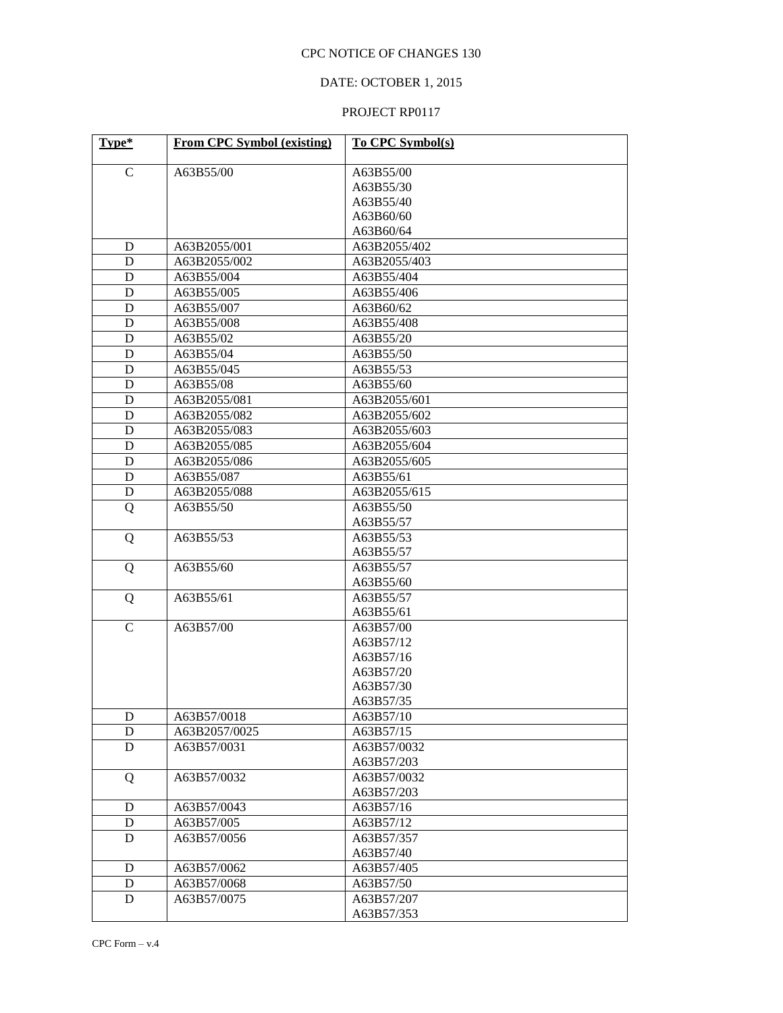# DATE: OCTOBER 1, 2015

| Type*        | <b>From CPC Symbol (existing)</b> | To CPC Symbol(s)         |  |
|--------------|-----------------------------------|--------------------------|--|
| $\mathsf{C}$ | A63B55/00                         | A63B55/00                |  |
|              |                                   | A63B55/30                |  |
|              |                                   | A63B55/40                |  |
|              |                                   | A63B60/60                |  |
|              |                                   | A63B60/64                |  |
| D            | A63B2055/001                      | A63B2055/402             |  |
| D            | A63B2055/002                      | A63B2055/403             |  |
| D            | A63B55/004                        | A63B55/404               |  |
| D            | A63B55/005                        | A63B55/406               |  |
| D            | A63B55/007                        | A63B60/62                |  |
| D            | A63B55/008                        | A63B55/408               |  |
| D            | A63B55/02                         | A63B55/20                |  |
| D            | A63B55/04                         | A63B55/50                |  |
| D            | A63B55/045                        | A63B55/53                |  |
| D            | A63B55/08                         | A63B55/60                |  |
| D            | A63B2055/081                      | A63B2055/601             |  |
| D            | A63B2055/082                      | A63B2055/602             |  |
| D            | A63B2055/083                      | A63B2055/603             |  |
| D            | A63B2055/085                      | A63B2055/604             |  |
| D            | A63B2055/086                      | A63B2055/605             |  |
| D            | A63B55/087                        | A63B55/61                |  |
| D            | A63B2055/088                      | A63B2055/615             |  |
| Q            | A63B55/50                         | A63B55/50                |  |
|              |                                   | A63B55/57                |  |
| Q            | A63B55/53                         | A63B55/53                |  |
|              |                                   | A63B55/57                |  |
| Q            | A63B55/60                         | A63B55/57                |  |
|              |                                   | A63B55/60                |  |
| Q            | A63B55/61                         | A63B55/57                |  |
|              |                                   | A63B55/61                |  |
| $\mathsf{C}$ | A63B57/00                         | A63B57/00                |  |
|              |                                   | A63B57/12                |  |
|              |                                   | A63B57/16                |  |
|              |                                   | A63B57/20                |  |
|              |                                   | A63B57/30                |  |
|              |                                   | A63B57/35                |  |
| $\mathbf D$  | A63B57/0018                       | A63B57/10                |  |
| D            | A63B2057/0025                     | A63B57/15                |  |
| $\mathbf D$  | A63B57/0031                       | A63B57/0032              |  |
|              |                                   | A63B57/203               |  |
| Q            | A63B57/0032                       | A63B57/0032              |  |
|              |                                   | A63B57/203               |  |
| D            | A63B57/0043                       | A63B57/16                |  |
| D            | A63B57/005                        | A63B57/12                |  |
| D            | A63B57/0056                       | A63B57/357               |  |
|              |                                   | A63B57/40                |  |
| D            | A63B57/0062                       | A63B57/405               |  |
| D            | A63B57/0068                       | A63B57/50                |  |
| D            | A63B57/0075                       | A63B57/207<br>A63B57/353 |  |
|              |                                   |                          |  |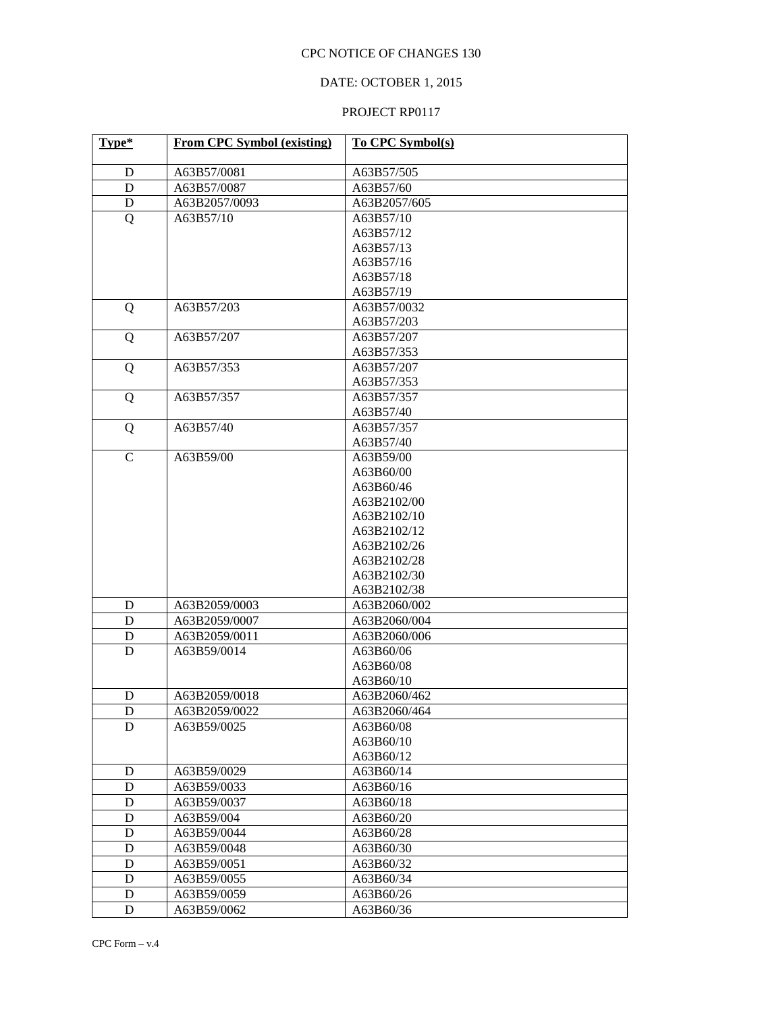# DATE: OCTOBER 1, 2015

| Type*       | <b>From CPC Symbol (existing)</b> | To CPC Symbol(s) |  |
|-------------|-----------------------------------|------------------|--|
| D           | A63B57/0081                       | A63B57/505       |  |
| D           | A63B57/0087                       | A63B57/60        |  |
| D           | A63B2057/0093                     | A63B2057/605     |  |
| Q           | A63B57/10                         | A63B57/10        |  |
|             |                                   | A63B57/12        |  |
|             |                                   | A63B57/13        |  |
|             |                                   | A63B57/16        |  |
|             |                                   | A63B57/18        |  |
|             |                                   | A63B57/19        |  |
| Q           | A63B57/203                        | A63B57/0032      |  |
|             |                                   | A63B57/203       |  |
| Q           | A63B57/207                        | A63B57/207       |  |
|             |                                   | A63B57/353       |  |
| Q           | A63B57/353                        | A63B57/207       |  |
|             |                                   | A63B57/353       |  |
| Q           | A63B57/357                        | A63B57/357       |  |
|             |                                   | A63B57/40        |  |
| Q           | A63B57/40                         | A63B57/357       |  |
|             |                                   | A63B57/40        |  |
| $\mathbf C$ | A63B59/00                         | A63B59/00        |  |
|             |                                   | A63B60/00        |  |
|             |                                   | A63B60/46        |  |
|             |                                   | A63B2102/00      |  |
|             |                                   | A63B2102/10      |  |
|             |                                   | A63B2102/12      |  |
|             |                                   | A63B2102/26      |  |
|             |                                   | A63B2102/28      |  |
|             |                                   | A63B2102/30      |  |
|             |                                   | A63B2102/38      |  |
| D           | A63B2059/0003                     | A63B2060/002     |  |
| D           | A63B2059/0007                     | A63B2060/004     |  |
| D           | A63B2059/0011                     | A63B2060/006     |  |
| D           | A63B59/0014                       | A63B60/06        |  |
|             |                                   | A63B60/08        |  |
|             |                                   | A63B60/10        |  |
| D           | A63B2059/0018                     | A63B2060/462     |  |
| D           | A63B2059/0022                     | A63B2060/464     |  |
| D           | A63B59/0025                       | A63B60/08        |  |
|             |                                   | A63B60/10        |  |
|             |                                   | A63B60/12        |  |
| D           | A63B59/0029                       | A63B60/14        |  |
| D           | A63B59/0033                       | A63B60/16        |  |
| D           | A63B59/0037                       | A63B60/18        |  |
| D           | A63B59/004                        | A63B60/20        |  |
| D           | A63B59/0044                       | A63B60/28        |  |
| D           | A63B59/0048                       | A63B60/30        |  |
| D           | A63B59/0051                       | A63B60/32        |  |
| D           | A63B59/0055                       | A63B60/34        |  |
| D           | A63B59/0059                       | A63B60/26        |  |
| D           | A63B59/0062                       | A63B60/36        |  |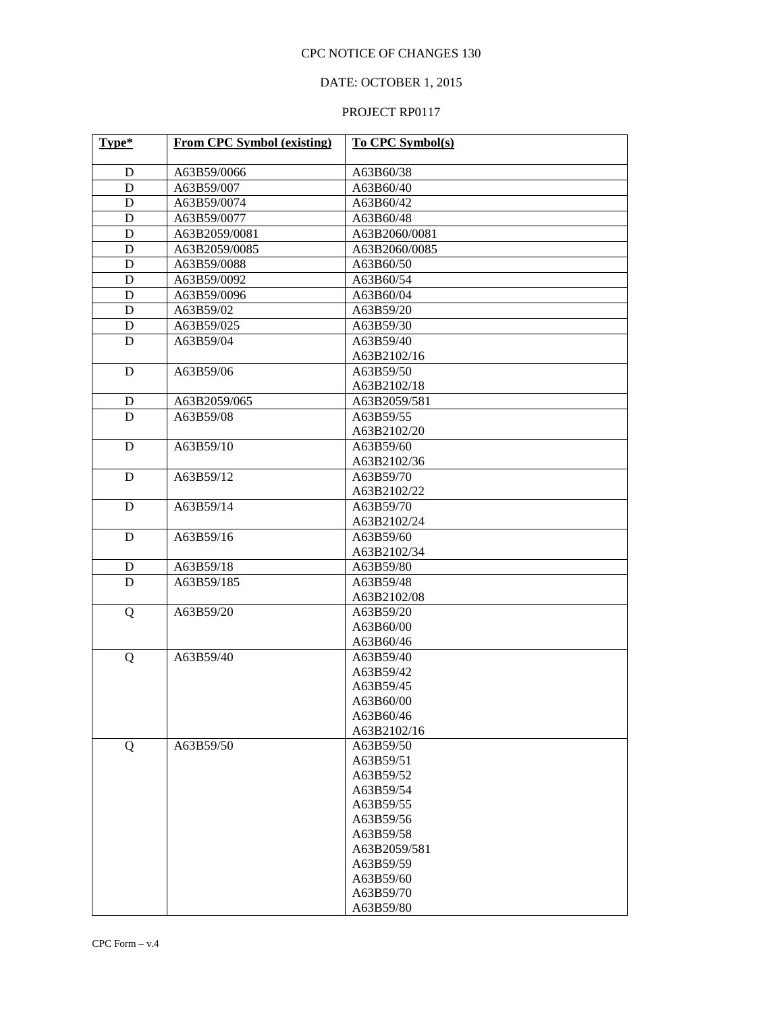# DATE: OCTOBER 1, 2015

| Type* | From CPC Symbol (existing) | To CPC Symbol(s) |  |
|-------|----------------------------|------------------|--|
| D     | A63B59/0066                | A63B60/38        |  |
| D     | A63B59/007                 | A63B60/40        |  |
| D     | A63B59/0074                | A63B60/42        |  |
| D     | A63B59/0077                | A63B60/48        |  |
| D     | A63B2059/0081              | A63B2060/0081    |  |
| D     | A63B2059/0085              | A63B2060/0085    |  |
| D     | A63B59/0088                | A63B60/50        |  |
| D     | A63B59/0092                | A63B60/54        |  |
| D     | A63B59/0096                | A63B60/04        |  |
| D     | A63B59/02                  | A63B59/20        |  |
| D     | A63B59/025                 | A63B59/30        |  |
| D     | A63B59/04                  | A63B59/40        |  |
|       |                            | A63B2102/16      |  |
| D     | A63B59/06                  | A63B59/50        |  |
|       |                            | A63B2102/18      |  |
| D     | A63B2059/065               | A63B2059/581     |  |
| D     | A63B59/08                  | A63B59/55        |  |
|       |                            | A63B2102/20      |  |
| D     | A63B59/10                  | A63B59/60        |  |
|       |                            | A63B2102/36      |  |
| D     | A63B59/12                  | A63B59/70        |  |
|       |                            | A63B2102/22      |  |
| D     | A63B59/14                  | A63B59/70        |  |
|       |                            | A63B2102/24      |  |
| D     | A63B59/16<br>A63B59/60     |                  |  |
|       | A63B2102/34                |                  |  |
| D     | A63B59/18                  | A63B59/80        |  |
| D     | A63B59/185                 | A63B59/48        |  |
|       |                            | A63B2102/08      |  |
| Q     | A63B59/20                  | A63B59/20        |  |
|       |                            | A63B60/00        |  |
|       |                            | A63B60/46        |  |
| Q     | A63B59/40                  | A63B59/40        |  |
|       |                            | A63B59/42        |  |
|       |                            | A63B59/45        |  |
|       |                            | A63B60/00        |  |
|       |                            | A63B60/46        |  |
|       |                            | A63B2102/16      |  |
| Q     | A63B59/50                  | A63B59/50        |  |
|       |                            | A63B59/51        |  |
|       |                            | A63B59/52        |  |
|       |                            | A63B59/54        |  |
|       |                            | A63B59/55        |  |
|       |                            | A63B59/56        |  |
|       |                            | A63B59/58        |  |
|       |                            | A63B2059/581     |  |
|       |                            | A63B59/59        |  |
|       |                            | A63B59/60        |  |
|       |                            | A63B59/70        |  |
|       |                            | A63B59/80        |  |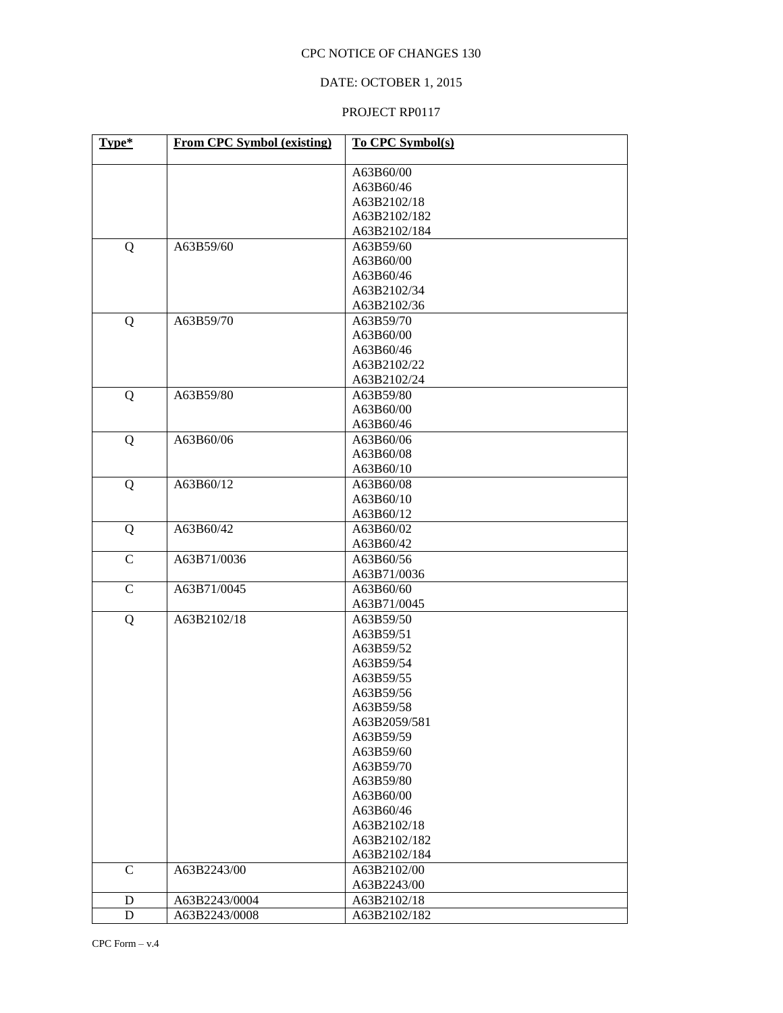# DATE: OCTOBER 1, 2015

| Type*        | <b>From CPC Symbol (existing)</b> | To CPC Symbol(s) |
|--------------|-----------------------------------|------------------|
|              |                                   | A63B60/00        |
|              |                                   | A63B60/46        |
|              |                                   | A63B2102/18      |
|              |                                   | A63B2102/182     |
|              |                                   | A63B2102/184     |
| Q            | A63B59/60                         | A63B59/60        |
|              |                                   | A63B60/00        |
|              |                                   | A63B60/46        |
|              |                                   | A63B2102/34      |
|              |                                   | A63B2102/36      |
| Q            | A63B59/70                         | A63B59/70        |
|              |                                   | A63B60/00        |
|              |                                   | A63B60/46        |
|              |                                   | A63B2102/22      |
|              |                                   | A63B2102/24      |
| Q            | A63B59/80                         | A63B59/80        |
|              |                                   | A63B60/00        |
|              |                                   | A63B60/46        |
| Q            | A63B60/06                         | A63B60/06        |
|              |                                   | A63B60/08        |
|              |                                   | A63B60/10        |
| Q            | A63B60/12                         | A63B60/08        |
|              |                                   | A63B60/10        |
|              |                                   | A63B60/12        |
| Q            | A63B60/42                         | A63B60/02        |
|              |                                   | A63B60/42        |
| $\mathbf C$  | A63B71/0036                       | A63B60/56        |
|              |                                   | A63B71/0036      |
| $\mathbf C$  | A63B71/0045                       | A63B60/60        |
|              |                                   | A63B71/0045      |
| Q            | A63B2102/18                       | A63B59/50        |
|              |                                   | A63B59/51        |
|              |                                   | A63B59/52        |
|              |                                   | A63B59/54        |
|              |                                   | A63B59/55        |
|              |                                   | A63B59/56        |
|              |                                   | A63B59/58        |
|              |                                   | A63B2059/581     |
|              |                                   | A63B59/59        |
|              |                                   | A63B59/60        |
|              |                                   | A63B59/70        |
|              |                                   | A63B59/80        |
|              |                                   | A63B60/00        |
|              |                                   | A63B60/46        |
|              |                                   | A63B2102/18      |
|              |                                   | A63B2102/182     |
|              |                                   | A63B2102/184     |
| $\mathsf{C}$ | A63B2243/00                       | A63B2102/00      |
|              |                                   | A63B2243/00      |
| D            | A63B2243/0004                     | A63B2102/18      |
| $\mathbf D$  | A63B2243/0008                     | A63B2102/182     |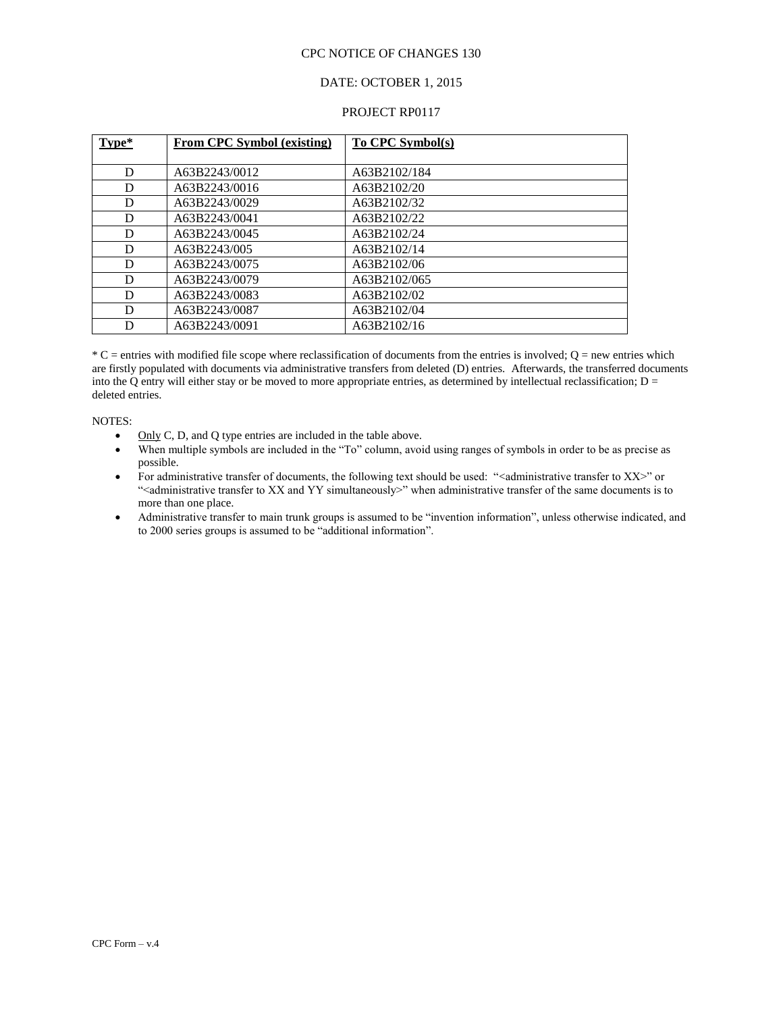#### DATE: OCTOBER 1, 2015

#### PROJECT RP0117

| Type* | <b>From CPC Symbol (existing)</b> | To CPC Symbol(s) |
|-------|-----------------------------------|------------------|
|       |                                   |                  |
| D     | A63B2243/0012                     | A63B2102/184     |
| D     | A63B2243/0016                     | A63B2102/20      |
| D     | A63B2243/0029                     | A63B2102/32      |
| D     | A63B2243/0041                     | A63B2102/22      |
| D     | A63B2243/0045                     | A63B2102/24      |
| D     | A63B2243/005                      | A63B2102/14      |
| D     | A63B2243/0075                     | A63B2102/06      |
| D     | A63B2243/0079                     | A63B2102/065     |
| D     | A63B2243/0083                     | A63B2102/02      |
| D     | A63B2243/0087                     | A63B2102/04      |
| D     | A63B2243/0091                     | A63B2102/16      |

 $^*C$  = entries with modified file scope where reclassification of documents from the entries is involved; O = new entries which are firstly populated with documents via administrative transfers from deleted (D) entries. Afterwards, the transferred documents into the Q entry will either stay or be moved to more appropriate entries, as determined by intellectual reclassification;  $D =$ deleted entries.

#### NOTES:

- $\bullet$  Only C, D, and Q type entries are included in the table above.
- When multiple symbols are included in the "To" column, avoid using ranges of symbols in order to be as precise as possible.
- For administrative transfer of documents, the following text should be used: "<administrative transfer to  $XX$ " or "<administrative transfer to XX and YY simultaneously>" when administrative transfer of the same documents is to more than one place.
- Administrative transfer to main trunk groups is assumed to be "invention information", unless otherwise indicated, and to 2000 series groups is assumed to be "additional information".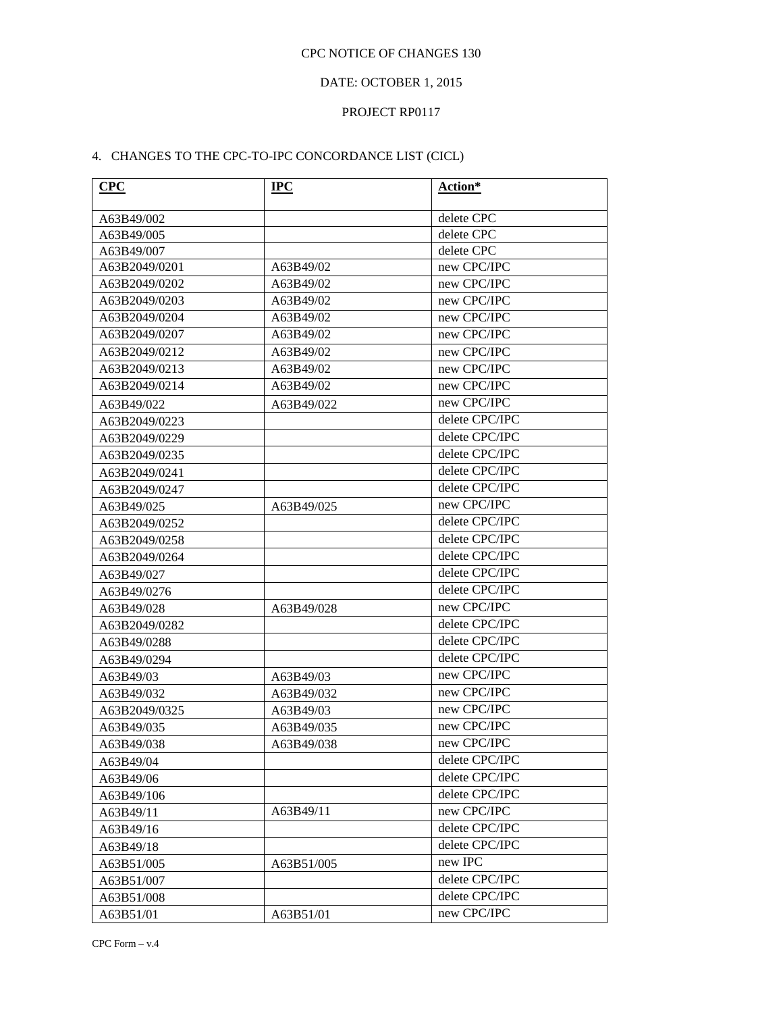# DATE: OCTOBER 1, 2015

# PROJECT RP0117

# 4. CHANGES TO THE CPC-TO-IPC CONCORDANCE LIST (CICL)

| CPC           | $_{\rm IPC}$ | Action*        |
|---------------|--------------|----------------|
| A63B49/002    |              | delete CPC     |
| A63B49/005    |              | delete CPC     |
| A63B49/007    |              | delete CPC     |
| A63B2049/0201 | A63B49/02    | new CPC/IPC    |
| A63B2049/0202 | A63B49/02    | new CPC/IPC    |
| A63B2049/0203 | A63B49/02    | new CPC/IPC    |
| A63B2049/0204 | A63B49/02    | new CPC/IPC    |
| A63B2049/0207 | A63B49/02    | new CPC/IPC    |
| A63B2049/0212 | A63B49/02    | new CPC/IPC    |
| A63B2049/0213 | A63B49/02    | new CPC/IPC    |
| A63B2049/0214 | A63B49/02    | new CPC/IPC    |
| A63B49/022    | A63B49/022   | new CPC/IPC    |
| A63B2049/0223 |              | delete CPC/IPC |
| A63B2049/0229 |              | delete CPC/IPC |
| A63B2049/0235 |              | delete CPC/IPC |
| A63B2049/0241 |              | delete CPC/IPC |
| A63B2049/0247 |              | delete CPC/IPC |
| A63B49/025    | A63B49/025   | new CPC/IPC    |
| A63B2049/0252 |              | delete CPC/IPC |
| A63B2049/0258 |              | delete CPC/IPC |
| A63B2049/0264 |              | delete CPC/IPC |
| A63B49/027    |              | delete CPC/IPC |
| A63B49/0276   |              | delete CPC/IPC |
| A63B49/028    | A63B49/028   | new CPC/IPC    |
| A63B2049/0282 |              | delete CPC/IPC |
| A63B49/0288   |              | delete CPC/IPC |
| A63B49/0294   |              | delete CPC/IPC |
| A63B49/03     | A63B49/03    | new CPC/IPC    |
| A63B49/032    | A63B49/032   | new CPC/IPC    |
| A63B2049/0325 | A63B49/03    | new CPC/IPC    |
| A63B49/035    | A63B49/035   | new CPC/IPC    |
| A63B49/038    | A63B49/038   | new CPC/IPC    |
| A63B49/04     |              | delete CPC/IPC |
| A63B49/06     |              | delete CPC/IPC |
| A63B49/106    |              | delete CPC/IPC |
| A63B49/11     | A63B49/11    | new CPC/IPC    |
| A63B49/16     |              | delete CPC/IPC |
| A63B49/18     |              | delete CPC/IPC |
| A63B51/005    | A63B51/005   | new IPC        |
| A63B51/007    |              | delete CPC/IPC |
| A63B51/008    |              | delete CPC/IPC |
| A63B51/01     | A63B51/01    | new CPC/IPC    |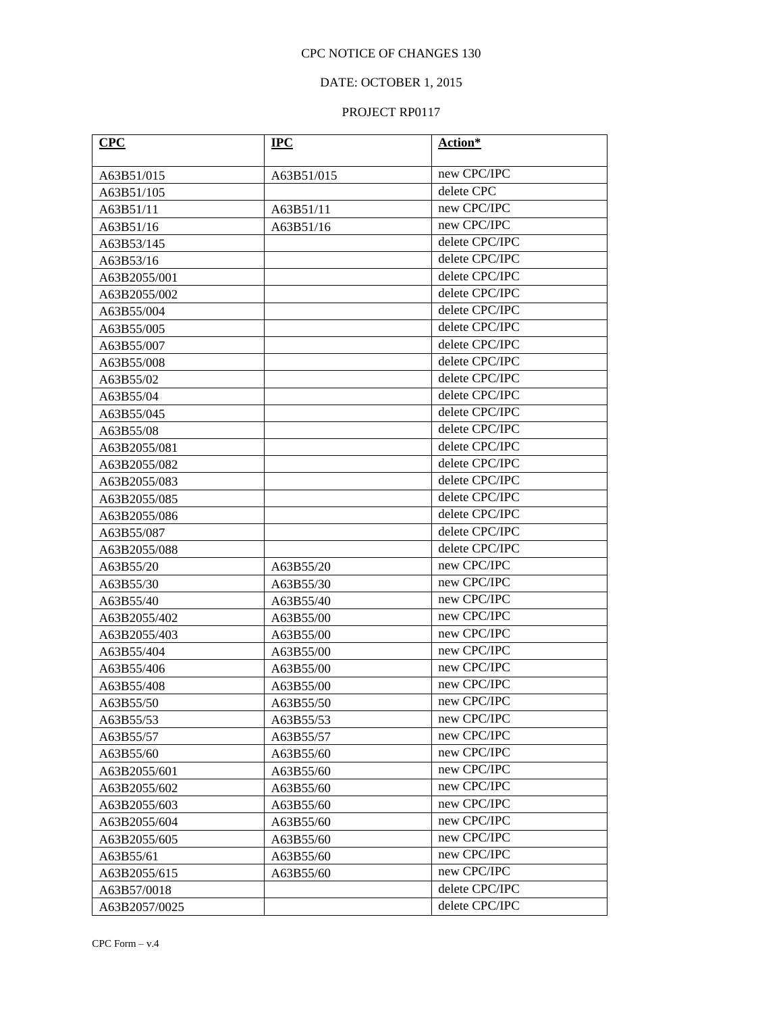# DATE: OCTOBER 1, 2015

| CPC           | $IPC$      | Action*        |  |
|---------------|------------|----------------|--|
| A63B51/015    | A63B51/015 | new CPC/IPC    |  |
| A63B51/105    |            | delete CPC     |  |
| A63B51/11     | A63B51/11  | new CPC/IPC    |  |
| A63B51/16     | A63B51/16  | new CPC/IPC    |  |
| A63B53/145    |            | delete CPC/IPC |  |
| A63B53/16     |            | delete CPC/IPC |  |
| A63B2055/001  |            | delete CPC/IPC |  |
| A63B2055/002  |            | delete CPC/IPC |  |
| A63B55/004    |            | delete CPC/IPC |  |
| A63B55/005    |            | delete CPC/IPC |  |
| A63B55/007    |            | delete CPC/IPC |  |
| A63B55/008    |            | delete CPC/IPC |  |
| A63B55/02     |            | delete CPC/IPC |  |
| A63B55/04     |            | delete CPC/IPC |  |
| A63B55/045    |            | delete CPC/IPC |  |
| A63B55/08     |            | delete CPC/IPC |  |
| A63B2055/081  |            | delete CPC/IPC |  |
| A63B2055/082  |            | delete CPC/IPC |  |
| A63B2055/083  |            | delete CPC/IPC |  |
| A63B2055/085  |            | delete CPC/IPC |  |
| A63B2055/086  |            | delete CPC/IPC |  |
| A63B55/087    |            | delete CPC/IPC |  |
| A63B2055/088  |            | delete CPC/IPC |  |
| A63B55/20     | A63B55/20  | new CPC/IPC    |  |
| A63B55/30     | A63B55/30  | new CPC/IPC    |  |
| A63B55/40     | A63B55/40  | new CPC/IPC    |  |
| A63B2055/402  | A63B55/00  | new CPC/IPC    |  |
| A63B2055/403  | A63B55/00  | new CPC/IPC    |  |
| A63B55/404    | A63B55/00  | new CPC/IPC    |  |
| A63B55/406    | A63B55/00  | new CPC/IPC    |  |
| A63B55/408    | A63B55/00  | new CPC/IPC    |  |
| A63B55/50     | A63B55/50  | new CPC/IPC    |  |
| A63B55/53     | A63B55/53  | new CPC/IPC    |  |
| A63B55/57     | A63B55/57  | new CPC/IPC    |  |
| A63B55/60     | A63B55/60  | new CPC/IPC    |  |
| A63B2055/601  | A63B55/60  | new CPC/IPC    |  |
| A63B2055/602  | A63B55/60  | new CPC/IPC    |  |
| A63B2055/603  | A63B55/60  | new CPC/IPC    |  |
| A63B2055/604  | A63B55/60  | new CPC/IPC    |  |
| A63B2055/605  | A63B55/60  | new CPC/IPC    |  |
| A63B55/61     | A63B55/60  | new CPC/IPC    |  |
| A63B2055/615  | A63B55/60  | new CPC/IPC    |  |
| A63B57/0018   |            | delete CPC/IPC |  |
| A63B2057/0025 |            | delete CPC/IPC |  |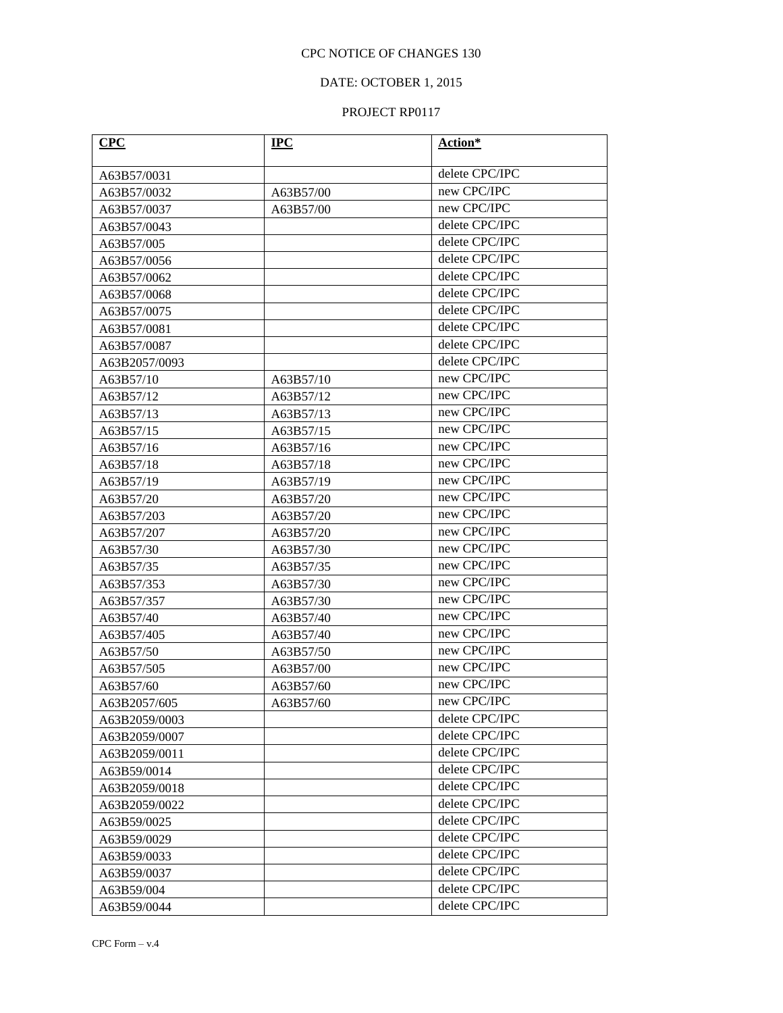# DATE: OCTOBER 1, 2015

| CPC           | $IPC$     | Action*        |
|---------------|-----------|----------------|
| A63B57/0031   |           | delete CPC/IPC |
| A63B57/0032   | A63B57/00 | new CPC/IPC    |
| A63B57/0037   | A63B57/00 | new CPC/IPC    |
| A63B57/0043   |           | delete CPC/IPC |
| A63B57/005    |           | delete CPC/IPC |
| A63B57/0056   |           | delete CPC/IPC |
| A63B57/0062   |           | delete CPC/IPC |
| A63B57/0068   |           | delete CPC/IPC |
| A63B57/0075   |           | delete CPC/IPC |
| A63B57/0081   |           | delete CPC/IPC |
| A63B57/0087   |           | delete CPC/IPC |
| A63B2057/0093 |           | delete CPC/IPC |
| A63B57/10     | A63B57/10 | new CPC/IPC    |
| A63B57/12     | A63B57/12 | new CPC/IPC    |
| A63B57/13     | A63B57/13 | new CPC/IPC    |
| A63B57/15     | A63B57/15 | new CPC/IPC    |
| A63B57/16     | A63B57/16 | new CPC/IPC    |
| A63B57/18     | A63B57/18 | new CPC/IPC    |
| A63B57/19     | A63B57/19 | new CPC/IPC    |
| A63B57/20     | A63B57/20 | new CPC/IPC    |
| A63B57/203    | A63B57/20 | new CPC/IPC    |
| A63B57/207    | A63B57/20 | new CPC/IPC    |
| A63B57/30     | A63B57/30 | new CPC/IPC    |
| A63B57/35     | A63B57/35 | new CPC/IPC    |
| A63B57/353    | A63B57/30 | new CPC/IPC    |
| A63B57/357    | A63B57/30 | new CPC/IPC    |
| A63B57/40     | A63B57/40 | new CPC/IPC    |
| A63B57/405    | A63B57/40 | new CPC/IPC    |
| A63B57/50     | A63B57/50 | new CPC/IPC    |
| A63B57/505    | A63B57/00 | new CPC/IPC    |
| A63B57/60     | A63B57/60 | new CPC/IPC    |
| A63B2057/605  | A63B57/60 | new CPC/IPC    |
| A63B2059/0003 |           | delete CPC/IPC |
| A63B2059/0007 |           | delete CPC/IPC |
| A63B2059/0011 |           | delete CPC/IPC |
| A63B59/0014   |           | delete CPC/IPC |
| A63B2059/0018 |           | delete CPC/IPC |
| A63B2059/0022 |           | delete CPC/IPC |
| A63B59/0025   |           | delete CPC/IPC |
| A63B59/0029   |           | delete CPC/IPC |
| A63B59/0033   |           | delete CPC/IPC |
| A63B59/0037   |           | delete CPC/IPC |
| A63B59/004    |           | delete CPC/IPC |
| A63B59/0044   |           | delete CPC/IPC |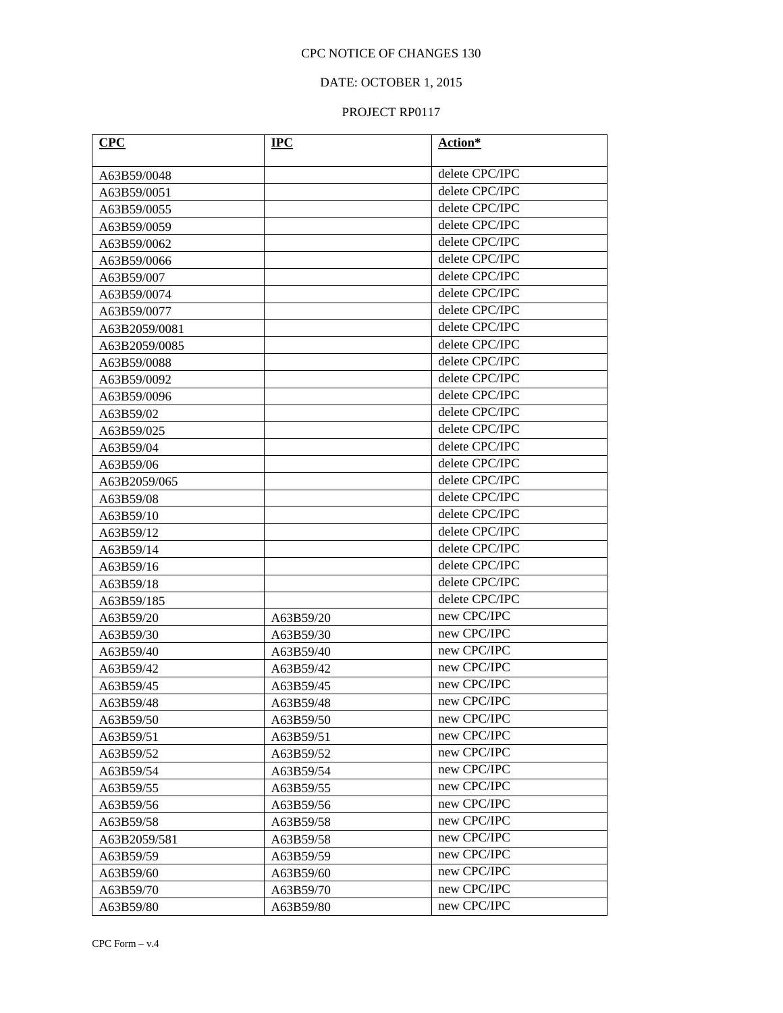# DATE: OCTOBER 1, 2015

| <b>CPC</b>    | $_{\rm IPC}$ | Action*        |
|---------------|--------------|----------------|
|               |              |                |
| A63B59/0048   |              | delete CPC/IPC |
| A63B59/0051   |              | delete CPC/IPC |
| A63B59/0055   |              | delete CPC/IPC |
| A63B59/0059   |              | delete CPC/IPC |
| A63B59/0062   |              | delete CPC/IPC |
| A63B59/0066   |              | delete CPC/IPC |
| A63B59/007    |              | delete CPC/IPC |
| A63B59/0074   |              | delete CPC/IPC |
| A63B59/0077   |              | delete CPC/IPC |
| A63B2059/0081 |              | delete CPC/IPC |
| A63B2059/0085 |              | delete CPC/IPC |
| A63B59/0088   |              | delete CPC/IPC |
| A63B59/0092   |              | delete CPC/IPC |
| A63B59/0096   |              | delete CPC/IPC |
| A63B59/02     |              | delete CPC/IPC |
| A63B59/025    |              | delete CPC/IPC |
| A63B59/04     |              | delete CPC/IPC |
| A63B59/06     |              | delete CPC/IPC |
| A63B2059/065  |              | delete CPC/IPC |
| A63B59/08     |              | delete CPC/IPC |
| A63B59/10     |              | delete CPC/IPC |
| A63B59/12     |              | delete CPC/IPC |
| A63B59/14     |              | delete CPC/IPC |
| A63B59/16     |              | delete CPC/IPC |
| A63B59/18     |              | delete CPC/IPC |
| A63B59/185    |              | delete CPC/IPC |
| A63B59/20     | A63B59/20    | new CPC/IPC    |
| A63B59/30     | A63B59/30    | new CPC/IPC    |
| A63B59/40     | A63B59/40    | new CPC/IPC    |
| A63B59/42     | A63B59/42    | new CPC/IPC    |
| A63B59/45     | A63B59/45    | new CPC/IPC    |
| A63B59/48     | A63B59/48    | new CPC/IPC    |
| A63B59/50     | A63B59/50    | new CPC/IPC    |
| A63B59/51     | A63B59/51    | new CPC/IPC    |
| A63B59/52     | A63B59/52    | new CPC/IPC    |
| A63B59/54     | A63B59/54    | new CPC/IPC    |
| A63B59/55     | A63B59/55    | new CPC/IPC    |
| A63B59/56     | A63B59/56    | new CPC/IPC    |
| A63B59/58     | A63B59/58    | new CPC/IPC    |
| A63B2059/581  | A63B59/58    | new CPC/IPC    |
| A63B59/59     | A63B59/59    | new CPC/IPC    |
| A63B59/60     | A63B59/60    | new CPC/IPC    |
| A63B59/70     | A63B59/70    | new CPC/IPC    |
| A63B59/80     | A63B59/80    | new CPC/IPC    |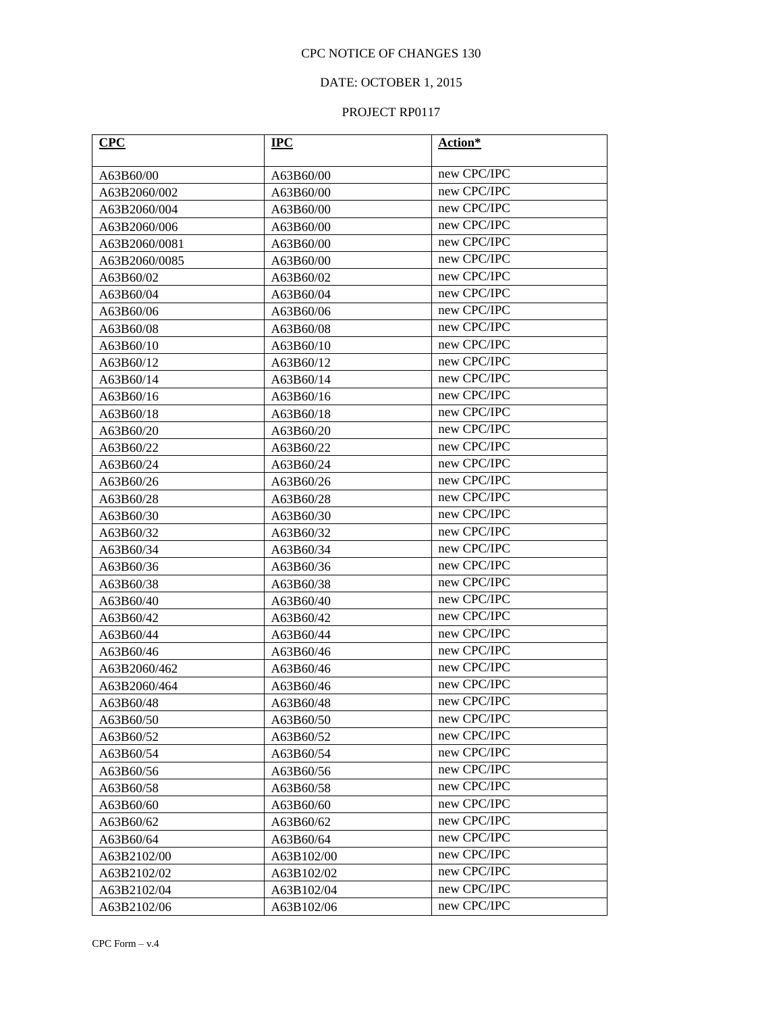# DATE: OCTOBER 1, 2015

| CPC           | $IPC$                    | Action*     |  |
|---------------|--------------------------|-------------|--|
| A63B60/00     | A63B60/00                | new CPC/IPC |  |
| A63B2060/002  | A63B60/00                | new CPC/IPC |  |
| A63B2060/004  | A63B60/00                | new CPC/IPC |  |
| A63B2060/006  | A63B60/00                | new CPC/IPC |  |
| A63B2060/0081 | A63B60/00                | new CPC/IPC |  |
| A63B2060/0085 | A63B60/00                | new CPC/IPC |  |
| A63B60/02     | A63B60/02                | new CPC/IPC |  |
| A63B60/04     | A63B60/04                | new CPC/IPC |  |
| A63B60/06     | A63B60/06                | new CPC/IPC |  |
| A63B60/08     | A63B60/08                | new CPC/IPC |  |
| A63B60/10     | A63B60/10                | new CPC/IPC |  |
| A63B60/12     | A63B60/12                | new CPC/IPC |  |
| A63B60/14     | A63B60/14                | new CPC/IPC |  |
| A63B60/16     | A63B60/16                | new CPC/IPC |  |
| A63B60/18     | A63B60/18                | new CPC/IPC |  |
| A63B60/20     | A63B60/20                | new CPC/IPC |  |
| A63B60/22     | A63B60/22                | new CPC/IPC |  |
| A63B60/24     | A63B60/24                | new CPC/IPC |  |
| A63B60/26     | A63B60/26                | new CPC/IPC |  |
| A63B60/28     | A63B60/28                | new CPC/IPC |  |
| A63B60/30     | A63B60/30                | new CPC/IPC |  |
| A63B60/32     | A63B60/32                | new CPC/IPC |  |
| A63B60/34     | A63B60/34                | new CPC/IPC |  |
| A63B60/36     | A63B60/36                | new CPC/IPC |  |
| A63B60/38     | A63B60/38                | new CPC/IPC |  |
| A63B60/40     | A63B60/40                | new CPC/IPC |  |
| A63B60/42     | A63B60/42                | new CPC/IPC |  |
| A63B60/44     | A63B60/44                | new CPC/IPC |  |
| A63B60/46     | A63B60/46                | new CPC/IPC |  |
| A63B2060/462  | A63B60/46                | new CPC/IPC |  |
| A63B2060/464  | A63B60/46                | new CPC/IPC |  |
| A63B60/48     | A63B60/48                | new CPC/IPC |  |
| A63B60/50     | A63B60/50                | new CPC/IPC |  |
| A63B60/52     | A63B60/52                | new CPC/IPC |  |
| A63B60/54     | A63B60/54                | new CPC/IPC |  |
| A63B60/56     | A63B60/56                | new CPC/IPC |  |
| A63B60/58     | A63B60/58                | new CPC/IPC |  |
| A63B60/60     | A63B60/60                | new CPC/IPC |  |
| A63B60/62     | A63B60/62                | new CPC/IPC |  |
| A63B60/64     | new CPC/IPC<br>A63B60/64 |             |  |
| A63B2102/00   | A63B102/00               | new CPC/IPC |  |
| A63B2102/02   | A63B102/02               | new CPC/IPC |  |
| A63B2102/04   | A63B102/04               | new CPC/IPC |  |
| A63B2102/06   | A63B102/06               | new CPC/IPC |  |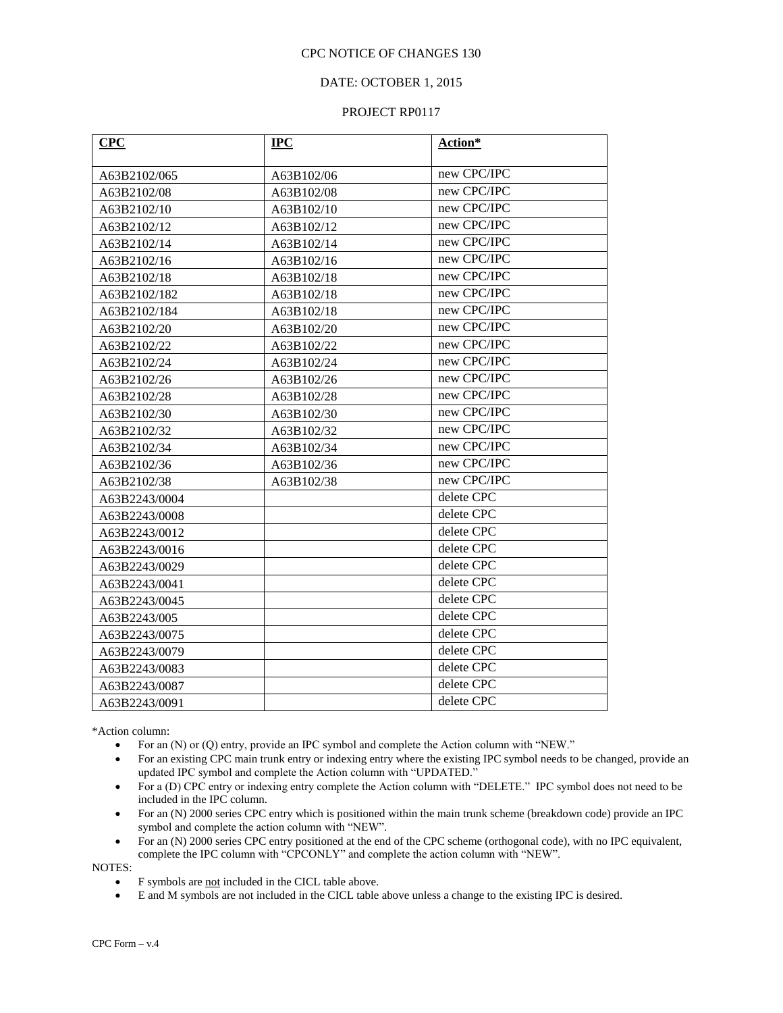#### DATE: OCTOBER 1, 2015

#### PROJECT RP0117

| CPC           | $IPC$      | Action*     |  |
|---------------|------------|-------------|--|
|               |            |             |  |
| A63B2102/065  | A63B102/06 | new CPC/IPC |  |
| A63B2102/08   | A63B102/08 | new CPC/IPC |  |
| A63B2102/10   | A63B102/10 | new CPC/IPC |  |
| A63B2102/12   | A63B102/12 | new CPC/IPC |  |
| A63B2102/14   | A63B102/14 | new CPC/IPC |  |
| A63B2102/16   | A63B102/16 | new CPC/IPC |  |
| A63B2102/18   | A63B102/18 | new CPC/IPC |  |
| A63B2102/182  | A63B102/18 | new CPC/IPC |  |
| A63B2102/184  | A63B102/18 | new CPC/IPC |  |
| A63B2102/20   | A63B102/20 | new CPC/IPC |  |
| A63B2102/22   | A63B102/22 | new CPC/IPC |  |
| A63B2102/24   | A63B102/24 | new CPC/IPC |  |
| A63B2102/26   | A63B102/26 | new CPC/IPC |  |
| A63B2102/28   | A63B102/28 | new CPC/IPC |  |
| A63B2102/30   | A63B102/30 | new CPC/IPC |  |
| A63B2102/32   | A63B102/32 | new CPC/IPC |  |
| A63B2102/34   | A63B102/34 | new CPC/IPC |  |
| A63B2102/36   | A63B102/36 | new CPC/IPC |  |
| A63B2102/38   | A63B102/38 | new CPC/IPC |  |
| A63B2243/0004 |            | delete CPC  |  |
| A63B2243/0008 |            | delete CPC  |  |
| A63B2243/0012 |            | delete CPC  |  |
| A63B2243/0016 |            | delete CPC  |  |
| A63B2243/0029 |            | delete CPC  |  |
| A63B2243/0041 |            | delete CPC  |  |
| A63B2243/0045 |            | delete CPC  |  |
| A63B2243/005  |            | delete CPC  |  |
| A63B2243/0075 |            | delete CPC  |  |
| A63B2243/0079 |            | delete CPC  |  |
| A63B2243/0083 |            | delete CPC  |  |
| A63B2243/0087 |            | delete CPC  |  |
| A63B2243/0091 |            | delete CPC  |  |

\*Action column:

- For an (N) or (Q) entry, provide an IPC symbol and complete the Action column with "NEW."
- For an existing CPC main trunk entry or indexing entry where the existing IPC symbol needs to be changed, provide an updated IPC symbol and complete the Action column with "UPDATED."
- For a (D) CPC entry or indexing entry complete the Action column with "DELETE." IPC symbol does not need to be included in the IPC column.
- For an (N) 2000 series CPC entry which is positioned within the main trunk scheme (breakdown code) provide an IPC symbol and complete the action column with "NEW".
- For an (N) 2000 series CPC entry positioned at the end of the CPC scheme (orthogonal code), with no IPC equivalent, complete the IPC column with "CPCONLY" and complete the action column with "NEW".

NOTES:

- F symbols are not included in the CICL table above.
- E and M symbols are not included in the CICL table above unless a change to the existing IPC is desired.